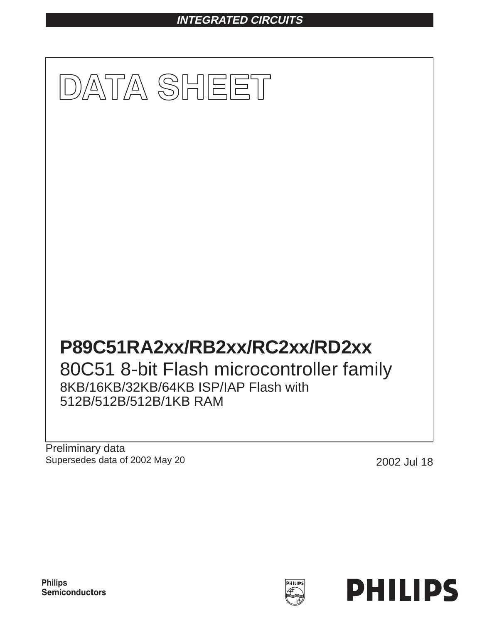# **INTEGRATED CIRCUITS**



Preliminary data Supersedes data of 2002 May 20 20 2002 Jul 18



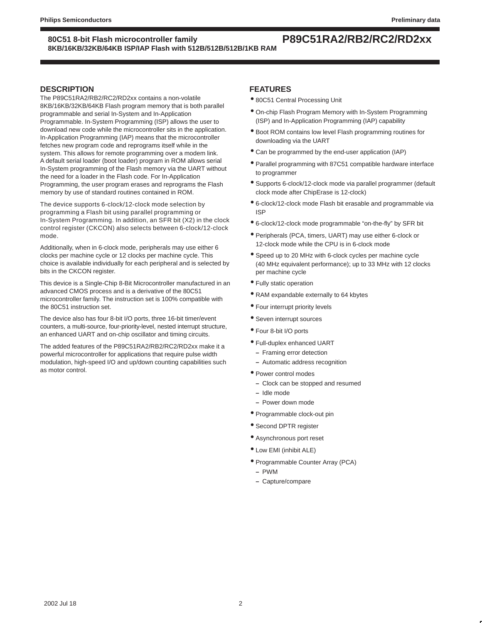### **80C51 8-bit Flash microcontroller family P89C51RA2/RB2/RC2/RD2xx 8KB/16KB/32KB/64KB ISP/IAP Flash with 512B/512B/512B/1KB RAM**

#### **DESCRIPTION**

The P89C51RA2/RB2/RC2/RD2xx contains a non-volatile 8KB/16KB/32KB/64KB Flash program memory that is both parallel programmable and serial In-System and In-Application Programmable. In-System Programming (ISP) allows the user to download new code while the microcontroller sits in the application. In-Application Programming (IAP) means that the microcontroller fetches new program code and reprograms itself while in the system. This allows for remote programming over a modem link. A default serial loader (boot loader) program in ROM allows serial In-System programming of the Flash memory via the UART without the need for a loader in the Flash code. For In-Application Programming, the user program erases and reprograms the Flash memory by use of standard routines contained in ROM.

The device supports 6-clock/12-clock mode selection by programming a Flash bit using parallel programming or In-System Programming. In addition, an SFR bit (X2) in the clock control register (CKCON) also selects between 6-clock/12-clock mode.

Additionally, when in 6-clock mode, peripherals may use either 6 clocks per machine cycle or 12 clocks per machine cycle. This choice is available individually for each peripheral and is selected by bits in the CKCON register.

This device is a Single-Chip 8-Bit Microcontroller manufactured in an advanced CMOS process and is a derivative of the 80C51 microcontroller family. The instruction set is 100% compatible with the 80C51 instruction set.

The device also has four 8-bit I/O ports, three 16-bit timer/event counters, a multi-source, four-priority-level, nested interrupt structure, an enhanced UART and on-chip oscillator and timing circuits.

The added features of the P89C51RA2/RB2/RC2/RD2xx make it a powerful microcontroller for applications that require pulse width modulation, high-speed I/O and up/down counting capabilities such as motor control.

### **FEATURES**

- 80C51 Central Processing Unit
- On-chip Flash Program Memory with In-System Programming (ISP) and In-Application Programming (IAP) capability
- Boot ROM contains low level Flash programming routines for downloading via the UART
- Can be programmed by the end-user application (IAP)
- Parallel programming with 87C51 compatible hardware interface to programmer
- Supports 6-clock/12-clock mode via parallel programmer (default clock mode after ChipErase is 12-clock)
- 6-clock/12-clock mode Flash bit erasable and programmable via ISP
- 6-clock/12-clock mode programmable "on-the-fly" by SFR bit
- Peripherals (PCA, timers, UART) may use either 6-clock or 12-clock mode while the CPU is in 6-clock mode
- Speed up to 20 MHz with 6-clock cycles per machine cycle (40 MHz equivalent performance); up to 33 MHz with 12 clocks per machine cycle
- Fully static operation
- RAM expandable externally to 64 kbytes
- Four interrupt priority levels
- Seven interrupt sources
- Four 8-bit I/O ports
- Full-duplex enhanced UART
	- **–** Framing error detection
	- **–** Automatic address recognition
- Power control modes
	- **–** Clock can be stopped and resumed
	- **–** Idle mode
- **–** Power down mode
- Programmable clock-out pin
- Second DPTR register
- Asynchronous port reset
- Low EMI (inhibit ALE)
- Programmable Counter Array (PCA)
- **–** PWM
- **–** Capture/compare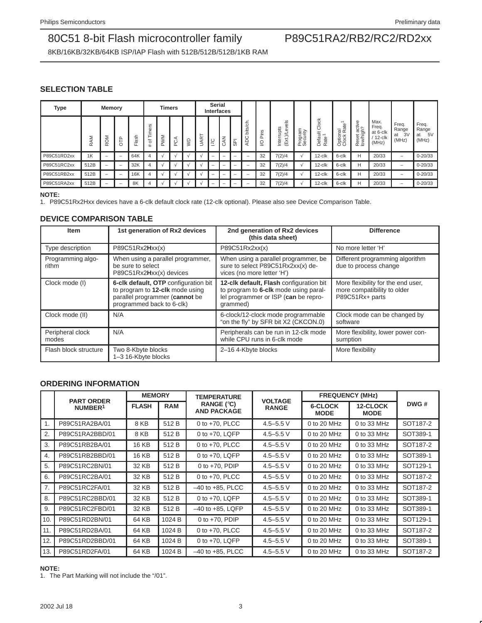8KB/16KB/32KB/64KB ISP/IAP Flash with 512B/512B/512B/1KB RAM

### **SELECTION TABLE**

| <b>Type</b> |         | Memory                           |             |            |                                    | <b>Timers</b> |     |   |                  | <b>Serial</b><br><b>Interfaces</b> |                   |          |                |         |                                                              |                               |                                                              |                                                |                               |                                                 |                                     |                                     |
|-------------|---------|----------------------------------|-------------|------------|------------------------------------|---------------|-----|---|------------------|------------------------------------|-------------------|----------|----------------|---------|--------------------------------------------------------------|-------------------------------|--------------------------------------------------------------|------------------------------------------------|-------------------------------|-------------------------------------------------|-------------------------------------|-------------------------------------|
|             | Σ<br>Ϋ́ | $\overline{6}$<br>$\overline{r}$ | ≏<br>⊢<br>Ó | lash<br>н. | $\omega$<br>৯<br>-<br>∸.<br>৳<br># | <b>PWM</b>    | PCA | Ş | JAR <sup>-</sup> | $\overline{c}$                     | $\mathsf{K}$<br>Ö | -<br>င္ဟ | 둥<br>bits<br>ィ | S<br>∸. | $\frac{8}{5}$<br>upts<br>്ധ<br>₹<br>∽<br>٠.<br>(Ext.<br>ntei | γ<br>π<br>rogra<br>ecur<br>മശ | Clock<br>Ë,<br>$\overline{ }$<br>efa<br>ate<br>Ó<br>$\alpha$ | $\omega$<br>ಕ<br>ptional<br>lock Ra<br>$\circ$ | g<br>Reset activ<br>low/high? | Max.<br>Freq.<br>at 6-clk<br>$12$ -clk<br>(MHz) | Freq.<br>Range<br>3V<br>at<br>(MHz) | Freq.<br>Range<br>5V<br>at<br>(MHz) |
| P89C51RD2xx | 1K      | -                                | -           | 64K        |                                    |               |     |   |                  | -                                  | -                 | -        | -              | 32      | 7(2)/4                                                       |                               | $12$ -clk                                                    | 6-clk                                          | H                             | 20/33                                           | -                                   | $0 - 20/33$                         |
| P89C51RC2xx | 512B    | $\overline{\phantom{0}}$         | -           | 32K        |                                    |               |     |   |                  | -                                  | -                 | -        | -              | 32      | 7(2)/4                                                       |                               | 12-clk                                                       | 6-clk                                          | н                             | 20/33                                           | $\overline{\phantom{0}}$            | $0 - 20/33$                         |
| P89C51RB2xx | 512B    | $\qquad \qquad$                  | -           | 16K        |                                    |               |     |   |                  | -                                  | -                 | -        | -              | 32      | 7(2)/4                                                       |                               | $12$ -clk                                                    | 6-clk                                          | н                             | 20/33                                           | -                                   | $0 - 20/33$                         |
| P89C51RA2xx | 512B    | -                                | -           | 8K         |                                    |               |     |   |                  |                                    | -                 |          |                | 32      | 7(2)/4                                                       |                               | 12-clk                                                       | 6-clk                                          | H                             | 20/33                                           | $\overline{\phantom{0}}$            | $0 - 20/33$                         |

#### **NOTE:**

1. P89C51Rx2Hxx devices have a 6-clk default clock rate (12-clk optional). Please also see Device Comparison Table.

### **DEVICE COMPARISON TABLE**

| <b>Item</b>                | 1st generation of Rx2 devices                                                                                                          | 2nd generation of Rx2 devices<br>(this data sheet)                                                                                   | <b>Difference</b>                                                                    |  |  |
|----------------------------|----------------------------------------------------------------------------------------------------------------------------------------|--------------------------------------------------------------------------------------------------------------------------------------|--------------------------------------------------------------------------------------|--|--|
| Type description           | P89C51Rx2Hxx(x)                                                                                                                        | P89C51Rx2xx(x)                                                                                                                       | No more letter 'H'                                                                   |  |  |
| Programming algo-<br>rithm | When using a parallel programmer,<br>be sure to select<br>P89C51Rx2Hxx(x) devices                                                      | When using a parallel programmer, be<br>sure to select P89C51Rx2xx(x) de-<br>vices (no more letter 'H')                              | Different programming algorithm<br>due to process change                             |  |  |
| Clock mode (I)             | 6-clk default, OTP configuration bit<br>to program to 12-clk mode using<br>parallel programmer (cannot be<br>programmed back to 6-clk) | 12-clk default, Flash configuration bit<br>to program to 6-clk mode using paral-<br>lel programmer or ISP (can be repro-<br>grammed) | More flexibility for the end user,<br>more compatibility to older<br>P89C51Rx+ parts |  |  |
| Clock mode (II)            | N/A                                                                                                                                    | 6-clock/12-clock mode programmable<br>"on the fly" by SFR bit X2 (CKCON.0)                                                           | Clock mode can be changed by<br>software                                             |  |  |
| Peripheral clock<br>modes  | N/A                                                                                                                                    | Peripherals can be run in 12-clk mode<br>while CPU runs in 6-clk mode                                                                | More flexibility, lower power con-<br>sumption                                       |  |  |
| Flash block structure      | Two 8-Kbyte blocks<br>1-3 16-Kbyte blocks                                                                                              | 2-16 4-Kbyte blocks                                                                                                                  | More flexibility                                                                     |  |  |

### **ORDERING INFORMATION**

|                | <b>PART ORDER</b>   | <b>MEMORY</b> |            | <b>TEMPERATURE</b>                 | <b>VOLTAGE</b> | <b>FREQUENCY (MHz)</b>        |                         |          |
|----------------|---------------------|---------------|------------|------------------------------------|----------------|-------------------------------|-------------------------|----------|
|                | NUMBER <sup>1</sup> | <b>FLASH</b>  | <b>RAM</b> | RANGE $(°C)$<br><b>AND PACKAGE</b> | <b>RANGE</b>   | <b>6-CLOCK</b><br><b>MODE</b> | 12-CLOCK<br><b>MODE</b> | DWG#     |
| $\mathbf{1}$ . | P89C51RA2BA/01      | 8 KB          | 512B       | 0 to $+70$ , PLCC                  | $4.5 - 5.5$ V  | 0 to 20 MHz                   | 0 to 33 MHz             | SOT187-2 |
| 2.             | P89C51RA2BBD/01     | 8 KB          | 512B       | 0 to +70, LQFP                     | $4.5 - 5.5$ V  | 0 to 20 MHz                   | 0 to 33 MHz             | SOT389-1 |
| 3.             | P89C51RB2BA/01      | 16 KB         | 512B       | 0 to $+70$ , PLCC                  | $4.5 - 5.5$ V  | 0 to 20 MHz                   | 0 to 33 MHz             | SOT187-2 |
| 4.             | P89C51RB2BBD/01     | 16 KB         | 512 B      | 0 to $+70$ , LQFP                  | $4.5 - 5.5$ V  | 0 to 20 MHz                   | 0 to 33 MHz             | SOT389-1 |
| 5.             | P89C51RC2BN/01      | 32 KB         | 512B       | 0 to $+70$ , PDIP                  | $4.5 - 5.5$ V  | 0 to 20 MHz                   | 0 to 33 MHz             | SOT129-1 |
| 6.             | P89C51RC2BA/01      | 32 KB         | 512B       | 0 to $+70$ , PLCC                  | $4.5 - 5.5$ V  | 0 to 20 MHz                   | 0 to 33 MHz             | SOT187-2 |
| l 7.           | P89C51RC2FA/01      | 32 KB         | 512B       | $-40$ to $+85$ . PLCC              | $4.5 - 5.5$ V  | 0 to 20 MHz                   | 0 to 33 MHz             | SOT187-2 |
| 8.             | P89C51RC2BBD/01     | 32 KB         | 512B       | 0 to +70, LQFP                     | $4.5 - 5.5$ V  | 0 to 20 MHz                   | 0 to 33 MHz             | SOT389-1 |
| 9.             | P89C51RC2FBD/01     | 32 KB         | 512B       | $-40$ to $+85$ , LQFP              | $4.5 - 5.5$ V  | 0 to 20 MHz                   | 0 to 33 MHz             | SOT389-1 |
| l 10.          | P89C51RD2BN/01      | 64 KB         | 1024 B     | 0 to $+70$ , PDIP                  | $4.5 - 5.5$ V  | $0$ to 20 MHz                 | 0 to 33 MHz             | SOT129-1 |
| 11.            | P89C51RD2BA/01      | 64 KB         | 1024 B     | 0 to $+70$ , PLCC                  | $4.5 - 5.5$ V  | 0 to 20 MHz                   | 0 to 33 MHz             | SOT187-2 |
| 12.            | P89C51RD2BBD/01     | 64 KB         | 1024 B     | 0 to $+70$ . LQFP                  | $4.5 - 5.5$ V  | 0 to 20 MHz                   | 0 to 33 MHz             | SOT389-1 |
| 13.            | P89C51RD2FA/01      | 64 KB         | 1024 B     | $-40$ to $+85$ , PLCC              | $4.5 - 5.5$ V  | 0 to 20 MHz                   | 0 to 33 MHz             | SOT187-2 |

#### **NOTE:**

1. The Part Marking will not include the "/01".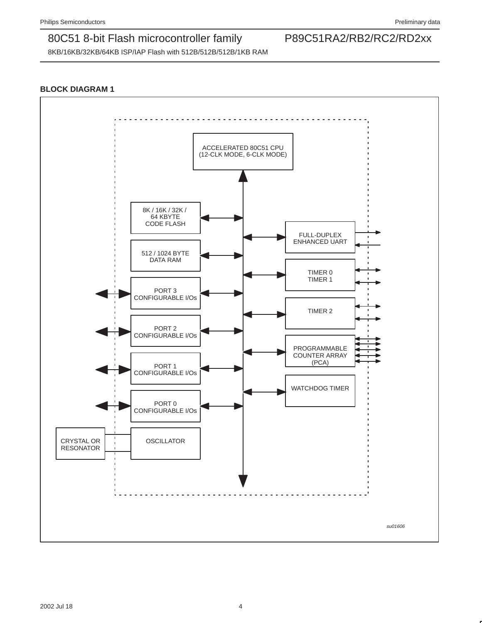8KB/16KB/32KB/64KB ISP/IAP Flash with 512B/512B/512B/1KB RAM

### **BLOCK DIAGRAM 1**

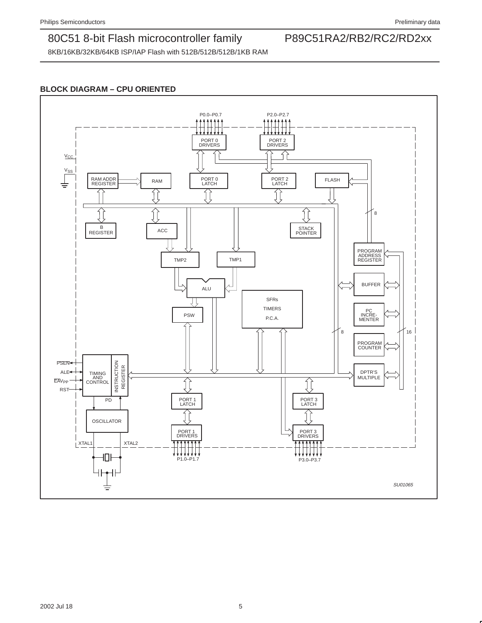8KB/16KB/32KB/64KB ISP/IAP Flash with 512B/512B/512B/1KB RAM

### **BLOCK DIAGRAM – CPU ORIENTED**

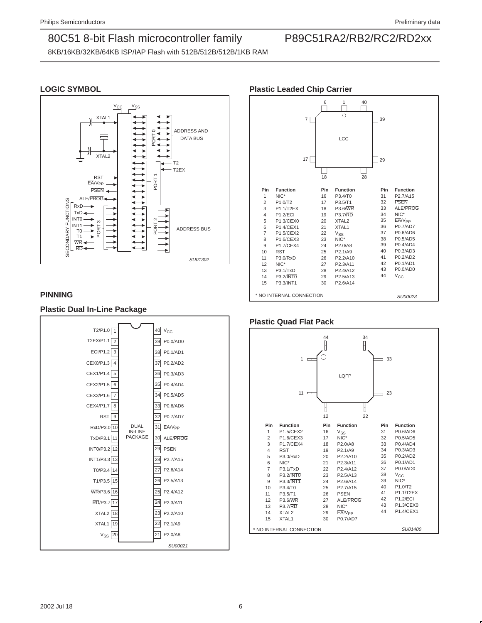8KB/16KB/32KB/64KB ISP/IAP Flash with 512B/512B/512B/1KB RAM

### **LOGIC SYMBOL**



### **PINNING**

### **Plastic Dual In-Line Package**



### **Plastic Leaded Chip Carrier**



### **Plastic Quad Flat Pack**

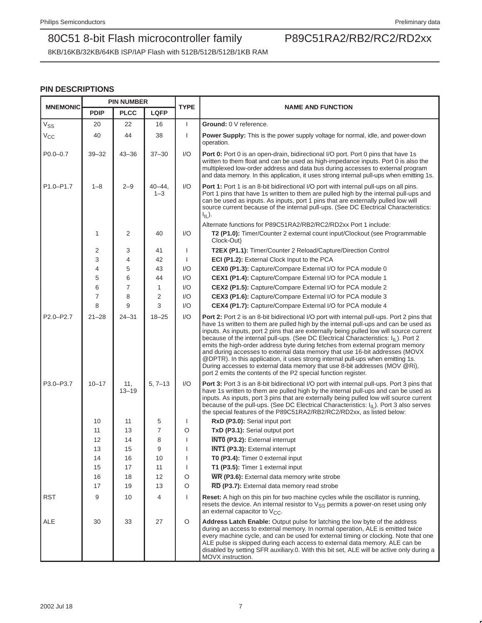8KB/16KB/32KB/64KB ISP/IAP Flash with 512B/512B/512B/1KB RAM

### **PIN DESCRIPTIONS**

|                            |             | <b>PIN NUMBER</b> |                      | <b>TYPE</b>  | <b>NAME AND FUNCTION</b>                                                                                                                                                                                                                                                                                                                                                                                                                                                                                                                                                                                                                                                                                                                                                            |  |  |  |  |
|----------------------------|-------------|-------------------|----------------------|--------------|-------------------------------------------------------------------------------------------------------------------------------------------------------------------------------------------------------------------------------------------------------------------------------------------------------------------------------------------------------------------------------------------------------------------------------------------------------------------------------------------------------------------------------------------------------------------------------------------------------------------------------------------------------------------------------------------------------------------------------------------------------------------------------------|--|--|--|--|
| <b>MNEMONIC</b>            | <b>PDIP</b> | <b>PLCC</b>       | <b>LQFP</b>          |              |                                                                                                                                                                                                                                                                                                                                                                                                                                                                                                                                                                                                                                                                                                                                                                                     |  |  |  |  |
| $\mathrm{V}_{\mathrm{SS}}$ | 20          | 22                | 16                   | $\mathbf{I}$ | Ground: 0 V reference.                                                                                                                                                                                                                                                                                                                                                                                                                                                                                                                                                                                                                                                                                                                                                              |  |  |  |  |
| $V_{\rm CC}$               | 40          | 44                | 38                   | $\mathbf{I}$ | <b>Power Supply:</b> This is the power supply voltage for normal, idle, and power-down<br>operation.                                                                                                                                                                                                                                                                                                                                                                                                                                                                                                                                                                                                                                                                                |  |  |  |  |
| $P0.0 - 0.7$               | $39 - 32$   | $43 - 36$         | $37 - 30$            | 1/O          | <b>Port 0:</b> Port 0 is an open-drain, bidirectional I/O port. Port 0 pins that have 1s<br>written to them float and can be used as high-impedance inputs. Port 0 is also the<br>multiplexed low-order address and data bus during accesses to external program<br>and data memory. In this application, it uses strong internal pull-ups when emitting 1s.                                                                                                                                                                                                                                                                                                                                                                                                                        |  |  |  |  |
| P1.0-P1.7                  | $1 - 8$     | $2 - 9$           | $40 - 44$<br>$1 - 3$ | 1/O          | Port 1: Port 1 is an 8-bit bidirectional I/O port with internal pull-ups on all pins.<br>Port 1 pins that have 1s written to them are pulled high by the internal pull-ups and<br>can be used as inputs. As inputs, port 1 pins that are externally pulled low will<br>source current because of the internal pull-ups. (See DC Electrical Characteristics:<br>$I_{IL}$ ).                                                                                                                                                                                                                                                                                                                                                                                                          |  |  |  |  |
|                            |             |                   |                      |              | Alternate functions for P89C51RA2/RB2/RC2/RD2xx Port 1 include:                                                                                                                                                                                                                                                                                                                                                                                                                                                                                                                                                                                                                                                                                                                     |  |  |  |  |
|                            | 1           | 2                 | 40                   | I/O          | T2 (P1.0): Timer/Counter 2 external count input/Clockout (see Programmable<br>Clock-Out)                                                                                                                                                                                                                                                                                                                                                                                                                                                                                                                                                                                                                                                                                            |  |  |  |  |
|                            | 2           | 3                 | 41                   |              | T2EX (P1.1): Timer/Counter 2 Reload/Capture/Direction Control                                                                                                                                                                                                                                                                                                                                                                                                                                                                                                                                                                                                                                                                                                                       |  |  |  |  |
|                            | 3           | 4                 | 42                   |              | ECI (P1.2): External Clock Input to the PCA                                                                                                                                                                                                                                                                                                                                                                                                                                                                                                                                                                                                                                                                                                                                         |  |  |  |  |
|                            | 4           | 5                 | 43                   | 1/O          | CEX0 (P1.3): Capture/Compare External I/O for PCA module 0                                                                                                                                                                                                                                                                                                                                                                                                                                                                                                                                                                                                                                                                                                                          |  |  |  |  |
|                            | 5           | 6                 | 44                   | 1/O          | CEX1 (P1.4): Capture/Compare External I/O for PCA module 1                                                                                                                                                                                                                                                                                                                                                                                                                                                                                                                                                                                                                                                                                                                          |  |  |  |  |
|                            | 6           | 7                 | 1                    | 1/O          | CEX2 (P1.5): Capture/Compare External I/O for PCA module 2                                                                                                                                                                                                                                                                                                                                                                                                                                                                                                                                                                                                                                                                                                                          |  |  |  |  |
|                            | 7           | 8                 | 2                    | I/O          | CEX3 (P1.6): Capture/Compare External I/O for PCA module 3                                                                                                                                                                                                                                                                                                                                                                                                                                                                                                                                                                                                                                                                                                                          |  |  |  |  |
|                            | 8           | 9                 | 3                    | 1/O          | CEX4 (P1.7): Capture/Compare External I/O for PCA module 4                                                                                                                                                                                                                                                                                                                                                                                                                                                                                                                                                                                                                                                                                                                          |  |  |  |  |
| P2.0-P2.7                  | $21 - 28$   | $24 - 31$         | $18 - 25$            | 1/O          | Port 2: Port 2 is an 8-bit bidirectional I/O port with internal pull-ups. Port 2 pins that<br>have 1s written to them are pulled high by the internal pull-ups and can be used as<br>inputs. As inputs, port 2 pins that are externally being pulled low will source current<br>because of the internal pull-ups. (See DC Electrical Characteristics: I <sub>IL</sub> ). Port 2<br>emits the high-order address byte during fetches from external program memory<br>and during accesses to external data memory that use 16-bit addresses (MOVX<br>@DPTR). In this application, it uses strong internal pull-ups when emitting 1s.<br>During accesses to external data memory that use 8-bit addresses (MOV @Ri),<br>port 2 emits the contents of the P2 special function register. |  |  |  |  |
| P3.0-P3.7                  | $10 - 17$   | 11,<br>$13 - 19$  | $5, 7 - 13$          | I/O          | <b>Port 3:</b> Port 3 is an 8-bit bidirectional I/O port with internal pull-ups. Port 3 pins that<br>have 1s written to them are pulled high by the internal pull-ups and can be used as<br>inputs. As inputs, port 3 pins that are externally being pulled low will source current<br>because of the pull-ups. (See DC Electrical Characteristics: I <sub>IL</sub> ). Port 3 also serves<br>the special features of the P89C51RA2/RB2/RC2/RD2xx, as listed below:                                                                                                                                                                                                                                                                                                                  |  |  |  |  |
|                            | 10          | 11                | 5                    | ı            | RxD (P3.0): Serial input port                                                                                                                                                                                                                                                                                                                                                                                                                                                                                                                                                                                                                                                                                                                                                       |  |  |  |  |
|                            | 11          | 13                | 7                    | O            | TxD (P3.1): Serial output port                                                                                                                                                                                                                                                                                                                                                                                                                                                                                                                                                                                                                                                                                                                                                      |  |  |  |  |
|                            | 12          | 14                | 8                    |              | <b>INTO (P3.2):</b> External interrupt                                                                                                                                                                                                                                                                                                                                                                                                                                                                                                                                                                                                                                                                                                                                              |  |  |  |  |
|                            | 13          | 15                | 9                    |              | <b>INT1 (P3.3):</b> External interrupt                                                                                                                                                                                                                                                                                                                                                                                                                                                                                                                                                                                                                                                                                                                                              |  |  |  |  |
|                            | 14          | 16                | 10                   |              | T0 (P3.4): Timer 0 external input                                                                                                                                                                                                                                                                                                                                                                                                                                                                                                                                                                                                                                                                                                                                                   |  |  |  |  |
|                            | 15          | 17                | 11                   |              | T1 (P3.5): Timer 1 external input                                                                                                                                                                                                                                                                                                                                                                                                                                                                                                                                                                                                                                                                                                                                                   |  |  |  |  |
|                            | 16          | 18                | 12                   | O            | WR (P3.6): External data memory write strobe                                                                                                                                                                                                                                                                                                                                                                                                                                                                                                                                                                                                                                                                                                                                        |  |  |  |  |
|                            | 17          | 19                | 13                   | $\circ$      | RD (P3.7): External data memory read strobe                                                                                                                                                                                                                                                                                                                                                                                                                                                                                                                                                                                                                                                                                                                                         |  |  |  |  |
| RST                        | 9           | 10                | 4                    | $\mathbf{I}$ | <b>Reset:</b> A high on this pin for two machine cycles while the oscillator is running,<br>resets the device. An internal resistor to $V_{SS}$ permits a power-on reset using only<br>an external capacitor to $V_{CC}$ .                                                                                                                                                                                                                                                                                                                                                                                                                                                                                                                                                          |  |  |  |  |
| ALE                        | 30          | 33                | 27                   | $\circ$      | Address Latch Enable: Output pulse for latching the low byte of the address<br>during an access to external memory. In normal operation, ALE is emitted twice<br>every machine cycle, and can be used for external timing or clocking. Note that one<br>ALE pulse is skipped during each access to external data memory. ALE can be<br>disabled by setting SFR auxiliary.0. With this bit set, ALE will be active only during a<br>MOVX instruction.                                                                                                                                                                                                                                                                                                                                |  |  |  |  |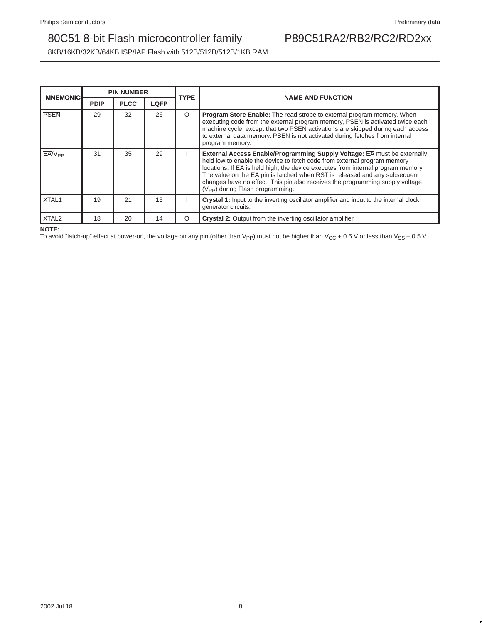8KB/16KB/32KB/64KB ISP/IAP Flash with 512B/512B/512B/1KB RAM

| <b>MNEMONIC</b>   |             | <b>PIN NUMBER</b> |             | <b>TYPE</b> | <b>NAME AND FUNCTION</b>                                                                                                                                                                                                                                                                                                                                                                                                                                                                 |
|-------------------|-------------|-------------------|-------------|-------------|------------------------------------------------------------------------------------------------------------------------------------------------------------------------------------------------------------------------------------------------------------------------------------------------------------------------------------------------------------------------------------------------------------------------------------------------------------------------------------------|
|                   | <b>PDIP</b> | <b>PLCC</b>       | <b>LQFP</b> |             |                                                                                                                                                                                                                                                                                                                                                                                                                                                                                          |
| <b>PSEN</b>       | 29          | 32                | 26          | O           | <b>Program Store Enable:</b> The read strobe to external program memory. When<br>executing code from the external program memory, PSEN is activated twice each<br>machine cycle, except that two PSEN activations are skipped during each access<br>to external data memory. PSEN is not activated during fetches from internal<br>program memory.                                                                                                                                       |
| $EAV_{PP}$        | 31          | 35                | 29          |             | <b>External Access Enable/Programming Supply Voltage: EA must be externally</b><br>held low to enable the device to fetch code from external program memory<br>locations. If $\overline{EA}$ is held high, the device executes from internal program memory.<br>The value on the $\overline{EA}$ pin is latched when RST is released and any subsequent<br>changes have no effect. This pin also receives the programming supply voltage<br>(V <sub>PP</sub> ) during Flash programming. |
| XTAL1             | 19          | 21                | 15          |             | Crystal 1: Input to the inverting oscillator amplifier and input to the internal clock<br>generator circuits.                                                                                                                                                                                                                                                                                                                                                                            |
| XTAL <sub>2</sub> | 18          | 20                | 14          | O           | <b>Crystal 2:</b> Output from the inverting oscillator amplifier.                                                                                                                                                                                                                                                                                                                                                                                                                        |

**NOTE:**

To avoid "latch-up" effect at power-on, the voltage on any pin (other than V<sub>PP</sub>) must not be higher than V<sub>CC</sub> + 0.5 V or less than V<sub>SS</sub> – 0.5 V.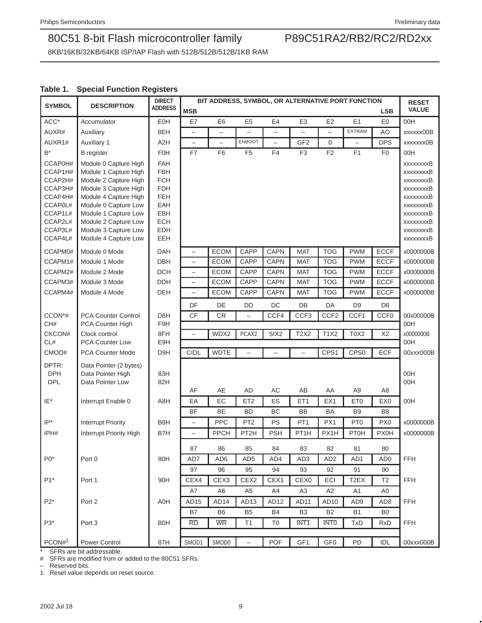8KB/16KB/32KB/64KB ISP/IAP Flash with 512B/512B/512B/1KB RAM

### **Table 1. Special Function Registers**

| <b>SYMBOL</b>      | <b>DESCRIPTION</b>                             | <b>DIRECT</b><br><b>ADDRESS</b> | BIT ADDRESS, SYMBOL, OR ALTERNATIVE PORT FUNCTION |                  |                          |                          |                   |                  |                   | <b>RESET</b>     |                        |
|--------------------|------------------------------------------------|---------------------------------|---------------------------------------------------|------------------|--------------------------|--------------------------|-------------------|------------------|-------------------|------------------|------------------------|
|                    |                                                |                                 | <b>MSB</b>                                        |                  |                          |                          |                   |                  |                   | <b>LSB</b>       | <b>VALUE</b>           |
| $ACC*$             | Accumulator                                    | EOH                             | E7                                                | E <sub>6</sub>   | E <sub>5</sub>           | E4                       | E <sub>3</sub>    | E2               | E1                | E <sub>0</sub>   | 00H                    |
| AUXR#              | Auxiliary                                      | 8EH                             | $\overline{\phantom{0}}$                          | $\equiv$         |                          |                          |                   | $\overline{a}$   | <b>EXTRAM</b>     | AO               | xxxxxx00B              |
| AUXR1#             | <b>Auxiliary 1</b>                             | A <sub>2</sub> H                | $\bar{ }$                                         | $\equiv$         | <b>ENBOOT</b>            | $\overline{\phantom{0}}$ | GF <sub>2</sub>   | 0                |                   | <b>DPS</b>       | xxxxxxx0B              |
| B*                 | <b>B</b> register                              | <b>F0H</b>                      | F7                                                | F <sub>6</sub>   | F <sub>5</sub>           | F4                       | F <sub>3</sub>    | F <sub>2</sub>   | F <sub>1</sub>    | F <sub>0</sub>   | 00H                    |
| CCAP0H#            | Module 0 Capture High                          | <b>FAH</b>                      |                                                   |                  |                          |                          |                   |                  |                   |                  | <b>XXXXXXXB</b>        |
| CCAP1H#            | Module 1 Capture High                          | <b>FBH</b>                      |                                                   |                  |                          |                          |                   |                  |                   |                  | xxxxxxxxB              |
| CCAP2H#<br>CCAP3H# | Module 2 Capture High<br>Module 3 Capture High | <b>FCH</b><br><b>FDH</b>        |                                                   |                  |                          |                          |                   |                  |                   |                  | xxxxxxxxB<br>xxxxxxxxB |
| CCAP4H#            | Module 4 Capture High                          | FEH                             |                                                   |                  |                          |                          |                   |                  |                   |                  | xxxxxxxxB              |
| CCAP0L#            | Module 0 Capture Low                           | EAH                             |                                                   |                  |                          |                          |                   |                  |                   |                  | xxxxxxxB               |
| CCAP1L#            | Module 1 Capture Low                           | EBH                             |                                                   |                  |                          |                          |                   |                  |                   |                  | xxxxxxxxB              |
| CCAP2L#            | Module 2 Capture Low                           | ECH                             |                                                   |                  |                          |                          |                   |                  |                   |                  | <b>XXXXXXXB</b>        |
| CCAP3L#            | Module 3 Capture Low                           | EDH                             |                                                   |                  |                          |                          |                   |                  |                   |                  | <b>XXXXXXXB</b>        |
| CCAP4L#            | Module 4 Capture Low                           | EEH                             |                                                   |                  |                          |                          |                   |                  |                   |                  | xxxxxxxB               |
| CCAPM0#            | Module 0 Mode                                  | <b>DAH</b>                      | $\qquad \qquad -$                                 | <b>ECOM</b>      | CAPP                     | CAPN                     | <b>MAT</b>        | <b>TOG</b>       | <b>PWM</b>        | <b>ECCF</b>      | x0000000B              |
| CCAPM1#            | Module 1 Mode                                  | DBH                             | $\qquad \qquad -$                                 | <b>ECOM</b>      | CAPP                     | CAPN                     | <b>MAT</b>        | <b>TOG</b>       | <b>PWM</b>        | <b>ECCF</b>      | x0000000B              |
| CCAPM2#            | Module 2 Mode                                  | <b>DCH</b>                      | $\qquad \qquad -$                                 | <b>ECOM</b>      | CAPP                     | <b>CAPN</b>              | <b>MAT</b>        | <b>TOG</b>       | <b>PWM</b>        | <b>ECCF</b>      | x0000000B              |
| CCAPM3#            | Module 3 Mode                                  | <b>DDH</b>                      | $\overline{\phantom{0}}$                          | <b>ECOM</b>      | CAPP                     | <b>CAPN</b>              | <b>MAT</b>        | <b>TOG</b>       | <b>PWM</b>        | ECCF             | x0000000B              |
| CCAPM4#            | Module 4 Mode                                  | <b>DEH</b>                      | $\qquad \qquad -$                                 | <b>ECOM</b>      | CAPP                     | <b>CAPN</b>              | <b>MAT</b>        | <b>TOG</b>       | <b>PWM</b>        | <b>ECCF</b>      | x0000000B              |
|                    |                                                |                                 | DF                                                | DE               | <b>DD</b>                | DC                       | DB                | DA               | D <sub>9</sub>    | D <sub>8</sub>   |                        |
| CCON*#             | <b>PCA Counter Control</b>                     | D8H                             | CF                                                | <b>CR</b>        | $\overline{\phantom{0}}$ | CCF4                     | CCF <sub>3</sub>  | CCF <sub>2</sub> | CCF1              | CCF <sub>0</sub> | 00x00000B              |
| CH#                | PCA Counter High                               | F9H                             |                                                   |                  |                          |                          |                   |                  |                   |                  | 00H                    |
| CKCON#             | Clock control                                  | 8FH                             | $\overline{\phantom{0}}$                          | WDX2             | PCAX2                    | SIX <sub>2</sub>         | <b>T2X2</b>       | <b>T1X2</b>      | <b>T0X2</b>       | X2               | x0000000B              |
| CL#                | PCA Counter Low                                | E9H                             |                                                   |                  |                          |                          |                   |                  |                   |                  | 00H                    |
| CMOD#              | <b>PCA Counter Mode</b>                        | D9H                             | <b>CIDL</b>                                       | <b>WDTE</b>      |                          | $\overline{\phantom{0}}$ | L.                | CPS1             | CPS <sub>0</sub>  | <b>ECF</b>       | 00xxx000B              |
| DPTR:              | Data Pointer (2 bytes)                         |                                 |                                                   |                  |                          |                          |                   |                  |                   |                  |                        |
| <b>DPH</b>         | Data Pointer High                              | 83H                             |                                                   |                  |                          |                          |                   |                  |                   |                  | 00H                    |
| <b>DPL</b>         | Data Pointer Low                               | 82H                             | AF                                                | AE               | AD                       | AC                       | AB                | AA               | A <sub>9</sub>    | A8               | 00H                    |
| IE*                | Interrupt Enable 0                             | A8H                             | EA                                                | EC               | ET <sub>2</sub>          | ES                       | ET1               | EX1              | ET <sub>0</sub>   | EX <sub>0</sub>  | 00H                    |
|                    |                                                |                                 | <b>BF</b>                                         | <b>BE</b>        | <b>BD</b>                | BC                       | <b>BB</b>         | <b>BA</b>        | B <sub>9</sub>    | B <sub>8</sub>   |                        |
| $IP^*$             | <b>Interrupt Priority</b>                      | B8H                             | $\qquad \qquad -$                                 | <b>PPC</b>       | PT <sub>2</sub>          | PS                       | PT <sub>1</sub>   | PX1              | PT <sub>0</sub>   | PX <sub>0</sub>  | x0000000B              |
| IPH#               | Interrupt Priority High                        | B7H                             | $\overline{\phantom{0}}$                          | <b>PPCH</b>      | PT2H                     | <b>PSH</b>               | PT <sub>1</sub> H | PX1H             | <b>PT0H</b>       | <b>PX0H</b>      | x0000000B              |
|                    |                                                |                                 |                                                   |                  |                          |                          |                   |                  |                   |                  |                        |
|                    |                                                |                                 | 87                                                | 86               | 85                       | 84                       | 83                | 82               | 81                | 80               |                        |
| $P0*$              | Port 0                                         | 80H                             | AD7                                               | AD6              | AD <sub>5</sub>          | AD4                      | AD3               | AD <sub>2</sub>  | AD1               | AD <sub>0</sub>  | <b>FFH</b>             |
|                    |                                                |                                 | 97                                                | 96               | 95                       | 94                       | 93                | 92               | 91                | 90               |                        |
| $P1*$              | Port 1                                         | 90H                             | CEX4                                              | CEX3             | CEX2                     | CEX1                     | CEX <sub>0</sub>  | ECI              | T <sub>2</sub> EX | T <sub>2</sub>   | FFH                    |
|                    |                                                |                                 | A7                                                | A <sub>6</sub>   | A <sub>5</sub>           | A4                       | A3                | A2               | A <sub>1</sub>    | A0               |                        |
| $P2^*$             | Port 2                                         | A0H                             | AD <sub>15</sub>                                  | AD <sub>14</sub> | AD <sub>13</sub>         | AD <sub>12</sub>         | AD11              | AD <sub>10</sub> | AD <sub>9</sub>   | AD <sub>8</sub>  | FFH                    |
|                    |                                                |                                 | B7                                                | B <sub>6</sub>   | B <sub>5</sub>           | <b>B4</b>                | B <sub>3</sub>    | B <sub>2</sub>   | <b>B1</b>         | B <sub>0</sub>   |                        |
| $P3*$              | Port 3                                         | B <sub>0</sub> H                | <b>RD</b>                                         | <b>WR</b>        | T1                       | T <sub>0</sub>           | INT <sub>1</sub>  | <b>INTO</b>      | <b>TxD</b>        | <b>RxD</b>       | <b>FFH</b>             |
|                    |                                                |                                 |                                                   |                  |                          |                          |                   |                  |                   |                  |                        |
| PCON#1             | Power Control                                  | 87H                             | SMOD1                                             | SMOD0            | $\qquad \qquad -$        | POF                      | GF1               | GF <sub>0</sub>  | PD                | <b>IDL</b>       | 00xxx000B              |

\* SFRs are bit addressable.

# SFRs are modified from or added to the 80C51 SFRs.

– Reserved bits.

1. Reset value depends on reset source.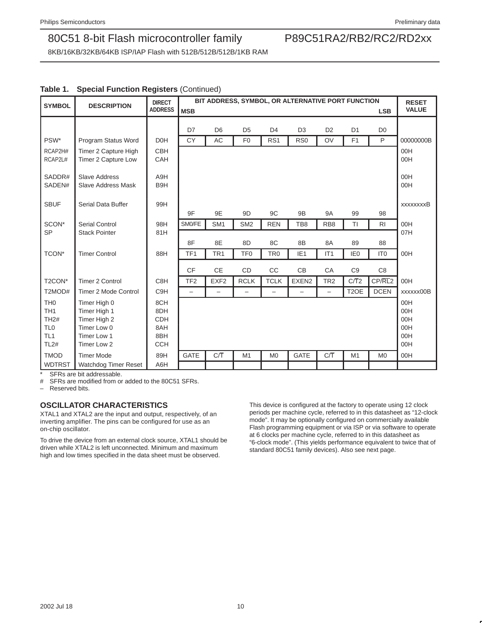8KB/16KB/32KB/64KB ISP/IAP Flash with 512B/512B/512B/1KB RAM

|  |  |  |  | Table 1. Special Function Registers (Continued) |  |
|--|--|--|--|-------------------------------------------------|--|
|--|--|--|--|-------------------------------------------------|--|

| <b>SYMBOL</b>      | <b>DESCRIPTION</b>                            | <b>DIRECT</b><br><b>ADDRESS</b> |                          | BIT ADDRESS, SYMBOL, OR ALTERNATIVE PORT FUNCTION<br><b>LSB</b> |                 |                          |                          |                          |                   |                 |                  |
|--------------------|-----------------------------------------------|---------------------------------|--------------------------|-----------------------------------------------------------------|-----------------|--------------------------|--------------------------|--------------------------|-------------------|-----------------|------------------|
|                    |                                               |                                 | <b>MSB</b>               |                                                                 |                 |                          |                          |                          |                   |                 | <b>VALUE</b>     |
|                    |                                               |                                 | D7                       | D <sub>6</sub>                                                  | D <sub>5</sub>  | D <sub>4</sub>           | D <sub>3</sub>           | D <sub>2</sub>           | D <sub>1</sub>    | D <sub>0</sub>  |                  |
| PSW*               | Program Status Word                           | D <sub>OH</sub>                 | <b>CY</b>                | AC                                                              | F <sub>0</sub>  | RS <sub>1</sub>          | R <sub>S0</sub>          | OV                       | F <sub>1</sub>    | P               | 00000000B        |
| RCAP2H#            | Timer 2 Capture High                          | <b>CBH</b>                      |                          |                                                                 |                 |                          |                          |                          |                   |                 | 00H              |
| RCAP2L#            | Timer 2 Capture Low                           | CAH                             |                          |                                                                 |                 |                          |                          |                          |                   |                 | 00H              |
|                    |                                               |                                 |                          |                                                                 |                 |                          |                          |                          |                   |                 |                  |
| SADDR#             | <b>Slave Address</b>                          | A9H                             |                          |                                                                 |                 |                          |                          |                          |                   |                 | 00H              |
| SADEN#             | <b>Slave Address Mask</b>                     | B <sub>9</sub> H                |                          |                                                                 |                 |                          |                          |                          |                   |                 | 00H              |
|                    |                                               |                                 |                          |                                                                 |                 |                          |                          |                          |                   |                 |                  |
| <b>SBUF</b>        | Serial Data Buffer                            | 99H                             | 9F                       | 9E                                                              | 9 <sub>D</sub>  | 9C                       | 9B                       | <b>9A</b>                | 99                | 98              | <b>xxxxxxxxB</b> |
|                    |                                               |                                 |                          |                                                                 |                 |                          |                          |                          |                   |                 |                  |
| SCON*<br><b>SP</b> | <b>Serial Control</b><br><b>Stack Pointer</b> | 98H<br>81H                      | SM0/FE                   | SM <sub>1</sub>                                                 | SM <sub>2</sub> | <b>REN</b>               | TB8                      | RB <sub>8</sub>          | TI                | R <sub>1</sub>  | 00H<br>07H       |
|                    |                                               |                                 |                          |                                                                 |                 |                          |                          |                          |                   |                 |                  |
|                    |                                               |                                 | 8F                       | 8E                                                              | 8D              | 8C                       | 8B                       | 8A                       | 89                | 88              |                  |
| TCON*              | <b>Timer Control</b>                          | 88H                             | TF <sub>1</sub>          | TR <sub>1</sub>                                                 | TF <sub>0</sub> | TR <sub>0</sub>          | IE <sub>1</sub>          | IT <sub>1</sub>          | IE <sub>0</sub>   | IT <sub>0</sub> | 00H              |
|                    |                                               |                                 | <b>CF</b>                | <b>CE</b>                                                       | CD              | CC                       | CB                       | CA                       | C <sub>9</sub>    | C <sub>8</sub>  |                  |
| T2CON*             | <b>Timer 2 Control</b>                        | C8H                             | TF <sub>2</sub>          | EXF <sub>2</sub>                                                | <b>RCLK</b>     | <b>TCLK</b>              | EXEN <sub>2</sub>        | TR <sub>2</sub>          | C/T2              | CP/RL2          | 00H              |
| T2MOD#             | Timer 2 Mode Control                          | C9H                             | $\overline{\phantom{m}}$ |                                                                 | -               | $\overline{\phantom{0}}$ | $\overline{\phantom{0}}$ | $\overline{\phantom{0}}$ | T <sub>2</sub> OE | <b>DCEN</b>     | xxxxxx00B        |
| TH <sub>0</sub>    | Timer High 0                                  | 8CH                             |                          |                                                                 |                 |                          |                          |                          |                   |                 | 00H              |
| TH <sub>1</sub>    | Timer High 1                                  | 8DH                             |                          |                                                                 |                 |                          |                          |                          |                   |                 | 00H              |
| <b>TH2#</b>        | Timer High 2                                  | <b>CDH</b>                      |                          |                                                                 |                 |                          |                          |                          |                   |                 | 00H              |
| TL <sub>0</sub>    | Timer Low 0                                   | 8AH                             |                          |                                                                 |                 |                          |                          |                          |                   |                 | 00H              |
| TL <sub>1</sub>    | Timer Low 1                                   | 8BH                             |                          |                                                                 |                 |                          |                          |                          |                   |                 | 00H              |
| <b>TL2#</b>        | Timer Low 2                                   | <b>CCH</b>                      |                          |                                                                 |                 |                          |                          |                          |                   |                 | 00H              |
| <b>TMOD</b>        | <b>Timer Mode</b>                             | 89H                             | <b>GATE</b>              | C/T                                                             | M1              | M <sub>0</sub>           | <b>GATE</b>              | C/T                      | M1                | M <sub>0</sub>  | 00H              |
| <b>WDTRST</b>      | Watchdog Timer Reset                          | A6H                             |                          |                                                                 |                 |                          |                          |                          |                   |                 |                  |

SFRs are bit addressable.

# SFRs are modified from or added to the 80C51 SFRs.

Reserved bits.

### **OSCILLATOR CHARACTERISTICS**

XTAL1 and XTAL2 are the input and output, respectively, of an inverting amplifier. The pins can be configured for use as an on-chip oscillator.

To drive the device from an external clock source, XTAL1 should be driven while XTAL2 is left unconnected. Minimum and maximum high and low times specified in the data sheet must be observed.

This device is configured at the factory to operate using 12 clock periods per machine cycle, referred to in this datasheet as "12-clock mode". It may be optionally configured on commercially available Flash programming equipment or via ISP or via software to operate at 6 clocks per machine cycle, referred to in this datasheet as "6-clock mode". (This yields performance equivalent to twice that of standard 80C51 family devices). Also see next page.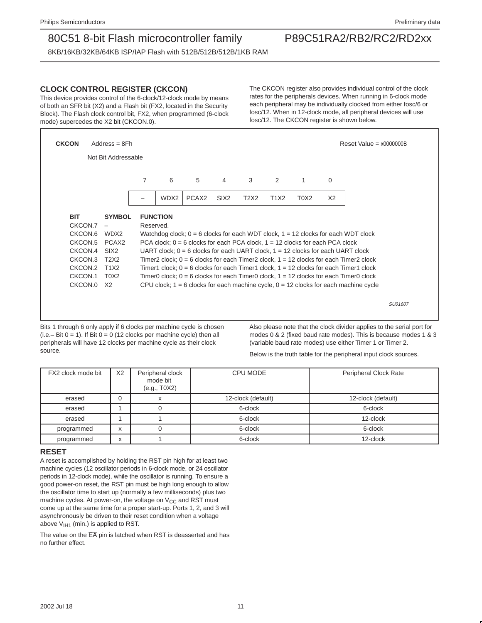8KB/16KB/32KB/64KB ISP/IAP Flash with 512B/512B/512B/1KB RAM

### **CLOCK CONTROL REGISTER (CKCON)**

This device provides control of the 6-clock/12-clock mode by means of both an SFR bit (X2) and a Flash bit (FX2, located in the Security Block). The Flash clock control bit, FX2, when programmed (6-clock mode) supercedes the X2 bit (CKCON.0).

The CKCON register also provides individual control of the clock rates for the peripherals devices. When running in 6-clock mode each peripheral may be individually clocked from either fosc/6 or fosc/12. When in 12-clock mode, all peripheral devices will use fosc/12. The CKCON register is shown below.

| <b>CKCON</b> | $Address = 8Fh$               |           |                                                                                     |                   |                  |             |             |      |                | Reset Value = $x0000000B$                                                                 |
|--------------|-------------------------------|-----------|-------------------------------------------------------------------------------------|-------------------|------------------|-------------|-------------|------|----------------|-------------------------------------------------------------------------------------------|
|              | Not Bit Addressable           |           |                                                                                     |                   |                  |             |             |      |                |                                                                                           |
|              |                               | 7         | 6                                                                                   | 5                 | $\overline{4}$   | 3           | 2           | 1    | 0              |                                                                                           |
|              |                               |           | WDX2                                                                                | PCAX <sub>2</sub> | SIX <sub>2</sub> | <b>T2X2</b> | <b>T1X2</b> | T0X2 | X <sub>2</sub> |                                                                                           |
| <b>BIT</b>   | <b>SYMBOL</b>                 |           | <b>FUNCTION</b>                                                                     |                   |                  |             |             |      |                |                                                                                           |
| CKCON.7      |                               | Reserved. |                                                                                     |                   |                  |             |             |      |                |                                                                                           |
| CKCON.6      | WDX2                          |           |                                                                                     |                   |                  |             |             |      |                | Watchdog clock; $0 = 6$ clocks for each WDT clock, $1 = 12$ clocks for each WDT clock     |
| CKCON.5      | PCAX <sub>2</sub>             |           | PCA clock; $0 = 6$ clocks for each PCA clock, $1 = 12$ clocks for each PCA clock    |                   |                  |             |             |      |                |                                                                                           |
| CKCON.4      | SIX <sub>2</sub>              |           | UART clock; $0 = 6$ clocks for each UART clock, $1 = 12$ clocks for each UART clock |                   |                  |             |             |      |                |                                                                                           |
| CKCON.3      | T <sub>2</sub> X <sub>2</sub> |           |                                                                                     |                   |                  |             |             |      |                | Timer2 clock; $0 = 6$ clocks for each Timer2 clock, $1 = 12$ clocks for each Timer2 clock |
| CKCON.2      | T1X2                          |           |                                                                                     |                   |                  |             |             |      |                | Timer1 clock; $0 = 6$ clocks for each Timer1 clock, $1 = 12$ clocks for each Timer1 clock |
| CKCON.1      | T0X2                          |           |                                                                                     |                   |                  |             |             |      |                | Timer0 clock; $0 = 6$ clocks for each Timer0 clock, $1 = 12$ clocks for each Timer0 clock |
| CKCON.0      | X2                            |           |                                                                                     |                   |                  |             |             |      |                | CPU clock; $1 = 6$ clocks for each machine cycle, $0 = 12$ clocks for each machine cycle  |
|              |                               |           |                                                                                     |                   |                  |             |             |      |                | SU01607                                                                                   |

Bits 1 through 6 only apply if 6 clocks per machine cycle is chosen  $(i.e. – Bit 0 = 1)$ . If Bit  $0 = 0$  (12 clocks per machine cycle) then all peripherals will have 12 clocks per machine cycle as their clock source.

Also please note that the clock divider applies to the serial port for modes 0 & 2 (fixed baud rate modes). This is because modes 1 & 3 (variable baud rate modes) use either Timer 1 or Timer 2.

Below is the truth table for the peripheral input clock sources.

| FX2 clock mode bit | X <sub>2</sub>            | Peripheral clock<br>mode bit<br>(e.g., T0X2) | CPU MODE           | Peripheral Clock Rate |
|--------------------|---------------------------|----------------------------------------------|--------------------|-----------------------|
| erased             |                           | X                                            | 12-clock (default) | 12-clock (default)    |
| erased             |                           |                                              | 6-clock            | 6-clock               |
| erased             |                           |                                              | 6-clock            | 12-clock              |
| programmed         | $\ddot{\phantom{0}}$<br>ᄉ |                                              | 6-clock            | 6-clock               |
| programmed         | $\lambda$                 |                                              | 6-clock            | 12-clock              |

### **RESET**

A reset is accomplished by holding the RST pin high for at least two machine cycles (12 oscillator periods in 6-clock mode, or 24 oscillator periods in 12-clock mode), while the oscillator is running. To ensure a good power-on reset, the RST pin must be high long enough to allow the oscillator time to start up (normally a few milliseconds) plus two machine cycles. At power-on, the voltage on  $V_{CC}$  and RST must come up at the same time for a proper start-up. Ports 1, 2, and 3 will asynchronously be driven to their reset condition when a voltage above  $V_{I}H1$  (min.) is applied to RST.

The value on the  $\overline{\mathsf{EA}}$  pin is latched when RST is deasserted and has no further effect.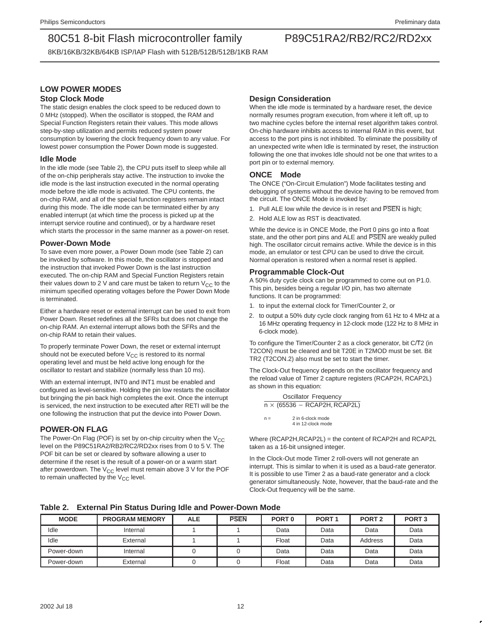8KB/16KB/32KB/64KB ISP/IAP Flash with 512B/512B/512B/1KB RAM

### **LOW POWER MODES Stop Clock Mode**

The static design enables the clock speed to be reduced down to 0 MHz (stopped). When the oscillator is stopped, the RAM and Special Function Registers retain their values. This mode allows step-by-step utilization and permits reduced system power consumption by lowering the clock frequency down to any value. For lowest power consumption the Power Down mode is suggested.

### **Idle Mode**

In the idle mode (see Table 2), the CPU puts itself to sleep while all of the on-chip peripherals stay active. The instruction to invoke the idle mode is the last instruction executed in the normal operating mode before the idle mode is activated. The CPU contents, the on-chip RAM, and all of the special function registers remain intact during this mode. The idle mode can be terminated either by any enabled interrupt (at which time the process is picked up at the interrupt service routine and continued), or by a hardware reset which starts the processor in the same manner as a power-on reset.

### **Power-Down Mode**

To save even more power, a Power Down mode (see Table 2) can be invoked by software. In this mode, the oscillator is stopped and the instruction that invoked Power Down is the last instruction executed. The on-chip RAM and Special Function Registers retain their values down to 2 V and care must be taken to return  $V_{CC}$  to the minimum specified operating voltages before the Power Down Mode is terminated.

Either a hardware reset or external interrupt can be used to exit from Power Down. Reset redefines all the SFRs but does not change the on-chip RAM. An external interrupt allows both the SFRs and the on-chip RAM to retain their values.

To properly terminate Power Down, the reset or external interrupt should not be executed before  $V_{CC}$  is restored to its normal operating level and must be held active long enough for the oscillator to restart and stabilize (normally less than 10 ms).

With an external interrupt, INT0 and INT1 must be enabled and configured as level-sensitive. Holding the pin low restarts the oscillator but bringing the pin back high completes the exit. Once the interrupt is serviced, the next instruction to be executed after RETI will be the one following the instruction that put the device into Power Down.

### **POWER-ON FLAG**

The Power-On Flag (POF) is set by on-chip circuitry when the  $V_{CC}$ level on the P89C51RA2/RB2/RC2/RD2xx rises from 0 to 5 V. The POF bit can be set or cleared by software allowing a user to determine if the reset is the result of a power-on or a warm start after powerdown. The  $V_{CC}$  level must remain above 3 V for the POF to remain unaffected by the  $V_{CC}$  level.

### **Design Consideration**

When the idle mode is terminated by a hardware reset, the device normally resumes program execution, from where it left off, up to two machine cycles before the internal reset algorithm takes control. On-chip hardware inhibits access to internal RAM in this event, but access to the port pins is not inhibited. To eliminate the possibility of an unexpected write when Idle is terminated by reset, the instruction following the one that invokes Idle should not be one that writes to a port pin or to external memory.

### **ONCE<sup>™</sup> Mode**

The ONCE ("On-Circuit Emulation") Mode facilitates testing and debugging of systems without the device having to be removed from the circuit. The ONCE Mode is invoked by:

- 1. Pull ALE low while the device is in reset and PSEN is high;
- 2. Hold ALE low as RST is deactivated.

While the device is in ONCE Mode, the Port 0 pins go into a float state, and the other port pins and ALE and PSEN are weakly pulled high. The oscillator circuit remains active. While the device is in this mode, an emulator or test CPU can be used to drive the circuit. Normal operation is restored when a normal reset is applied.

### **Programmable Clock-Out**

A 50% duty cycle clock can be programmed to come out on P1.0. This pin, besides being a regular I/O pin, has two alternate functions. It can be programmed:

- 1. to input the external clock for Timer/Counter 2, or
- 2. to output a 50% duty cycle clock ranging from 61 Hz to 4 MHz at a 16 MHz operating frequency in 12-clock mode (122 Hz to 8 MHz in 6-clock mode).

To configure the Timer/Counter 2 as a clock generator, bit C/T2 (in T2CON) must be cleared and bit T20E in T2MOD must be set. Bit TR2 (T2CON.2) also must be set to start the timer.

The Clock-Out frequency depends on the oscillator frequency and the reload value of Timer 2 capture registers (RCAP2H, RCAP2L) as shown in this equation:

Oscillator Frequency  $n \times (65536 - RCAP2H, RCAP2L)$  $n = 2$  in 6-clock mode 4 in 12-clock mode

Where (RCAP2H,RCAP2L) = the content of RCAP2H and RCAP2L taken as a 16-bit unsigned integer.

In the Clock-Out mode Timer 2 roll-overs will not generate an interrupt. This is similar to when it is used as a baud-rate generator. It is possible to use Timer 2 as a baud-rate generator and a clock generator simultaneously. Note, however, that the baud-rate and the Clock-Out frequency will be the same.

**Table 2. External Pin Status During Idle and Power-Down Mode**

| <b>MODE</b> | <b>PROGRAM MEMORY</b> | <b>ALE</b> | <b>PSEN</b> | PORT <sub>0</sub> | PORT <sub>1</sub> | PORT <sub>2</sub> | PORT <sub>3</sub> |
|-------------|-----------------------|------------|-------------|-------------------|-------------------|-------------------|-------------------|
| Idle        | Internal              |            |             | Data              | Data              | Data              | Data              |
| Idle        | External              |            |             | Float             | Data              | Address           | Data              |
| Power-down  | Internal              |            |             | Data              | Data              | Data              | Data              |
| Power-down  | External              |            |             | Float             | Data              | Data              | Data              |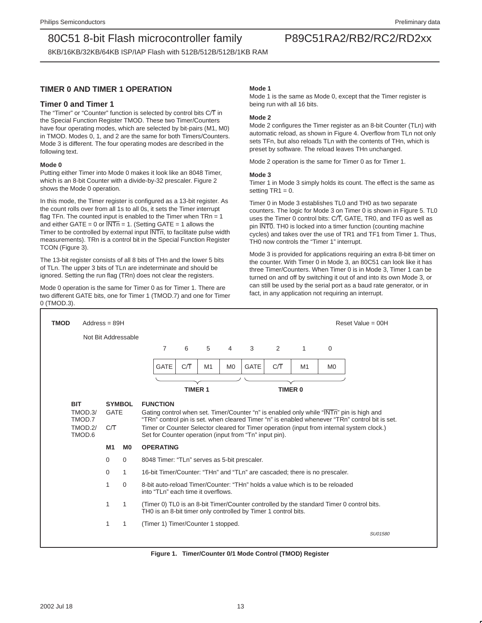8KB/16KB/32KB/64KB ISP/IAP Flash with 512B/512B/512B/1KB RAM

### **TIMER 0 AND TIMER 1 OPERATION**

### **Timer 0 and Timer 1**

The "Timer" or "Counter" function is selected by control bits C/T in the Special Function Register TMOD. These two Timer/Counters have four operating modes, which are selected by bit-pairs (M1, M0) in TMOD. Modes 0, 1, and 2 are the same for both Timers/Counters. Mode 3 is different. The four operating modes are described in the following text.

#### **Mode 0**

Putting either Timer into Mode 0 makes it look like an 8048 Timer, which is an 8-bit Counter with a divide-by-32 prescaler. Figure 2 shows the Mode 0 operation.

In this mode, the Timer register is configured as a 13-bit register. As the count rolls over from all 1s to all 0s, it sets the Timer interrupt flag TFn. The counted input is enabled to the Timer when  $TRn = 1$ and either GATE = 0 or  $\overline{INTn}$  = 1. (Setting GATE = 1 allows the Timer to be controlled by external input INTn, to facilitate pulse width measurements). TRn is a control bit in the Special Function Register TCON (Figure 3).

The 13-bit register consists of all 8 bits of THn and the lower 5 bits of TLn. The upper 3 bits of TLn are indeterminate and should be ignored. Setting the run flag (TRn) does not clear the registers.

Mode 0 operation is the same for Timer 0 as for Timer 1. There are two different GATE bits, one for Timer 1 (TMOD.7) and one for Timer 0 (TMOD.3).

#### **Mode 1**

Mode 1 is the same as Mode 0, except that the Timer register is being run with all 16 bits.

#### **Mode 2**

Mode 2 configures the Timer register as an 8-bit Counter (TLn) with automatic reload, as shown in Figure 4. Overflow from TLn not only sets TFn, but also reloads TLn with the contents of THn, which is preset by software. The reload leaves THn unchanged.

Mode 2 operation is the same for Timer 0 as for Timer 1.

#### **Mode 3**

Timer 1 in Mode 3 simply holds its count. The effect is the same as setting  $TR1 = 0$ .

Timer 0 in Mode 3 establishes TL0 and TH0 as two separate counters. The logic for Mode 3 on Timer 0 is shown in Figure 5. TL0 uses the Timer 0 control bits: C/T, GATE, TR0, and TF0 as well as pin INT0. TH0 is locked into a timer function (counting machine cycles) and takes over the use of TR1 and TF1 from Timer 1. Thus, TH0 now controls the "Timer 1" interrupt.

Mode 3 is provided for applications requiring an extra 8-bit timer on the counter. With Timer 0 in Mode 3, an 80C51 can look like it has three Timer/Counters. When Timer 0 is in Mode 3, Timer 1 can be turned on and off by switching it out of and into its own Mode 3, or can still be used by the serial port as a baud rate generator, or in fact, in any application not requiring an interrupt.



**Figure 1. Timer/Counter 0/1 Mode Control (TMOD) Register**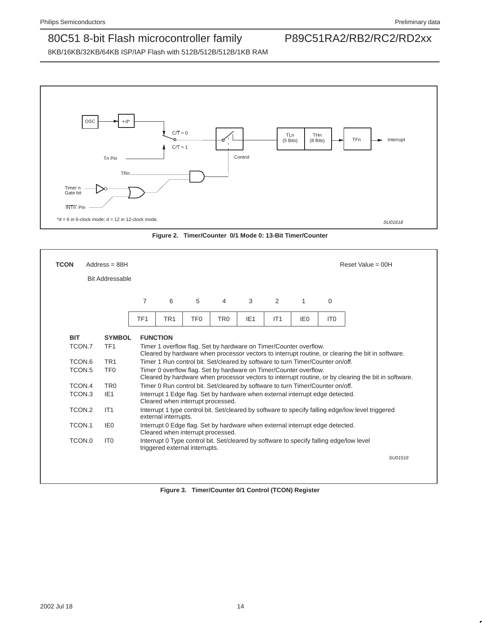8KB/16KB/32KB/64KB ISP/IAP Flash with 512B/512B/512B/1KB RAM





| <b>TCON</b> | $Address = 88H$        |                 |                                                                                                                                                                           |                 |                 |                                                                                         |     |                 |                 | Reset Value = $00H$                                                                               |
|-------------|------------------------|-----------------|---------------------------------------------------------------------------------------------------------------------------------------------------------------------------|-----------------|-----------------|-----------------------------------------------------------------------------------------|-----|-----------------|-----------------|---------------------------------------------------------------------------------------------------|
|             | <b>Bit Addressable</b> |                 |                                                                                                                                                                           |                 |                 |                                                                                         |     |                 |                 |                                                                                                   |
|             |                        | 7               | 6                                                                                                                                                                         | 5               | 4               | 3                                                                                       | 2   | 1               | $\mathbf 0$     |                                                                                                   |
|             |                        | TF <sub>1</sub> | TR <sub>1</sub>                                                                                                                                                           | TF <sub>0</sub> | TR <sub>0</sub> | IE <sub>1</sub>                                                                         | IT1 | IE <sub>0</sub> | IT <sub>0</sub> |                                                                                                   |
| <b>BIT</b>  | <b>SYMBOL</b>          |                 | <b>FUNCTION</b>                                                                                                                                                           |                 |                 |                                                                                         |     |                 |                 |                                                                                                   |
| TCON.7      | TF <sub>1</sub>        |                 |                                                                                                                                                                           |                 |                 | Timer 1 overflow flag. Set by hardware on Timer/Counter overflow.                       |     |                 |                 | Cleared by hardware when processor vectors to interrupt routine, or clearing the bit in software. |
| TCON.6      | TR <sub>1</sub>        |                 | Timer 1 Run control bit. Set/cleared by software to turn Timer/Counter on/off.                                                                                            |                 |                 |                                                                                         |     |                 |                 |                                                                                                   |
| TCON.5      | TF <sub>0</sub>        |                 | Timer 0 overflow flag. Set by hardware on Timer/Counter overflow.<br>Cleared by hardware when processor vectors to interrupt routine, or by clearing the bit in software. |                 |                 |                                                                                         |     |                 |                 |                                                                                                   |
| TCON.4      | TR <sub>0</sub>        |                 |                                                                                                                                                                           |                 |                 | Timer 0 Run control bit. Set/cleared by software to turn Timer/Counter on/off.          |     |                 |                 |                                                                                                   |
| TCON.3      | IE <sub>1</sub>        |                 | Cleared when interrupt processed.                                                                                                                                         |                 |                 | Interrupt 1 Edge flag. Set by hardware when external interrupt edge detected.           |     |                 |                 |                                                                                                   |
| TCON.2      | IT1                    |                 | external interrupts.                                                                                                                                                      |                 |                 |                                                                                         |     |                 |                 | Interrupt 1 type control bit. Set/cleared by software to specify falling edge/low level triggered |
| TCON.1      | IE0                    |                 | Cleared when interrupt processed.                                                                                                                                         |                 |                 | Interrupt 0 Edge flag. Set by hardware when external interrupt edge detected.           |     |                 |                 |                                                                                                   |
| TCON.0      | IT <sub>0</sub>        |                 | triggered external interrupts.                                                                                                                                            |                 |                 | Interrupt 0 Type control bit. Set/cleared by software to specify falling edge/low level |     |                 |                 |                                                                                                   |
|             |                        |                 |                                                                                                                                                                           |                 |                 |                                                                                         |     |                 |                 | SU01516                                                                                           |
|             |                        |                 |                                                                                                                                                                           |                 |                 |                                                                                         |     |                 |                 |                                                                                                   |

**Figure 3. Timer/Counter 0/1 Control (TCON) Register**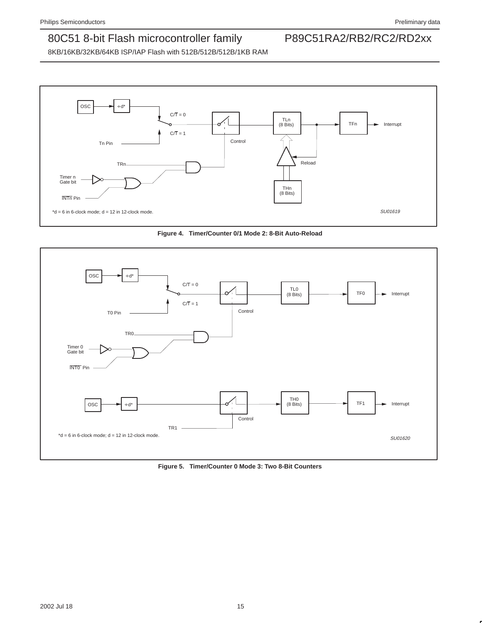





**Figure 5. Timer/Counter 0 Mode 3: Two 8-Bit Counters**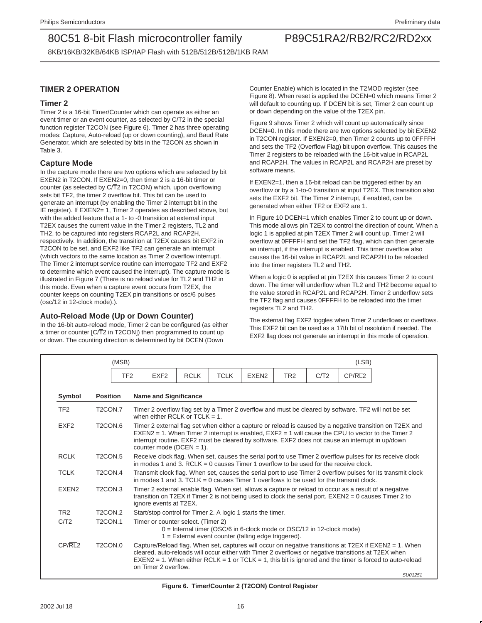8KB/16KB/32KB/64KB ISP/IAP Flash with 512B/512B/512B/1KB RAM

### **TIMER 2 OPERATION**

### **Timer 2**

Timer 2 is a 16-bit Timer/Counter which can operate as either an event timer or an event counter, as selected by C/T2 in the special function register T2CON (see Figure 6). Timer 2 has three operating modes: Capture, Auto-reload (up or down counting), and Baud Rate Generator, which are selected by bits in the T2CON as shown in Table 3.

### **Capture Mode**

In the capture mode there are two options which are selected by bit EXEN2 in T2CON. If EXEN2=0, then timer 2 is a 16-bit timer or counter (as selected by C/T2 in T2CON) which, upon overflowing sets bit TF2, the timer 2 overflow bit. This bit can be used to generate an interrupt (by enabling the Timer 2 interrupt bit in the IE register). If EXEN2= 1, Timer 2 operates as described above, but with the added feature that a 1- to -0 transition at external input T2EX causes the current value in the Timer 2 registers, TL2 and TH2, to be captured into registers RCAP2L and RCAP2H, respectively. In addition, the transition at T2EX causes bit EXF2 in T2CON to be set, and EXF2 like TF2 can generate an interrupt (which vectors to the same location as Timer 2 overflow interrupt. The Timer 2 interrupt service routine can interrogate TF2 and EXF2 to determine which event caused the interrupt). The capture mode is illustrated in Figure 7 (There is no reload value for TL2 and TH2 in this mode. Even when a capture event occurs from T2EX, the counter keeps on counting T2EX pin transitions or osc/6 pulses (osc/12 in 12-clock mode).).

### **Auto-Reload Mode (Up or Down Counter)**

In the 16-bit auto-reload mode, Timer 2 can be configured (as either a timer or counter [C/T2 in T2CON]) then programmed to count up or down. The counting direction is determined by bit DCEN (Down

Counter Enable) which is located in the T2MOD register (see Figure 8). When reset is applied the DCEN=0 which means Timer 2 will default to counting up. If DCEN bit is set, Timer 2 can count up or down depending on the value of the T2EX pin.

Figure 9 shows Timer 2 which will count up automatically since DCEN=0. In this mode there are two options selected by bit EXEN2 in T2CON register. If EXEN2=0, then Timer 2 counts up to 0FFFFH and sets the TF2 (Overflow Flag) bit upon overflow. This causes the Timer 2 registers to be reloaded with the 16-bit value in RCAP2L and RCAP2H. The values in RCAP2L and RCAP2H are preset by software means.

If EXEN2=1, then a 16-bit reload can be triggered either by an overflow or by a 1-to-0 transition at input T2EX. This transition also sets the EXF2 bit. The Timer 2 interrupt, if enabled, can be generated when either TF2 or EXF2 are 1.

In Figure 10 DCEN=1 which enables Timer 2 to count up or down. This mode allows pin T2EX to control the direction of count. When a logic 1 is applied at pin T2EX Timer 2 will count up. Timer 2 will overflow at 0FFFFH and set the TF2 flag, which can then generate an interrupt, if the interrupt is enabled. This timer overflow also causes the 16-bit value in RCAP2L and RCAP2H to be reloaded into the timer registers TL2 and TH2.

When a logic 0 is applied at pin T2EX this causes Timer 2 to count down. The timer will underflow when TL2 and TH2 become equal to the value stored in RCAP2L and RCAP2H. Timer 2 underflow sets the TF2 flag and causes 0FFFFH to be reloaded into the timer registers TL2 and TH2.

The external flag EXF2 toggles when Timer 2 underflows or overflows. This EXF2 bit can be used as a 17th bit of resolution if needed. The EXF2 flag does not generate an interrupt in this mode of operation.

|                   | (MSB)                            |                 |                                                                                                                                                                                                                                                                                                                                                         |             |             |                                                             |                 |      | (LSB)   |  |
|-------------------|----------------------------------|-----------------|---------------------------------------------------------------------------------------------------------------------------------------------------------------------------------------------------------------------------------------------------------------------------------------------------------------------------------------------------------|-------------|-------------|-------------------------------------------------------------|-----------------|------|---------|--|
|                   |                                  | TF <sub>2</sub> | EXF <sub>2</sub>                                                                                                                                                                                                                                                                                                                                        | <b>RCLK</b> | <b>TCLK</b> | EXEN <sub>2</sub>                                           | TR <sub>2</sub> | C/T2 | CP/RL2  |  |
| Symbol            | <b>Position</b>                  |                 | <b>Name and Significance</b>                                                                                                                                                                                                                                                                                                                            |             |             |                                                             |                 |      |         |  |
| TF <sub>2</sub>   | T <sub>2</sub> CON.7             |                 | Timer 2 overflow flag set by a Timer 2 overflow and must be cleared by software. TF2 will not be set<br>when either RCLK or TCLK = $1$ .                                                                                                                                                                                                                |             |             |                                                             |                 |      |         |  |
| EXF <sub>2</sub>  | T <sub>2</sub> CON <sub>.6</sub> |                 | Timer 2 external flag set when either a capture or reload is caused by a negative transition on T2EX and<br>$EXEN2 = 1$ . When Timer 2 interrupt is enabled, $EXF2 = 1$ will cause the CPU to vector to the Timer 2<br>interrupt routine. EXF2 must be cleared by software. EXF2 does not cause an interrupt in up/down<br>counter mode ( $DCEN = 1$ ). |             |             |                                                             |                 |      |         |  |
| <b>RCLK</b>       | T <sub>2</sub> CON <sub>.5</sub> |                 | Receive clock flag. When set, causes the serial port to use Timer 2 overflow pulses for its receive clock<br>in modes 1 and 3. RCLK = 0 causes Timer 1 overflow to be used for the receive clock.                                                                                                                                                       |             |             |                                                             |                 |      |         |  |
| <b>TCLK</b>       | T <sub>2</sub> CON <sub>.4</sub> |                 | Transmit clock flag. When set, causes the serial port to use Timer 2 overflow pulses for its transmit clock<br>in modes 1 and 3. TCLK = 0 causes Timer 1 overflows to be used for the transmit clock.                                                                                                                                                   |             |             |                                                             |                 |      |         |  |
| EXEN <sub>2</sub> | T <sub>2</sub> CON <sub>.3</sub> |                 | Timer 2 external enable flag. When set, allows a capture or reload to occur as a result of a negative<br>transition on T2EX if Timer 2 is not being used to clock the serial port. $EXEN2 = 0$ causes Timer 2 to<br>ignore events at T2EX.                                                                                                              |             |             |                                                             |                 |      |         |  |
| TR <sub>2</sub>   | T <sub>2</sub> CON <sub>2</sub>  |                 |                                                                                                                                                                                                                                                                                                                                                         |             |             | Start/stop control for Timer 2. A logic 1 starts the timer. |                 |      |         |  |
| C/T2              | T <sub>2</sub> CON.1             |                 | Timer or counter select. (Timer 2)<br>0 = Internal timer (OSC/6 in 6-clock mode or OSC/12 in 12-clock mode)<br>$1 =$ External event counter (falling edge triggered).                                                                                                                                                                                   |             |             |                                                             |                 |      |         |  |
| CP/RL2            | T <sub>2</sub> CON <sub>.0</sub> |                 | Capture/Reload flag. When set, captures will occur on negative transitions at T2EX if EXEN2 = 1. When<br>cleared, auto-reloads will occur either with Timer 2 overflows or negative transitions at T2EX when<br>$EXEN2 = 1$ . When either RCLK = 1 or TCLK = 1, this bit is ignored and the timer is forced to auto-reload<br>on Timer 2 overflow.      |             |             |                                                             |                 |      | SU01251 |  |

**Figure 6. Timer/Counter 2 (T2CON) Control Register**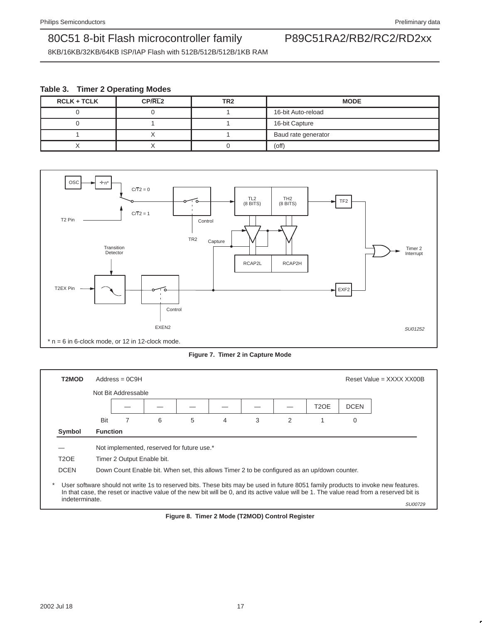8KB/16KB/32KB/64KB ISP/IAP Flash with 512B/512B/512B/1KB RAM

### **Table 3. Timer 2 Operating Modes**

| <b>RCLK + TCLK</b> | CP/RL2 | TR <sub>2</sub> | <b>MODE</b>         |
|--------------------|--------|-----------------|---------------------|
|                    |        |                 | 16-bit Auto-reload  |
|                    |        |                 | 16-bit Capture      |
|                    |        |                 | Baud rate generator |
|                    |        |                 | $($ off $)$         |



**Figure 7. Timer 2 in Capture Mode**

| T2MOD             |     | $Address = OC9H$           |                                                                                              |   |   |   |   |                   |             | Reset Value = $XXX$ XXX XX00B                                                                                                                                                                                                                                                             |
|-------------------|-----|----------------------------|----------------------------------------------------------------------------------------------|---|---|---|---|-------------------|-------------|-------------------------------------------------------------------------------------------------------------------------------------------------------------------------------------------------------------------------------------------------------------------------------------------|
|                   |     | Not Bit Addressable        |                                                                                              |   |   |   |   |                   |             |                                                                                                                                                                                                                                                                                           |
|                   |     |                            |                                                                                              |   |   |   |   | T <sub>2</sub> OE | <b>DCEN</b> |                                                                                                                                                                                                                                                                                           |
|                   | Bit | 7                          | 6                                                                                            | 5 | 4 | 3 | 2 |                   | $\mathbf 0$ |                                                                                                                                                                                                                                                                                           |
| Symbol            |     | <b>Function</b>            |                                                                                              |   |   |   |   |                   |             |                                                                                                                                                                                                                                                                                           |
|                   |     |                            | Not implemented, reserved for future use.*                                                   |   |   |   |   |                   |             |                                                                                                                                                                                                                                                                                           |
| T <sub>2</sub> OE |     | Timer 2 Output Enable bit. |                                                                                              |   |   |   |   |                   |             |                                                                                                                                                                                                                                                                                           |
| <b>DCEN</b>       |     |                            | Down Count Enable bit. When set, this allows Timer 2 to be configured as an up/down counter. |   |   |   |   |                   |             |                                                                                                                                                                                                                                                                                           |
| indeterminate.    |     |                            |                                                                                              |   |   |   |   |                   |             | User software should not write 1s to reserved bits. These bits may be used in future 8051 family products to invoke new features.<br>In that case, the reset or inactive value of the new bit will be 0, and its active value will be 1. The value read from a reserved bit is<br>SU00729 |

**Figure 8. Timer 2 Mode (T2MOD) Control Register**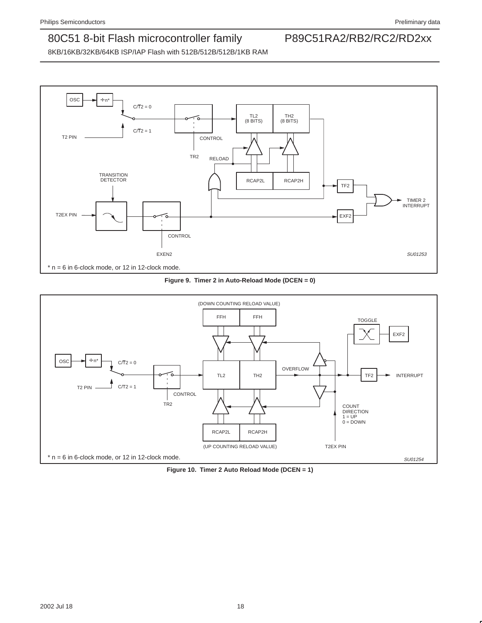

**Figure 9. Timer 2 in Auto-Reload Mode (DCEN = 0)**



**Figure 10. Timer 2 Auto Reload Mode (DCEN = 1)**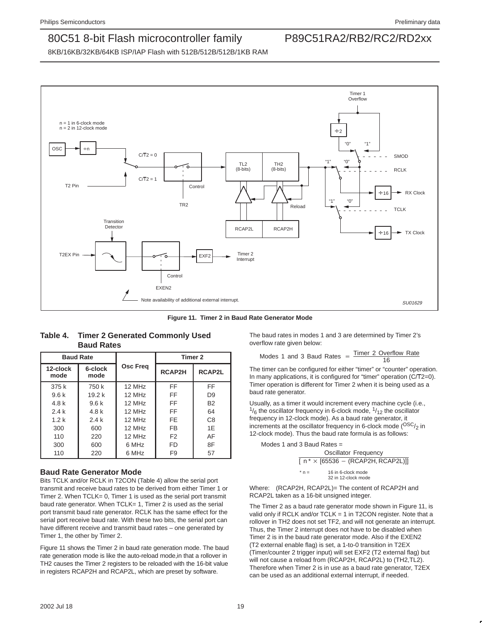8KB/16KB/32KB/64KB ISP/IAP Flash with 512B/512B/512B/1KB RAM



**Figure 11. Timer 2 in Baud Rate Generator Mode**

| <b>Baud Rate</b> |                   |                      | Timer 2        |                |  |  |
|------------------|-------------------|----------------------|----------------|----------------|--|--|
| 12-clock<br>mode | 6-clock<br>mode   | <b>Osc Freq</b>      | <b>RCAP2H</b>  | RCAP2L         |  |  |
| 375k             | 750 k             | 12 MHz               | FF.            | FF             |  |  |
| 9.6k             | 19.2 <sub>k</sub> | $12$ MH <sub>z</sub> | <b>FF</b>      | D <sub>9</sub> |  |  |
| 4.8k             | 9.6k              | $12$ MH <sub>z</sub> | <b>FF</b>      | <b>B2</b>      |  |  |
| 2.4k             | 4.8 k             | $12$ MH $z$          | <b>FF</b>      | 64             |  |  |
| 1.2k             | 2.4k              | 12 MHz               | FE.            | C <sub>8</sub> |  |  |
| 300              | 600               | 12 MHz               | <b>FB</b>      | 1E             |  |  |
| 110              | 220               | 12 MHz               | F <sub>2</sub> | AF             |  |  |
| 300              | 600               | 6 MHz                | <b>FD</b>      | 8F             |  |  |
| 110              | 220               | 6 MHz                | F9             | 57             |  |  |

| Table 4. Timer 2 Generated Commonly Used |
|------------------------------------------|
| <b>Baud Rates</b>                        |

### **Baud Rate Generator Mode**

Bits TCLK and/or RCLK in T2CON (Table 4) allow the serial port transmit and receive baud rates to be derived from either Timer 1 or Timer 2. When TCLK= 0, Timer 1 is used as the serial port transmit baud rate generator. When TCLK= 1, Timer 2 is used as the serial port transmit baud rate generator. RCLK has the same effect for the serial port receive baud rate. With these two bits, the serial port can have different receive and transmit baud rates – one generated by Timer 1, the other by Timer 2.

Figure 11 shows the Timer 2 in baud rate generation mode. The baud rate generation mode is like the auto-reload mode,in that a rollover in TH2 causes the Timer 2 registers to be reloaded with the 16-bit value in registers RCAP2H and RCAP2L, which are preset by software.

The baud rates in modes 1 and 3 are determined by Timer 2's overflow rate given below:

#### Modes 1 and 3 Baud Rates  $=$  Timer 2 Overflow Rate 16

The timer can be configured for either "timer" or "counter" operation. In many applications, it is configured for "timer" operation (C/T2=0). Timer operation is different for Timer 2 when it is being used as a baud rate generator.

Usually, as a timer it would increment every machine cycle (i.e.,  $\frac{1}{6}$  the oscillator frequency in 6-clock mode,  $\frac{1}{12}$  the oscillator frequency in 12-clock mode). As a baud rate generator, it increments at the oscillator frequency in 6-clock mode  $(^{OSC}_{22})$  in 12-clock mode). Thus the baud rate formula is as follows:

Modes 1 and 3 Baud Rates  $=$ 

|       | Oscillator Frequency                                  |
|-------|-------------------------------------------------------|
|       | $\lceil n^* \times [65536 - (RCAP2H, RCAP2L)] \rceil$ |
| $n =$ | 16 in 6-clock mode<br>32 in 12-clock mode             |

Where: (RCAP2H, RCAP2L)= The content of RCAP2H and RCAP2L taken as a 16-bit unsigned integer.

The Timer 2 as a baud rate generator mode shown in Figure 11, is valid only if RCLK and/or TCLK = 1 in T2CON register. Note that a rollover in TH2 does not set TF2, and will not generate an interrupt. Thus, the Timer 2 interrupt does not have to be disabled when Timer 2 is in the baud rate generator mode. Also if the EXEN2 (T2 external enable flag) is set, a 1-to-0 transition in T2EX (Timer/counter 2 trigger input) will set EXF2 (T2 external flag) but will not cause a reload from (RCAP2H, RCAP2L) to (TH2,TL2). Therefore when Timer 2 is in use as a baud rate generator, T2EX can be used as an additional external interrupt, if needed.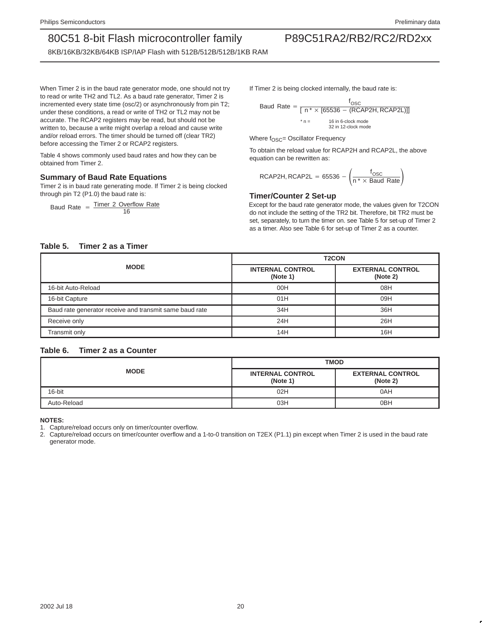8KB/16KB/32KB/64KB ISP/IAP Flash with 512B/512B/512B/1KB RAM

When Timer 2 is in the baud rate generator mode, one should not try to read or write TH2 and TL2. As a baud rate generator, Timer 2 is incremented every state time (osc/2) or asynchronously from pin T2; under these conditions, a read or write of TH2 or TL2 may not be accurate. The RCAP2 registers may be read, but should not be written to, because a write might overlap a reload and cause write and/or reload errors. The timer should be turned off (clear TR2) before accessing the Timer 2 or RCAP2 registers.

Table 4 shows commonly used baud rates and how they can be obtained from Timer 2.

### **Summary of Baud Rate Equations**

Timer 2 is in baud rate generating mode. If Timer 2 is being clocked through pin T2 (P1.0) the baud rate is:

Baud Rate  $=$  Timer 2 Overflow Rate 16

If Timer 2 is being clocked internally, the baud rate is:

Bad Rate =

\n
$$
\frac{f_{\text{OSC}}}{[n \times [65536 - (RCAP2H, RCAP2L)]]}
$$
\n
$$
* n = 16 \text{ in } 6 \cdot \text{clock mode}
$$
\n
$$
32 \text{ in } 12 \cdot \text{clock mode}
$$

Where  $f_{\text{OSC}} =$  Oscillator Frequency

To obtain the reload value for RCAP2H and RCAP2L, the above equation can be rewritten as:

$$
RCAP2H, RCAP2L = 65536 - \left(\frac{f_{OSC}}{n^* \times \text{Baud Rate}}\right)
$$

#### **Timer/Counter 2 Set-up**

Except for the baud rate generator mode, the values given for T2CON do not include the setting of the TR2 bit. Therefore, bit TR2 must be set, separately, to turn the timer on. see Table 5 for set-up of Timer 2 as a timer. Also see Table 6 for set-up of Timer 2 as a counter.

### **Table 5. Timer 2 as a Timer**

|                                                         | <b>T2CON</b>                        |                                     |  |  |  |
|---------------------------------------------------------|-------------------------------------|-------------------------------------|--|--|--|
| <b>MODE</b>                                             | <b>INTERNAL CONTROL</b><br>(Note 1) | <b>EXTERNAL CONTROL</b><br>(Note 2) |  |  |  |
| 16-bit Auto-Reload                                      | 00H                                 | 08H                                 |  |  |  |
| 16-bit Capture                                          | 01H                                 | 09H                                 |  |  |  |
| Baud rate generator receive and transmit same baud rate | 34H                                 | 36H                                 |  |  |  |
| Receive only                                            | 24H                                 | 26H                                 |  |  |  |
| Transmit only                                           | 14H                                 | 16H                                 |  |  |  |

### **Table 6. Timer 2 as a Counter**

|             | <b>TMOD</b>                         |                                     |  |  |  |
|-------------|-------------------------------------|-------------------------------------|--|--|--|
| <b>MODE</b> | <b>INTERNAL CONTROL</b><br>(Note 1) | <b>EXTERNAL CONTROL</b><br>(Note 2) |  |  |  |
| 16-bit      | 02H                                 | 0AH                                 |  |  |  |
| Auto-Reload | 03H                                 | 0 <sub>BH</sub>                     |  |  |  |

**NOTES:**

Capture/reload occurs only on timer/counter overflow.

2. Capture/reload occurs on timer/counter overflow and a 1-to-0 transition on T2EX (P1.1) pin except when Timer 2 is used in the baud rate generator mode.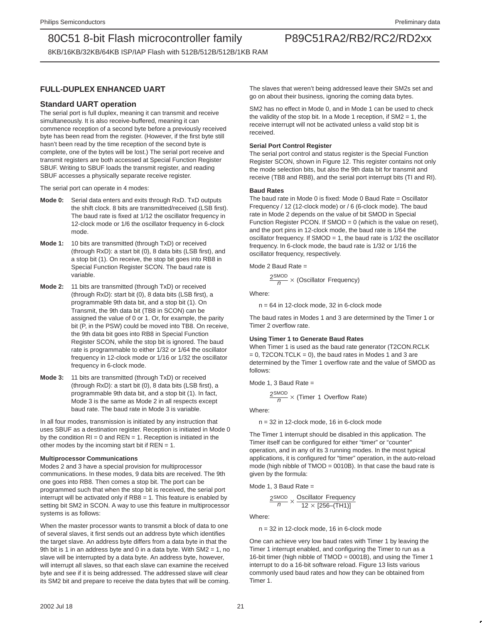8KB/16KB/32KB/64KB ISP/IAP Flash with 512B/512B/512B/1KB RAM

### **FULL-DUPLEX ENHANCED UART**

### **Standard UART operation**

The serial port is full duplex, meaning it can transmit and receive simultaneously. It is also receive-buffered, meaning it can commence reception of a second byte before a previously received byte has been read from the register. (However, if the first byte still hasn't been read by the time reception of the second byte is complete, one of the bytes will be lost.) The serial port receive and transmit registers are both accessed at Special Function Register SBUF. Writing to SBUF loads the transmit register, and reading SBUF accesses a physically separate receive register.

The serial port can operate in 4 modes:

- **Mode 0:** Serial data enters and exits through RxD. TxD outputs the shift clock. 8 bits are transmitted/received (LSB first). The baud rate is fixed at 1/12 the oscillator frequency in 12-clock mode or 1/6 the oscillator frequency in 6-clock mode.
- **Mode 1:** 10 bits are transmitted (through TxD) or received (through RxD): a start bit (0), 8 data bits (LSB first), and a stop bit (1). On receive, the stop bit goes into RB8 in Special Function Register SCON. The baud rate is variable.
- **Mode 2:** 11 bits are transmitted (through TxD) or received (through RxD): start bit (0), 8 data bits (LSB first), a programmable 9th data bit, and a stop bit (1). On Transmit, the 9th data bit (TB8 in SCON) can be assigned the value of 0 or 1. Or, for example, the parity bit (P, in the PSW) could be moved into TB8. On receive, the 9th data bit goes into RB8 in Special Function Register SCON, while the stop bit is ignored. The baud rate is programmable to either 1/32 or 1/64 the oscillator frequency in 12-clock mode or 1/16 or 1/32 the oscillator frequency in 6-clock mode.
- **Mode 3:** 11 bits are transmitted (through TxD) or received (through RxD): a start bit (0), 8 data bits (LSB first), a programmable 9th data bit, and a stop bit (1). In fact, Mode 3 is the same as Mode 2 in all respects except baud rate. The baud rate in Mode 3 is variable.

In all four modes, transmission is initiated by any instruction that uses SBUF as a destination register. Reception is initiated in Mode 0 by the condition  $RI = 0$  and  $REN = 1$ . Reception is initiated in the other modes by the incoming start bit if  $REN = 1$ .

#### **Multiprocessor Communications**

Modes 2 and 3 have a special provision for multiprocessor communications. In these modes, 9 data bits are received. The 9th one goes into RB8. Then comes a stop bit. The port can be programmed such that when the stop bit is received, the serial port interrupt will be activated only if RB8 = 1. This feature is enabled by setting bit SM2 in SCON. A way to use this feature in multiprocessor systems is as follows:

When the master processor wants to transmit a block of data to one of several slaves, it first sends out an address byte which identifies the target slave. An address byte differs from a data byte in that the 9th bit is 1 in an address byte and 0 in a data byte. With SM2 = 1, no slave will be interrupted by a data byte. An address byte, however, will interrupt all slaves, so that each slave can examine the received byte and see if it is being addressed. The addressed slave will clear its SM2 bit and prepare to receive the data bytes that will be coming.

The slaves that weren't being addressed leave their SM2s set and go on about their business, ignoring the coming data bytes.

SM2 has no effect in Mode 0, and in Mode 1 can be used to check the validity of the stop bit. In a Mode 1 reception, if  $SM2 = 1$ , the receive interrupt will not be activated unless a valid stop bit is received.

#### **Serial Port Control Register**

The serial port control and status register is the Special Function Register SCON, shown in Figure 12. This register contains not only the mode selection bits, but also the 9th data bit for transmit and receive (TB8 and RB8), and the serial port interrupt bits (TI and RI).

#### **Baud Rates**

The baud rate in Mode 0 is fixed: Mode 0 Baud Rate = Oscillator Frequency / 12 (12-clock mode) or / 6 (6-clock mode). The baud rate in Mode 2 depends on the value of bit SMOD in Special Function Register PCON. If  $SMOD = 0$  (which is the value on reset), and the port pins in 12-clock mode, the baud rate is 1/64 the oscillator frequency. If SMOD = 1, the baud rate is 1/32 the oscillator frequency. In 6-clock mode, the baud rate is 1/32 or 1/16 the oscillator frequency, respectively.

Mode 2 Baud Rate  $=$ 

$$
\frac{2^{SMOD}}{n} \times (Oscillator Frequency)
$$

Where:

 $n = 64$  in 12-clock mode, 32 in 6-clock mode

The baud rates in Modes 1 and 3 are determined by the Timer 1 or Timer 2 overflow rate.

#### **Using Timer 1 to Generate Baud Rates**

When Timer 1 is used as the baud rate generator (T2CON.RCLK  $= 0$ , T2CON.TCLK  $= 0$ ), the baud rates in Modes 1 and 3 are determined by the Timer 1 overflow rate and the value of SMOD as follows:

Mode 1, 3 Baud Rate =

$$
\frac{2^{SMOD}}{n} \times (\text{Timer 1 Overflow Rate})
$$

Where:

n = 32 in 12-clock mode, 16 in 6-clock mode

The Timer 1 interrupt should be disabled in this application. The Timer itself can be configured for either "timer" or "counter" operation, and in any of its 3 running modes. In the most typical applications, it is configured for "timer" operation, in the auto-reload mode (high nibble of TMOD = 0010B). In that case the baud rate is given by the formula:

Mode 1, 3 Baud Rate  $=$ 

$$
\frac{2^{SMOD}}{n} \times \frac{\text{Oscillator Frequency}}{12 \times [256-(TH)]}
$$

Where:

n = 32 in 12-clock mode, 16 in 6-clock mode

One can achieve very low baud rates with Timer 1 by leaving the Timer 1 interrupt enabled, and configuring the Timer to run as a 16-bit timer (high nibble of TMOD = 0001B), and using the Timer 1 interrupt to do a 16-bit software reload. Figure 13 lists various commonly used baud rates and how they can be obtained from Timer 1.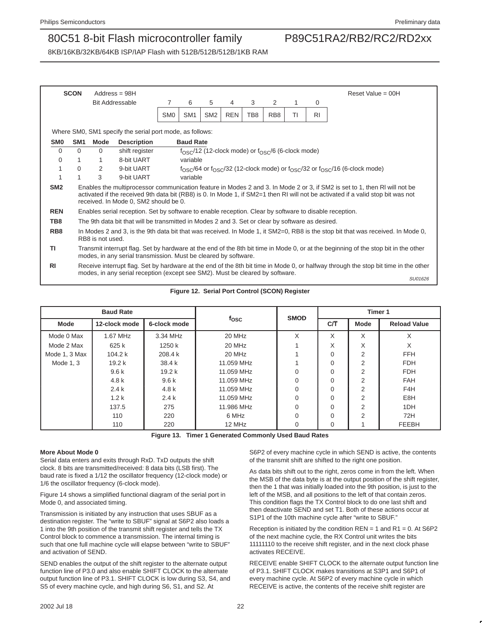SU01626

### 80C51 8-bit Flash microcontroller family P89C51RA2/RB2/RC2/RD2xx

8KB/16KB/32KB/64KB ISP/IAP Flash with 512B/512B/512B/1KB RAM

|                 | <b>SCON</b>     | $Address = 98H$                                                                                                                                                                                                      |                                                                                                        |                 |                  |                 |            |     |                                                                      |    |           | Reset Value = $00H$                                                                                                                                                                                                                                            |
|-----------------|-----------------|----------------------------------------------------------------------------------------------------------------------------------------------------------------------------------------------------------------------|--------------------------------------------------------------------------------------------------------|-----------------|------------------|-----------------|------------|-----|----------------------------------------------------------------------|----|-----------|----------------------------------------------------------------------------------------------------------------------------------------------------------------------------------------------------------------------------------------------------------------|
|                 |                 |                                                                                                                                                                                                                      | <b>Bit Addressable</b>                                                                                 | 7               | 6                | 5               | 4          | 3   | 2                                                                    |    | 0         |                                                                                                                                                                                                                                                                |
|                 |                 |                                                                                                                                                                                                                      |                                                                                                        | SM <sub>0</sub> | SM <sub>1</sub>  | SM <sub>2</sub> | <b>REN</b> | TB8 | RB <sub>8</sub>                                                      | ΤI | <b>RI</b> |                                                                                                                                                                                                                                                                |
|                 |                 |                                                                                                                                                                                                                      | Where SM0, SM1 specify the serial port mode, as follows:                                               |                 |                  |                 |            |     |                                                                      |    |           |                                                                                                                                                                                                                                                                |
| <b>SMO</b>      | SM <sub>1</sub> | Mode                                                                                                                                                                                                                 | <b>Description</b>                                                                                     |                 | <b>Baud Rate</b> |                 |            |     |                                                                      |    |           |                                                                                                                                                                                                                                                                |
| $\Omega$        | $\Omega$        | 0                                                                                                                                                                                                                    | shift register                                                                                         |                 |                  |                 |            |     | $f_{\rm OSC}$ /12 (12-clock mode) or $f_{\rm OSC}$ /6 (6-clock mode) |    |           |                                                                                                                                                                                                                                                                |
| 0               |                 | 1                                                                                                                                                                                                                    | 8-bit UART                                                                                             |                 | variable         |                 |            |     |                                                                      |    |           |                                                                                                                                                                                                                                                                |
|                 | $\Omega$        | 2                                                                                                                                                                                                                    | 9-bit UART                                                                                             |                 |                  |                 |            |     |                                                                      |    |           | $f_{\rm OSC}/64$ or $f_{\rm OSC}/32$ (12-clock mode) or $f_{\rm OSC}/32$ or $f_{\rm OSC}/16$ (6-clock mode)                                                                                                                                                    |
|                 |                 | 3                                                                                                                                                                                                                    | 9-bit UART                                                                                             |                 | variable         |                 |            |     |                                                                      |    |           |                                                                                                                                                                                                                                                                |
| SM <sub>2</sub> |                 |                                                                                                                                                                                                                      | received. In Mode 0, SM2 should be 0.                                                                  |                 |                  |                 |            |     |                                                                      |    |           | Enables the multiprocessor communication feature in Modes 2 and 3. In Mode 2 or 3, if SM2 is set to 1, then RI will not be<br>activated if the received 9th data bit (RB8) is 0. In Mode 1, if SM2=1 then RI will not be activated if a valid stop bit was not |
| <b>REN</b>      |                 |                                                                                                                                                                                                                      | Enables serial reception. Set by software to enable reception. Clear by software to disable reception. |                 |                  |                 |            |     |                                                                      |    |           |                                                                                                                                                                                                                                                                |
| TB8             |                 |                                                                                                                                                                                                                      | The 9th data bit that will be transmitted in Modes 2 and 3. Set or clear by software as desired.       |                 |                  |                 |            |     |                                                                      |    |           |                                                                                                                                                                                                                                                                |
| RB <sub>8</sub> |                 | In Modes 2 and 3, is the 9th data bit that was received. In Mode 1, it SM2=0, RB8 is the stop bit that was received. In Mode 0,<br>RB8 is not used.                                                                  |                                                                                                        |                 |                  |                 |            |     |                                                                      |    |           |                                                                                                                                                                                                                                                                |
| ΤI              |                 | Transmit interrupt flag. Set by hardware at the end of the 8th bit time in Mode 0, or at the beginning of the stop bit in the other<br>modes, in any serial transmission. Must be cleared by software.               |                                                                                                        |                 |                  |                 |            |     |                                                                      |    |           |                                                                                                                                                                                                                                                                |
| R <sub>l</sub>  |                 | Receive interrupt flag. Set by hardware at the end of the 8th bit time in Mode 0, or halfway through the stop bit time in the other<br>modes, in any serial reception (except see SM2). Must be cleared by software. |                                                                                                        |                 |                  |                 |            |     |                                                                      |    |           |                                                                                                                                                                                                                                                                |

**Figure 12. Serial Port Control (SCON) Register**

| <b>Baud Rate</b> |                   |                   |            | <b>SMOD</b> | Timer 1  |                |                     |  |
|------------------|-------------------|-------------------|------------|-------------|----------|----------------|---------------------|--|
| <b>Mode</b>      | 12-clock mode     | 6-clock mode      | fosc       |             | C/T      | <b>Mode</b>    | <b>Reload Value</b> |  |
| Mode 0 Max       | 1.67 MHz          | 3.34 MHz          | 20 MHz     | X           | X        | X              | X                   |  |
| Mode 2 Max       | 625 k             | 1250 k            | 20 MHz     |             | X        | X              | X                   |  |
| Mode 1, 3 Max    | 104.2 k           | 208.4 k           | 20 MHz     |             | 0        | $\overline{2}$ | <b>FFH</b>          |  |
| Mode 1, 3        | 19.2 <sub>k</sub> | 38.4 k            | 11.059 MHz |             | $\Omega$ | 2              | <b>FDH</b>          |  |
|                  | 9.6k              | 19.2 <sub>k</sub> | 11.059 MHz | 0           | 0        | 2              | <b>FDH</b>          |  |
|                  | 4.8 k             | 9.6k              | 11.059 MHz | 0           | 0        | 2              | <b>FAH</b>          |  |
|                  | 2.4k              | 4.8k              | 11.059 MHz | 0           | 0        | $\overline{2}$ | F4H                 |  |
|                  | 1.2k              | 2.4k              | 11.059 MHz | 0           | $\Omega$ | $\overline{2}$ | E8H                 |  |
|                  | 137.5             | 275               | 11.986 MHz | $\Omega$    | $\Omega$ | 2              | 1DH                 |  |
|                  | 110               | 220               | 6 MHz      | 0           | 0        | $\overline{2}$ | 72H                 |  |
|                  | 110               | 220               | 12 MHz     | 0           | 0        |                | <b>FEEBH</b>        |  |

**Figure 13. Timer 1 Generated Commonly Used Baud Rates**

#### **More About Mode 0**

Serial data enters and exits through RxD. TxD outputs the shift clock. 8 bits are transmitted/received: 8 data bits (LSB first). The baud rate is fixed a 1/12 the oscillator frequency (12-clock mode) or 1/6 the oscillator frequency (6-clock mode).

Figure 14 shows a simplified functional diagram of the serial port in Mode 0, and associated timing.

Transmission is initiated by any instruction that uses SBUF as a destination register. The "write to SBUF" signal at S6P2 also loads a 1 into the 9th position of the transmit shift register and tells the TX Control block to commence a transmission. The internal timing is such that one full machine cycle will elapse between "write to SBUF" and activation of SEND.

SEND enables the output of the shift register to the alternate output function line of P3.0 and also enable SHIFT CLOCK to the alternate output function line of P3.1. SHIFT CLOCK is low during S3, S4, and S5 of every machine cycle, and high during S6, S1, and S2. At

S6P2 of every machine cycle in which SEND is active, the contents of the transmit shift are shifted to the right one position.

As data bits shift out to the right, zeros come in from the left. When the MSB of the data byte is at the output position of the shift register, then the 1 that was initially loaded into the 9th position, is just to the left of the MSB, and all positions to the left of that contain zeros. This condition flags the TX Control block to do one last shift and then deactivate SEND and set T1. Both of these actions occur at S1P1 of the 10th machine cycle after "write to SBUF."

Reception is initiated by the condition REN = 1 and R1 = 0. At S6P2 of the next machine cycle, the RX Control unit writes the bits 11111110 to the receive shift register, and in the next clock phase activates RECEIVE.

RECEIVE enable SHIFT CLOCK to the alternate output function line of P3.1. SHIFT CLOCK makes transitions at S3P1 and S6P1 of every machine cycle. At S6P2 of every machine cycle in which RECEIVE is active, the contents of the receive shift register are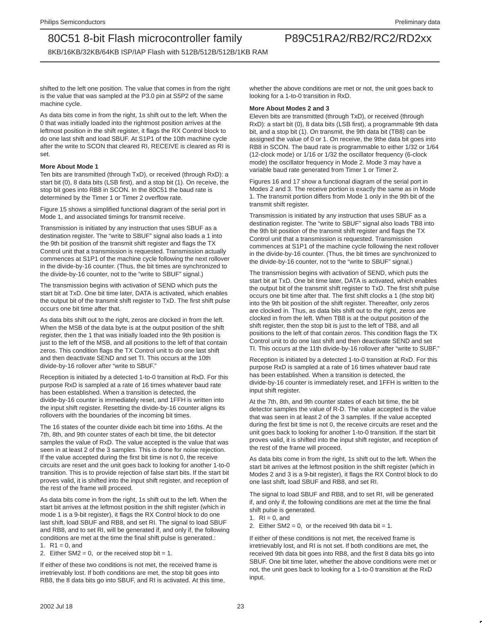8KB/16KB/32KB/64KB ISP/IAP Flash with 512B/512B/512B/1KB RAM

shifted to the left one position. The value that comes in from the right is the value that was sampled at the P3.0 pin at S5P2 of the same machine cycle.

As data bits come in from the right, 1s shift out to the left. When the 0 that was initially loaded into the rightmost position arrives at the leftmost position in the shift register, it flags the RX Control block to do one last shift and load SBUF. At S1P1 of the 10th machine cycle after the write to SCON that cleared RI, RECEIVE is cleared as RI is set.

#### **More About Mode 1**

Ten bits are transmitted (through TxD), or received (through RxD): a start bit (0), 8 data bits (LSB first), and a stop bit (1). On receive, the stop bit goes into RB8 in SCON. In the 80C51 the baud rate is determined by the Timer 1 or Timer 2 overflow rate.

Figure 15 shows a simplified functional diagram of the serial port in Mode 1, and associated timings for transmit receive.

Transmission is initiated by any instruction that uses SBUF as a destination register. The "write to SBUF" signal also loads a 1 into the 9th bit position of the transmit shift register and flags the TX Control unit that a transmission is requested. Transmission actually commences at S1P1 of the machine cycle following the next rollover in the divide-by-16 counter. (Thus, the bit times are synchronized to the divide-by-16 counter, not to the "write to SBUF" signal.)

The transmission begins with activation of SEND which puts the start bit at TxD. One bit time later, DATA is activated, which enables the output bit of the transmit shift register to TxD. The first shift pulse occurs one bit time after that.

As data bits shift out to the right, zeros are clocked in from the left. When the MSB of the data byte is at the output position of the shift register, then the 1 that was initially loaded into the 9th position is just to the left of the MSB, and all positions to the left of that contain zeros. This condition flags the TX Control unit to do one last shift and then deactivate SEND and set TI. This occurs at the 10th divide-by-16 rollover after "write to SBUF."

Reception is initiated by a detected 1-to-0 transition at RxD. For this purpose RxD is sampled at a rate of 16 times whatever baud rate has been established. When a transition is detected, the divide-by-16 counter is immediately reset, and 1FFH is written into the input shift register. Resetting the divide-by-16 counter aligns its rollovers with the boundaries of the incoming bit times.

The 16 states of the counter divide each bit time into 16ths. At the 7th, 8th, and 9th counter states of each bit time, the bit detector samples the value of RxD. The value accepted is the value that was seen in at least 2 of the 3 samples. This is done for noise rejection. If the value accepted during the first bit time is not 0, the receive circuits are reset and the unit goes back to looking for another 1-to-0 transition. This is to provide rejection of false start bits. If the start bit proves valid, it is shifted into the input shift register, and reception of the rest of the frame will proceed.

As data bits come in from the right, 1s shift out to the left. When the start bit arrives at the leftmost position in the shift register (which in mode 1 is a 9-bit register), it flags the RX Control block to do one last shift, load SBUF and RB8, and set RI. The signal to load SBUF and RB8, and to set RI, will be generated if, and only if, the following conditions are met at the time the final shift pulse is generated.: 1.  $R1 = 0$ , and

2. Either  $SM2 = 0$ , or the received stop bit = 1.

If either of these two conditions is not met, the received frame is irretrievably lost. If both conditions are met, the stop bit goes into RB8, the 8 data bits go into SBUF, and RI is activated. At this time, whether the above conditions are met or not, the unit goes back to looking for a 1-to-0 transition in RxD.

#### **More About Modes 2 and 3**

Eleven bits are transmitted (through TxD), or received (through RxD): a start bit (0), 8 data bits (LSB first), a programmable 9th data bit, and a stop bit (1). On transmit, the 9th data bit (TB8) can be assigned the value of 0 or 1. On receive, the 9the data bit goes into RB8 in SCON. The baud rate is programmable to either 1/32 or 1/64 (12-clock mode) or 1/16 or 1/32 the oscillator frequency (6-clock mode) the oscillator frequency in Mode 2. Mode 3 may have a variable baud rate generated from Timer 1 or Timer 2.

Figures 16 and 17 show a functional diagram of the serial port in Modes 2 and 3. The receive portion is exactly the same as in Mode 1. The transmit portion differs from Mode 1 only in the 9th bit of the transmit shift register.

Transmission is initiated by any instruction that uses SBUF as a destination register. The "write to SBUF" signal also loads TB8 into the 9th bit position of the transmit shift register and flags the TX Control unit that a transmission is requested. Transmission commences at S1P1 of the machine cycle following the next rollover in the divide-by-16 counter. (Thus, the bit times are synchronized to the divide-by-16 counter, not to the "write to SBUF" signal.)

The transmission begins with activation of SEND, which puts the start bit at TxD. One bit time later, DATA is activated, which enables the output bit of the transmit shift register to TxD. The first shift pulse occurs one bit time after that. The first shift clocks a 1 (the stop bit) into the 9th bit position of the shift register. Thereafter, only zeros are clocked in. Thus, as data bits shift out to the right, zeros are clocked in from the left. When TB8 is at the output position of the shift register, then the stop bit is just to the left of TB8, and all positions to the left of that contain zeros. This condition flags the TX Control unit to do one last shift and then deactivate SEND and set TI. This occurs at the 11th divide-by-16 rollover after "write to SUBF."

Reception is initiated by a detected 1-to-0 transition at RxD. For this purpose RxD is sampled at a rate of 16 times whatever baud rate has been established. When a transition is detected, the divide-by-16 counter is immediately reset, and 1FFH is written to the input shift register.

At the 7th, 8th, and 9th counter states of each bit time, the bit detector samples the value of R-D. The value accepted is the value that was seen in at least 2 of the 3 samples. If the value accepted during the first bit time is not 0, the receive circuits are reset and the unit goes back to looking for another 1-to-0 transition. If the start bit proves valid, it is shifted into the input shift register, and reception of the rest of the frame will proceed.

As data bits come in from the right, 1s shift out to the left. When the start bit arrives at the leftmost position in the shift register (which in Modes 2 and 3 is a 9-bit register), it flags the RX Control block to do one last shift, load SBUF and RB8, and set RI.

The signal to load SBUF and RB8, and to set RI, will be generated if, and only if, the following conditions are met at the time the final shift pulse is generated.

1.  $RI = 0$ , and

2. Either SM2 = 0, or the received 9th data bit = 1.

If either of these conditions is not met, the received frame is irretrievably lost, and RI is not set. If both conditions are met, the received 9th data bit goes into RB8, and the first 8 data bits go into SBUF. One bit time later, whether the above conditions were met or not, the unit goes back to looking for a 1-to-0 transition at the RxD input.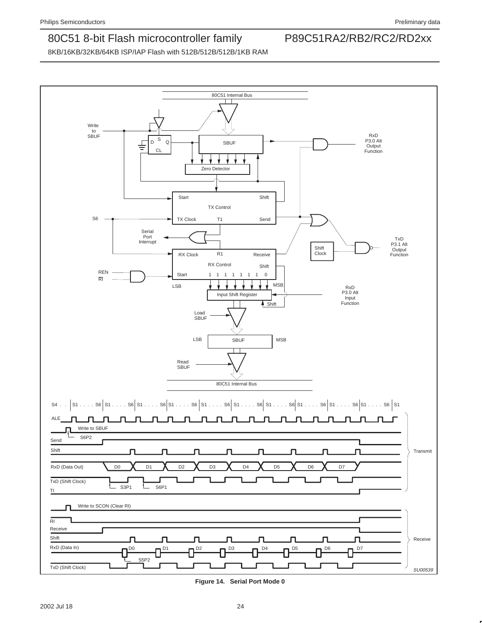

**Figure 14. Serial Port Mode 0**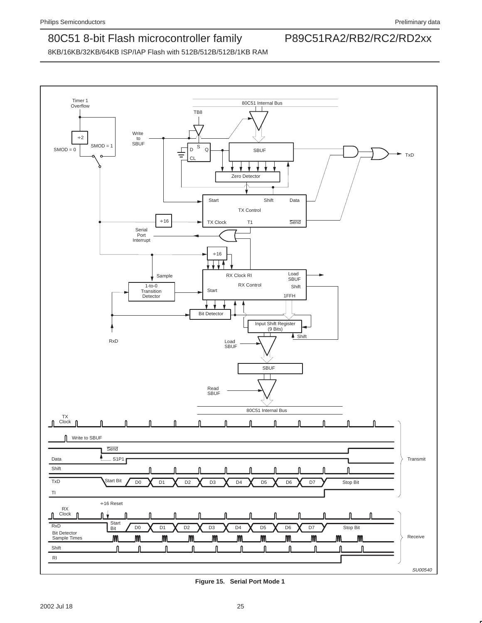

**Figure 15. Serial Port Mode 1**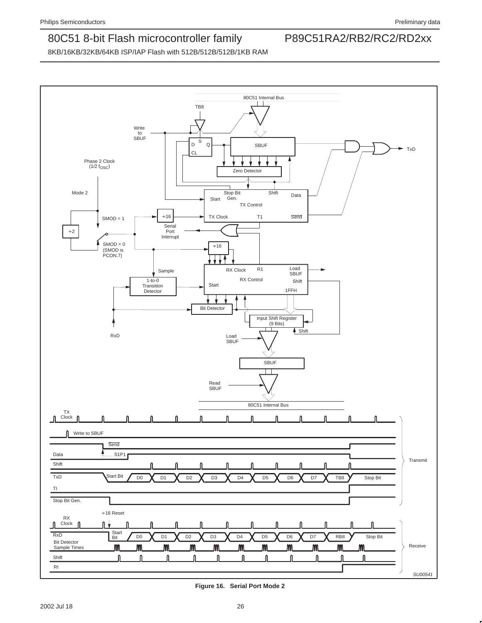

**Figure 16. Serial Port Mode 2**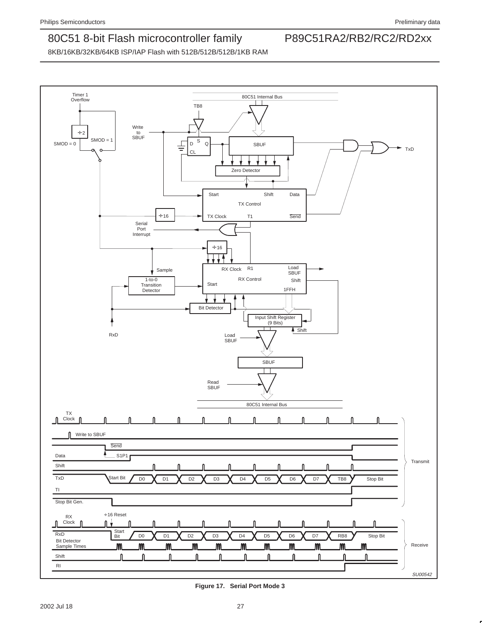

**Figure 17. Serial Port Mode 3**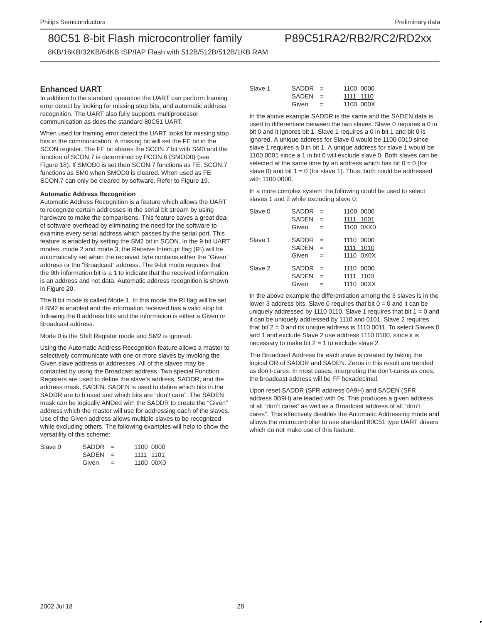8KB/16KB/32KB/64KB ISP/IAP Flash with 512B/512B/512B/1KB RAM

### **Enhanced UART**

In addition to the standard operation the UART can perform framing error detect by looking for missing stop bits, and automatic address recognition. The UART also fully supports multiprocessor communication as does the standard 80C51 UART.

When used for framing error detect the UART looks for missing stop bits in the communication. A missing bit will set the FE bit in the SCON register. The FE bit shares the SCON.7 bit with SM0 and the function of SCON.7 is determined by PCON.6 (SMOD0) (see Figure 18). If SMOD0 is set then SCON.7 functions as FE. SCON.7 functions as SM0 when SMOD0 is cleared. When used as FE SCON.7 can only be cleared by software. Refer to Figure 19.

#### **Automatic Address Recognition**

Automatic Address Recognition is a feature which allows the UART to recognize certain addresses in the serial bit stream by using hardware to make the comparisons. This feature saves a great deal of software overhead by eliminating the need for the software to examine every serial address which passes by the serial port. This feature is enabled by setting the SM2 bit in SCON. In the 9 bit UART modes, mode 2 and mode 3, the Receive Interrupt flag (RI) will be automatically set when the received byte contains either the "Given" address or the "Broadcast" address. The 9-bit mode requires that the 9th information bit is a 1 to indicate that the received information is an address and not data. Automatic address recognition is shown in Figure 20.

The 8 bit mode is called Mode 1. In this mode the RI flag will be set if SM2 is enabled and the information received has a valid stop bit following the 8 address bits and the information is either a Given or Broadcast address.

Mode 0 is the Shift Register mode and SM2 is ignored.

Using the Automatic Address Recognition feature allows a master to selectively communicate with one or more slaves by invoking the Given slave address or addresses. All of the slaves may be contacted by using the Broadcast address. Two special Function Registers are used to define the slave's address, SADDR, and the address mask, SADEN. SADEN is used to define which bits in the SADDR are to b used and which bits are "don't care". The SADEN mask can be logically ANDed with the SADDR to create the "Given" address which the master will use for addressing each of the slaves. Use of the Given address allows multiple slaves to be recognized while excluding others. The following examples will help to show the versatility of this scheme:

| Slave 0 | SADDR     | $=$ |           | 1100 0000 |
|---------|-----------|-----|-----------|-----------|
|         | $SADEN =$ |     | 1111 1101 |           |
|         | Given     |     |           | 1100 00X0 |

| Slave 1 | $SADDR =$ |     | 1100 0000 |
|---------|-----------|-----|-----------|
|         | $SADEN =$ |     | 1111 1110 |
|         | Given     | $=$ | 1100 000X |

In the above example SADDR is the same and the SADEN data is used to differentiate between the two slaves. Slave 0 requires a 0 in bit 0 and it ignores bit 1. Slave 1 requires a 0 in bit 1 and bit 0 is ignored. A unique address for Slave 0 would be 1100 0010 since slave 1 requires a 0 in bit 1. A unique address for slave 1 would be 1100 0001 since a 1 in bit 0 will exclude slave 0. Both slaves can be selected at the same time by an address which has bit  $0 = 0$  (for slave 0) and bit  $1 = 0$  (for slave 1). Thus, both could be addressed with 1100 0000.

In a more complex system the following could be used to select slaves 1 and 2 while excluding slave 0:

| Slave 0 | SADDR<br><b>SADEN</b><br>Given | $=$<br>$=$<br>$=$ | 1100 0000<br>1001<br>1111<br>1100 0XX0 |
|---------|--------------------------------|-------------------|----------------------------------------|
| Slave 1 | SADDR<br><b>SADEN</b><br>Given | $=$<br>$=$<br>$=$ | 1110 0000<br>1111 1010<br>1110 0X0X    |
| Slave 2 | SADDR<br><b>SADEN</b><br>Given | $=$<br>$=$        | 1110 0000<br>1111 1100<br>1110 00XX    |

In the above example the differentiation among the 3 slaves is in the lower 3 address bits. Slave 0 requires that bit  $0 = 0$  and it can be uniquely addressed by 1110 0110. Slave 1 requires that bit  $1 = 0$  and it can be uniquely addressed by 1110 and 0101. Slave 2 requires that bit  $2 = 0$  and its unique address is 1110 0011. To select Slaves 0 and 1 and exclude Slave 2 use address 1110 0100, since it is necessary to make bit  $2 = 1$  to exclude slave 2.

The Broadcast Address for each slave is created by taking the logical OR of SADDR and SADEN. Zeros in this result are trended as don't-cares. In most cases, interpreting the don't-cares as ones, the broadcast address will be FF hexadecimal.

Upon reset SADDR (SFR address 0A9H) and SADEN (SFR address 0B9H) are leaded with 0s. This produces a given address of all "don't cares" as well as a Broadcast address of all "don't cares". This effectively disables the Automatic Addressing mode and allows the microcontroller to use standard 80C51 type UART drivers which do not make use of this feature.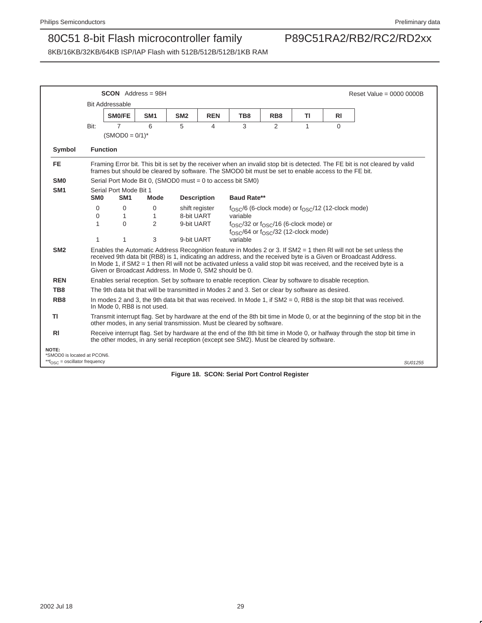|                                                                                      |                 | $SCON$ Address = 98H                                    |                   |                          |                    |                                                                                                        |                 |    |           | Reset Value = $0000 0000B$                                                                                                                                                                                                                                                                                                                                  |
|--------------------------------------------------------------------------------------|-----------------|---------------------------------------------------------|-------------------|--------------------------|--------------------|--------------------------------------------------------------------------------------------------------|-----------------|----|-----------|-------------------------------------------------------------------------------------------------------------------------------------------------------------------------------------------------------------------------------------------------------------------------------------------------------------------------------------------------------------|
|                                                                                      |                 | <b>Bit Addressable</b>                                  |                   |                          |                    |                                                                                                        |                 |    |           |                                                                                                                                                                                                                                                                                                                                                             |
|                                                                                      |                 | SM0/FE                                                  | SM <sub>1</sub>   | SM <sub>2</sub>          | <b>REN</b>         | TB8                                                                                                    | RB <sub>8</sub> | ΤI | <b>RI</b> |                                                                                                                                                                                                                                                                                                                                                             |
|                                                                                      | Bit:            | $\overline{7}$                                          | 6                 | 5                        | 4                  | 3                                                                                                      | 2               | 1  | $\Omega$  |                                                                                                                                                                                                                                                                                                                                                             |
|                                                                                      |                 | $(SMOD0 = 0/1)^*$                                       |                   |                          |                    |                                                                                                        |                 |    |           |                                                                                                                                                                                                                                                                                                                                                             |
| Symbol                                                                               | <b>Function</b> |                                                         |                   |                          |                    |                                                                                                        |                 |    |           |                                                                                                                                                                                                                                                                                                                                                             |
| <b>FE</b>                                                                            |                 |                                                         |                   |                          |                    | frames but should be cleared by software. The SMOD0 bit must be set to enable access to the FE bit.    |                 |    |           | Framing Error bit. This bit is set by the receiver when an invalid stop bit is detected. The FE bit is not cleared by valid                                                                                                                                                                                                                                 |
| SM <sub>0</sub>                                                                      |                 |                                                         |                   |                          |                    | Serial Port Mode Bit 0, (SMOD0 must = $0$ to access bit SM0)                                           |                 |    |           |                                                                                                                                                                                                                                                                                                                                                             |
| SM <sub>1</sub>                                                                      |                 | Serial Port Mode Bit 1                                  |                   |                          |                    |                                                                                                        |                 |    |           |                                                                                                                                                                                                                                                                                                                                                             |
|                                                                                      | SM <sub>0</sub> | SM <sub>1</sub>                                         | <b>Mode</b>       |                          | <b>Description</b> | <b>Baud Rate**</b>                                                                                     |                 |    |           |                                                                                                                                                                                                                                                                                                                                                             |
|                                                                                      | 0               | 0                                                       | 0                 |                          | shift register     | $f_{\rm OSC}$ /6 (6-clock mode) or $f_{\rm OSC}$ /12 (12-clock mode)                                   |                 |    |           |                                                                                                                                                                                                                                                                                                                                                             |
|                                                                                      | 0<br>1          | 1<br>$\mathbf{0}$                                       | $\mathbf{1}$<br>2 | 8-bit UART<br>9-bit UART |                    | variable                                                                                               |                 |    |           |                                                                                                                                                                                                                                                                                                                                                             |
|                                                                                      |                 |                                                         |                   |                          |                    | $fOSC/32$ or $fOSC/16$ (6-clock mode) or<br>$f_{\rm OSC}$ /64 or $f_{\rm OSC}$ /32 (12-clock mode)     |                 |    |           |                                                                                                                                                                                                                                                                                                                                                             |
|                                                                                      | $\mathbf{1}$    | 1                                                       | 3                 | 9-bit UART               |                    | variable                                                                                               |                 |    |           |                                                                                                                                                                                                                                                                                                                                                             |
| SM <sub>2</sub>                                                                      |                 | Given or Broadcast Address, In Mode 0, SM2 should be 0. |                   |                          |                    |                                                                                                        |                 |    |           | Enables the Automatic Address Recognition feature in Modes 2 or 3. If SM2 = 1 then RI will not be set unless the<br>received 9th data bit (RB8) is 1, indicating an address, and the received byte is a Given or Broadcast Address.<br>In Mode 1, if SM2 = 1 then RI will not be activated unless a valid stop bit was received, and the received byte is a |
| <b>REN</b>                                                                           |                 |                                                         |                   |                          |                    | Enables serial reception. Set by software to enable reception. Clear by software to disable reception. |                 |    |           |                                                                                                                                                                                                                                                                                                                                                             |
| TB <sub>8</sub>                                                                      |                 |                                                         |                   |                          |                    | The 9th data bit that will be transmitted in Modes 2 and 3. Set or clear by software as desired.       |                 |    |           |                                                                                                                                                                                                                                                                                                                                                             |
| RB <sub>8</sub>                                                                      |                 | In Mode 0, RB8 is not used.                             |                   |                          |                    |                                                                                                        |                 |    |           | In modes 2 and 3, the 9th data bit that was received. In Mode 1, if $SM2 = 0$ , RB8 is the stop bit that was received.                                                                                                                                                                                                                                      |
| ΤI                                                                                   |                 |                                                         |                   |                          |                    | other modes, in any serial transmission. Must be cleared by software.                                  |                 |    |           | Transmit interrupt flag. Set by hardware at the end of the 8th bit time in Mode 0, or at the beginning of the stop bit in the                                                                                                                                                                                                                               |
| <b>RI</b>                                                                            |                 |                                                         |                   |                          |                    | the other modes, in any serial reception (except see SM2). Must be cleared by software.                |                 |    |           | Receive interrupt flag. Set by hardware at the end of the 8th bit time in Mode 0, or halfway through the stop bit time in                                                                                                                                                                                                                                   |
| NOTE:<br>*SMOD0 is located at PCON6.<br>** $f$ <sub>OSC</sub> = oscillator frequency |                 |                                                         |                   |                          |                    |                                                                                                        |                 |    |           | SU01255                                                                                                                                                                                                                                                                                                                                                     |
|                                                                                      |                 |                                                         |                   |                          |                    | Figure 18. SCON: Serial Port Control Register                                                          |                 |    |           |                                                                                                                                                                                                                                                                                                                                                             |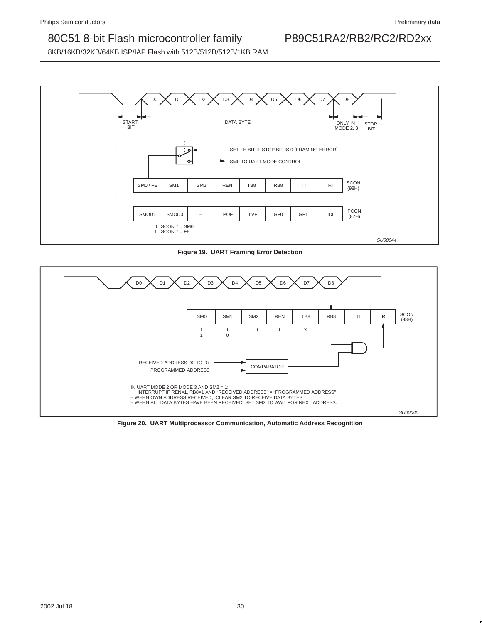

**Figure 19. UART Framing Error Detection**



**Figure 20. UART Multiprocessor Communication, Automatic Address Recognition**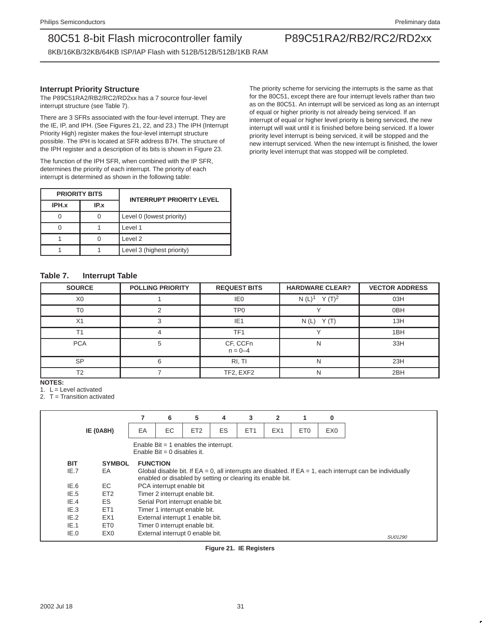8KB/16KB/32KB/64KB ISP/IAP Flash with 512B/512B/512B/1KB RAM

### **Interrupt Priority Structure**

The P89C51RA2/RB2/RC2/RD2xx has a 7 source four-level interrupt structure (see Table 7).

There are 3 SFRs associated with the four-level interrupt. They are the IE, IP, and IPH. (See Figures 21, 22, and 23.) The IPH (Interrupt Priority High) register makes the four-level interrupt structure possible. The IPH is located at SFR address B7H. The structure of the IPH register and a description of its bits is shown in Figure 23.

The function of the IPH SFR, when combined with the IP SFR, determines the priority of each interrupt. The priority of each interrupt is determined as shown in the following table:

|       | <b>PRIORITY BITS</b> | <b>INTERRUPT PRIORITY LEVEL</b> |
|-------|----------------------|---------------------------------|
| IPH.x | IP.x                 |                                 |
|       |                      | Level 0 (lowest priority)       |
|       |                      | Level 1                         |
|       |                      | Level 2                         |
|       |                      | Level 3 (highest priority)      |

The priority scheme for servicing the interrupts is the same as that for the 80C51, except there are four interrupt levels rather than two as on the 80C51. An interrupt will be serviced as long as an interrupt of equal or higher priority is not already being serviced. If an interrupt of equal or higher level priority is being serviced, the new interrupt will wait until it is finished before being serviced. If a lower priority level interrupt is being serviced, it will be stopped and the new interrupt serviced. When the new interrupt is finished, the lower priority level interrupt that was stopped will be completed.

### **Table 7. Interrupt Table**

| <b>SOURCE</b>  | <b>POLLING PRIORITY</b> | <b>REQUEST BITS</b>     | <b>HARDWARE CLEAR?</b> | <b>VECTOR ADDRESS</b> |
|----------------|-------------------------|-------------------------|------------------------|-----------------------|
| X <sub>0</sub> |                         | IE <sub>0</sub>         | N $(L)^1$ Y $(T)^2$    | 03H                   |
| T <sub>0</sub> |                         | TP0                     |                        | 0 <sub>BH</sub>       |
| X1             |                         | IE <sub>1</sub>         | $N(L)$ $Y(T)$          | 13H                   |
| T <sub>1</sub> | 4                       | TF <sub>1</sub>         |                        | 1BH                   |
| <b>PCA</b>     | 5                       | CF, CCFn<br>$n = 0 - 4$ | N                      | 33H                   |
| <b>SP</b>      | 6                       | RI, TI                  | N                      | 23H                   |
| T <sub>2</sub> |                         | TF2, EXF2               | N                      | 2BH                   |

**NOTES:**

1.  $L =$  Level activated

2. T = Transition activated

|            |                  |                 | 6                           | 5                                       | 4  | 3                                                                                                                                                                             | $\overline{2}$  | 1               | 0               |
|------------|------------------|-----------------|-----------------------------|-----------------------------------------|----|-------------------------------------------------------------------------------------------------------------------------------------------------------------------------------|-----------------|-----------------|-----------------|
|            | <b>IE (0A8H)</b> | EA              | EC                          | ET <sub>2</sub>                         | ES | ET <sub>1</sub>                                                                                                                                                               | EX <sub>1</sub> | ET <sub>0</sub> | EX <sub>0</sub> |
|            |                  |                 | Enable Bit = 0 disables it. | Enable Bit $=$ 1 enables the interrupt. |    |                                                                                                                                                                               |                 |                 |                 |
| <b>BIT</b> | <b>SYMBOL</b>    | <b>FUNCTION</b> |                             |                                         |    |                                                                                                                                                                               |                 |                 |                 |
| IE.7       | EA               |                 |                             |                                         |    | Global disable bit. If $EA = 0$ , all interrupts are disabled. If $EA = 1$ , each interrupt can be individually<br>enabled or disabled by setting or clearing its enable bit. |                 |                 |                 |
| IE.6       | EC.              |                 | PCA interrupt enable bit    |                                         |    |                                                                                                                                                                               |                 |                 |                 |
| IE.5       | ET <sub>2</sub>  |                 |                             | Timer 2 interrupt enable bit.           |    |                                                                                                                                                                               |                 |                 |                 |
| IE.4       | ES.              |                 |                             | Serial Port interrupt enable bit.       |    |                                                                                                                                                                               |                 |                 |                 |
| IE.3       | ET <sub>1</sub>  |                 |                             | Timer 1 interrupt enable bit.           |    |                                                                                                                                                                               |                 |                 |                 |
| IE.2       | EX <sub>1</sub>  |                 |                             | External interrupt 1 enable bit.        |    |                                                                                                                                                                               |                 |                 |                 |
| IE.1       | ET <sub>0</sub>  |                 |                             | Timer 0 interrupt enable bit.           |    |                                                                                                                                                                               |                 |                 |                 |
| IE.0       | EX <sub>0</sub>  |                 |                             | External interrupt 0 enable bit.        |    |                                                                                                                                                                               |                 |                 |                 |

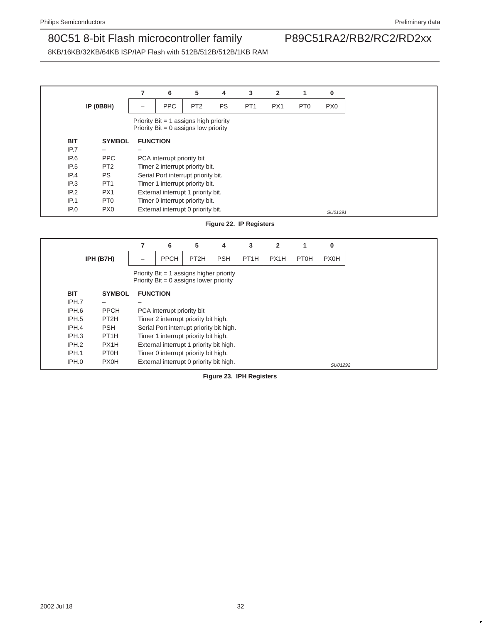8KB/16KB/32KB/64KB ISP/IAP Flash with 512B/512B/512B/1KB RAM

|            |                  |                 | 6                                                                                 | 5               | 4         | 3               | $\mathbf{2}$ |                 | 0               |
|------------|------------------|-----------------|-----------------------------------------------------------------------------------|-----------------|-----------|-----------------|--------------|-----------------|-----------------|
|            | <b>IP (0B8H)</b> |                 | <b>PPC</b>                                                                        | PT <sub>2</sub> | <b>PS</b> | PT <sub>1</sub> | PX1          | PT <sub>0</sub> | PX <sub>0</sub> |
|            |                  |                 | Priority Bit = 1 assigns high priority<br>Priority $Bit = 0$ assigns low priority |                 |           |                 |              |                 |                 |
| <b>BIT</b> | <b>SYMBOL</b>    | <b>FUNCTION</b> |                                                                                   |                 |           |                 |              |                 |                 |
| IP.7       |                  |                 |                                                                                   |                 |           |                 |              |                 |                 |
| IP.6       | <b>PPC</b>       |                 | PCA interrupt priority bit                                                        |                 |           |                 |              |                 |                 |
| IP.5       | PT <sub>2</sub>  |                 | Timer 2 interrupt priority bit.                                                   |                 |           |                 |              |                 |                 |
| IP.4       | <b>PS</b>        |                 | Serial Port interrupt priority bit.                                               |                 |           |                 |              |                 |                 |
| IP.3       | PT <sub>1</sub>  |                 | Timer 1 interrupt priority bit.                                                   |                 |           |                 |              |                 |                 |
| IP.2       | PX <sub>1</sub>  |                 | External interrupt 1 priority bit.                                                |                 |           |                 |              |                 |                 |
| IP.1       | PT <sub>0</sub>  |                 | Timer 0 interrupt priority bit.                                                   |                 |           |                 |              |                 |                 |
| IP.0       | PX <sub>0</sub>  |                 | External interrupt 0 priority bit.                                                |                 |           |                 |              |                 | SU01291         |

### **Figure 22. IP Registers**

|            |                   |                 | 6                                                                                       | 5                 | 4          | 3                 | $\mathbf{2}$ |      | 0           |
|------------|-------------------|-----------------|-----------------------------------------------------------------------------------------|-------------------|------------|-------------------|--------------|------|-------------|
|            | IPH (B7H)         |                 | <b>PPCH</b>                                                                             | PT <sub>2</sub> H | <b>PSH</b> | PT <sub>1</sub> H | PX1H         | PT0H | <b>PX0H</b> |
|            |                   |                 | Priority $Bit = 1$ assigns higher priority<br>Priority $Bit = 0$ assigns lower priority |                   |            |                   |              |      |             |
| <b>BIT</b> | <b>SYMBOL</b>     | <b>FUNCTION</b> |                                                                                         |                   |            |                   |              |      |             |
| IPH.7      |                   |                 |                                                                                         |                   |            |                   |              |      |             |
| IPH.6      | <b>PPCH</b>       |                 | PCA interrupt priority bit                                                              |                   |            |                   |              |      |             |
| IPH.5      | PT <sub>2</sub> H |                 | Timer 2 interrupt priority bit high.                                                    |                   |            |                   |              |      |             |
| IPH.4      | <b>PSH</b>        |                 | Serial Port interrupt priority bit high.                                                |                   |            |                   |              |      |             |
| IPH.3      | PT <sub>1</sub> H |                 | Timer 1 interrupt priority bit high.                                                    |                   |            |                   |              |      |             |
| IPH.2      | PX1H              |                 | External interrupt 1 priority bit high.                                                 |                   |            |                   |              |      |             |
| IPH.1      | PT0H              |                 | Timer 0 interrupt priority bit high.                                                    |                   |            |                   |              |      |             |
| IPH.0      | <b>PX0H</b>       |                 | External interrupt 0 priority bit high.                                                 |                   |            |                   |              |      | SU01292     |

### **Figure 23. IPH Registers**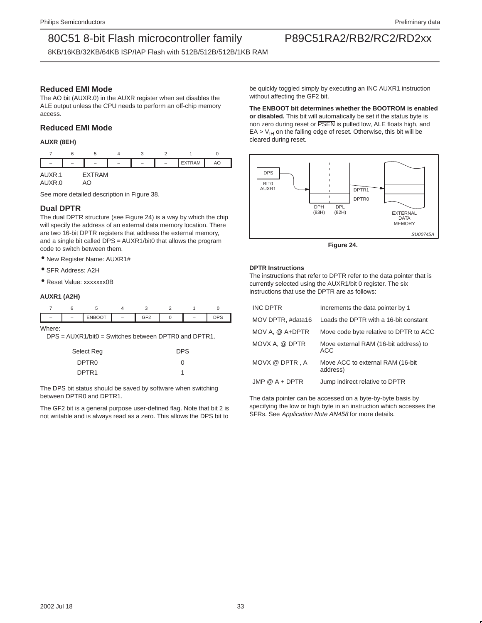8KB/16KB/32KB/64KB ISP/IAP Flash with 512B/512B/512B/1KB RAM

### **Reduced EMI Mode**

The AO bit (AUXR.0) in the AUXR register when set disables the ALE output unless the CPU needs to perform an off-chip memory access.

### **Reduced EMI Mode**

**AUXR (8EH)**

|                  | 6 |              |  |               |    |
|------------------|---|--------------|--|---------------|----|
|                  |   |              |  | <b>EXTRAM</b> | AO |
| AUXR.1<br>AUXR.0 |   | EXTRAM<br>AΟ |  |               |    |

See more detailed description in Figure 38.

### **Dual DPTR**

The dual DPTR structure (see Figure 24) is a way by which the chip will specify the address of an external data memory location. There are two 16-bit DPTR registers that address the external memory, and a single bit called DPS = AUXR1/bit0 that allows the program code to switch between them.

• New Register Name: AUXR1#

- SFR Address: A2H
- Reset Value: xxxxxxx0B

#### **AUXR1 (A2H)**

|        | <b>ENBOOT</b>                                          | GF <sub>2</sub> |  | <b>DPS</b> |
|--------|--------------------------------------------------------|-----------------|--|------------|
| Where: | $DPS = AUXR1/bit0 = Switches between DPTR0 and DPTR1.$ |                 |  |            |

| Select Reg        | <b>DPS</b> |
|-------------------|------------|
| DPTR <sub>0</sub> | O          |
| DPTR <sub>1</sub> | 1          |

The DPS bit status should be saved by software when switching between DPTR0 and DPTR1.

The GF2 bit is a general purpose user-defined flag. Note that bit 2 is not writable and is always read as a zero. This allows the DPS bit to

be quickly toggled simply by executing an INC AUXR1 instruction without affecting the GF2 bit.

### **The ENBOOT bit determines whether the BOOTROM is enabled**

**or disabled.** This bit will automatically be set if the status byte is non zero during reset or PSEN is pulled low, ALE floats high, and  $EA > V<sub>IH</sub>$  on the falling edge of reset. Otherwise, this bit will be cleared during reset.



**Figure 24.** 

#### **DPTR Instructions**

The instructions that refer to DPTR refer to the data pointer that is currently selected using the AUXR1/bit 0 register. The six instructions that use the DPTR are as follows:

| <b>INC DPTR</b>   | Increments the data pointer by 1                    |
|-------------------|-----------------------------------------------------|
| MOV DPTR, #data16 | Loads the DPTR with a 16-bit constant               |
| MOV A. @ A+DPTR   | Move code byte relative to DPTR to ACC              |
| MOVX A. @ DPTR    | Move external RAM (16-bit address) to<br><b>ACC</b> |
| MOVX @ DPTR, A    | Move ACC to external RAM (16-bit)<br>address)       |
| $JMP @ A + DPTR$  | Jump indirect relative to DPTR                      |

The data pointer can be accessed on a byte-by-byte basis by specifying the low or high byte in an instruction which accesses the SFRs. See Application Note AN458 for more details.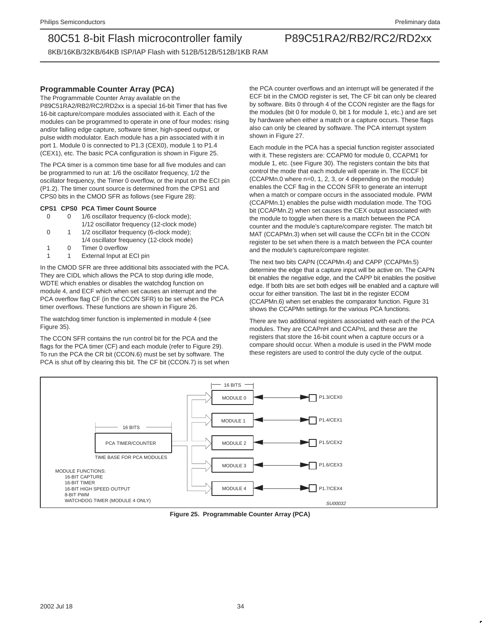8KB/16KB/32KB/64KB ISP/IAP Flash with 512B/512B/512B/1KB RAM

### **Programmable Counter Array (PCA)**

The Programmable Counter Array available on the P89C51RA2/RB2/RC2/RD2xx is a special 16-bit Timer that has five 16-bit capture/compare modules associated with it. Each of the modules can be programmed to operate in one of four modes: rising and/or falling edge capture, software timer, high-speed output, or pulse width modulator. Each module has a pin associated with it in port 1. Module 0 is connected to P1.3 (CEX0), module 1 to P1.4 (CEX1), etc. The basic PCA configuration is shown in Figure 25.

The PCA timer is a common time base for all five modules and can be programmed to run at: 1/6 the oscillator frequency, 1/2 the oscillator frequency, the Timer 0 overflow, or the input on the ECI pin (P1.2). The timer count source is determined from the CPS1 and CPS0 bits in the CMOD SFR as follows (see Figure 28):

### **CPS1 CPS0 PCA Timer Count Source**

- 0 0 1/6 oscillator frequency (6-clock mode); 1/12 oscillator frequency (12-clock mode)
- 0 1 1/2 oscillator frequency (6-clock mode);
- 1/4 oscillator frequency (12-clock mode) 1 0 Timer 0 overflow
- 1 1 External Input at ECI pin

In the CMOD SFR are three additional bits associated with the PCA. They are CIDL which allows the PCA to stop during idle mode, WDTE which enables or disables the watchdog function on module 4, and ECF which when set causes an interrupt and the PCA overflow flag CF (in the CCON SFR) to be set when the PCA timer overflows. These functions are shown in Figure 26.

The watchdog timer function is implemented in module 4 (see Figure 35).

The CCON SFR contains the run control bit for the PCA and the flags for the PCA timer (CF) and each module (refer to Figure 29). To run the PCA the CR bit (CCON.6) must be set by software. The PCA is shut off by clearing this bit. The CF bit (CCON.7) is set when the PCA counter overflows and an interrupt will be generated if the ECF bit in the CMOD register is set, The CF bit can only be cleared by software. Bits 0 through 4 of the CCON register are the flags for the modules (bit 0 for module 0, bit 1 for module 1, etc.) and are set by hardware when either a match or a capture occurs. These flags also can only be cleared by software. The PCA interrupt system shown in Figure 27.

Each module in the PCA has a special function register associated with it. These registers are: CCAPM0 for module 0, CCAPM1 for module 1, etc. (see Figure 30). The registers contain the bits that control the mode that each module will operate in. The ECCF bit (CCAPMn.0 where n=0, 1, 2, 3, or 4 depending on the module) enables the CCF flag in the CCON SFR to generate an interrupt when a match or compare occurs in the associated module. PWM (CCAPMn.1) enables the pulse width modulation mode. The TOG bit (CCAPMn.2) when set causes the CEX output associated with the module to toggle when there is a match between the PCA counter and the module's capture/compare register. The match bit MAT (CCAPMn.3) when set will cause the CCFn bit in the CCON register to be set when there is a match between the PCA counter and the module's capture/compare register.

The next two bits CAPN (CCAPMn.4) and CAPP (CCAPMn.5) determine the edge that a capture input will be active on. The CAPN bit enables the negative edge, and the CAPP bit enables the positive edge. If both bits are set both edges will be enabled and a capture will occur for either transition. The last bit in the register ECOM (CCAPMn.6) when set enables the comparator function. Figure 31 shows the CCAPMn settings for the various PCA functions.

There are two additional registers associated with each of the PCA modules. They are CCAPnH and CCAPnL and these are the registers that store the 16-bit count when a capture occurs or a compare should occur. When a module is used in the PWM mode these registers are used to control the duty cycle of the output.



**Figure 25. Programmable Counter Array (PCA)**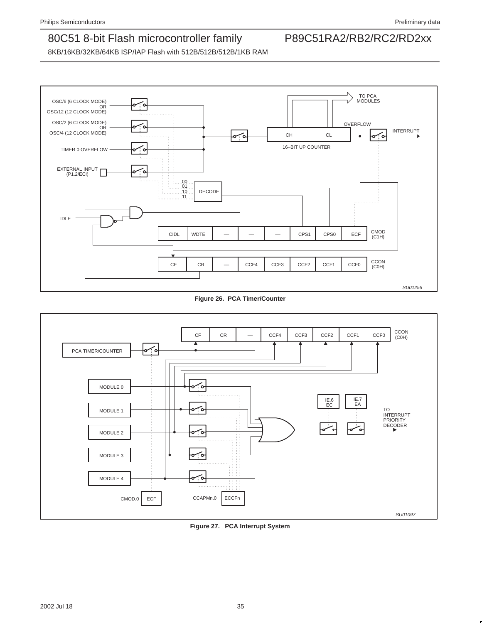8KB/16KB/32KB/64KB ISP/IAP Flash with 512B/512B/512B/1KB RAM



### **Figure 26. PCA Timer/Counter**



**Figure 27. PCA Interrupt System**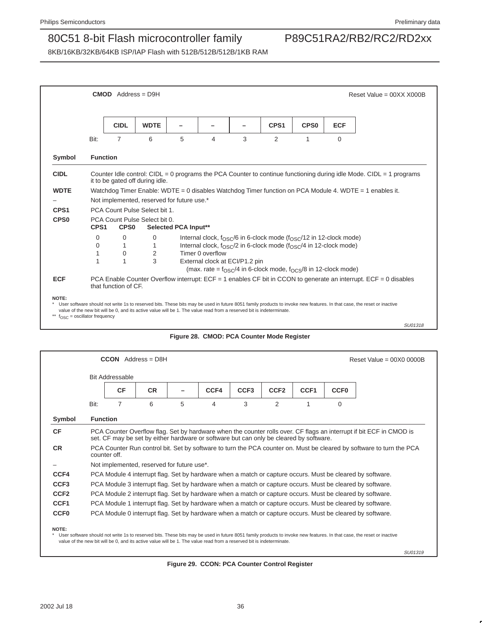8KB/16KB/32KB/64KB ISP/IAP Flash with 512B/512B/512B/1KB RAM



### **Figure 28. CMOD: PCA Counter Mode Register**

|                                      |                 | <b>Bit Addressable</b> |                                            |   |                                                                                        |                  |                  |                  |             |                                                                                                                      |
|--------------------------------------|-----------------|------------------------|--------------------------------------------|---|----------------------------------------------------------------------------------------|------------------|------------------|------------------|-------------|----------------------------------------------------------------------------------------------------------------------|
|                                      |                 | <b>CF</b>              | <b>CR</b>                                  |   | CCF4                                                                                   | CCF <sub>3</sub> | CCF <sub>2</sub> | CCF <sub>1</sub> | <b>CCF0</b> |                                                                                                                      |
|                                      | Bit:            | 7                      | 6                                          | 5 | $\overline{4}$                                                                         | 3                | 2                | 1                | $\Omega$    |                                                                                                                      |
| Symbol                               | <b>Function</b> |                        |                                            |   |                                                                                        |                  |                  |                  |             |                                                                                                                      |
|                                      |                 |                        |                                            |   |                                                                                        |                  |                  |                  |             |                                                                                                                      |
|                                      |                 |                        |                                            |   | set. CF may be set by either hardware or software but can only be cleared by software. |                  |                  |                  |             | PCA Counter Overflow flag. Set by hardware when the counter rolls over. CF flags an interrupt if bit ECF in CMOD is  |
|                                      | counter off.    |                        |                                            |   |                                                                                        |                  |                  |                  |             | PCA Counter Run control bit. Set by software to turn the PCA counter on. Must be cleared by software to turn the PCA |
|                                      |                 |                        | Not implemented, reserved for future use*. |   |                                                                                        |                  |                  |                  |             |                                                                                                                      |
| <b>CF</b><br><b>CR</b><br>CCF4       |                 |                        |                                            |   |                                                                                        |                  |                  |                  |             | PCA Module 4 interrupt flag. Set by hardware when a match or capture occurs. Must be cleared by software.            |
|                                      |                 |                        |                                            |   |                                                                                        |                  |                  |                  |             | PCA Module 3 interrupt flag. Set by hardware when a match or capture occurs. Must be cleared by software.            |
| CCF <sub>3</sub><br>CCF <sub>2</sub> |                 |                        |                                            |   |                                                                                        |                  |                  |                  |             | PCA Module 2 interrupt flag. Set by hardware when a match or capture occurs. Must be cleared by software.            |
| CCF <sub>1</sub>                     |                 |                        |                                            |   |                                                                                        |                  |                  |                  |             | PCA Module 1 interrupt flag. Set by hardware when a match or capture occurs. Must be cleared by software.            |

value of the new bit will be 0, and its active value will be 1. The value read from a reserved bit is indeterminate.

SU01319

**Figure 29. CCON: PCA Counter Control Register**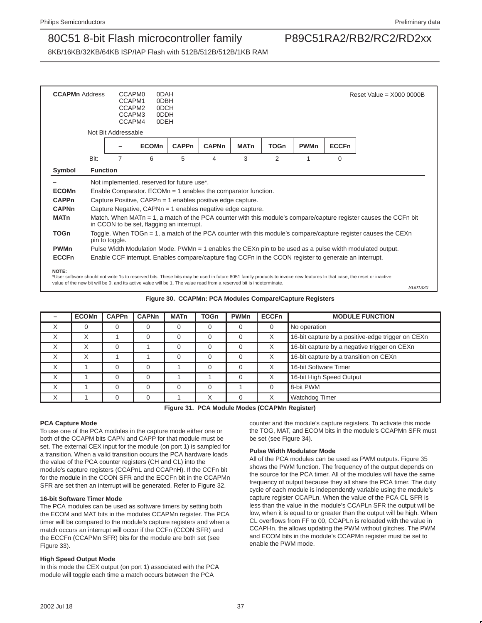SU01320

### 80C51 8-bit Flash microcontroller family P89C51RA2/RB2/RC2/RD2xx

8KB/16KB/32KB/64KB ISP/IAP Flash with 512B/512B/512B/1KB RAM

| <b>CCAPMn</b> Address |                 | CCAPM <sub>0</sub><br>CCAPM1<br>CCAPM2<br>CCAPM3<br>CCAPM4 | 0DAH<br>0DBH<br>0DCH<br>0DDH<br>0DEH                            |              |                                                                                                        |             |             |             | Reset Value = $X0000000B$ |                                                                                                                  |  |
|-----------------------|-----------------|------------------------------------------------------------|-----------------------------------------------------------------|--------------|--------------------------------------------------------------------------------------------------------|-------------|-------------|-------------|---------------------------|------------------------------------------------------------------------------------------------------------------|--|
|                       |                 | Not Bit Addressable                                        |                                                                 |              |                                                                                                        |             |             |             |                           |                                                                                                                  |  |
|                       |                 |                                                            | <b>ECOMn</b>                                                    | <b>CAPPn</b> | <b>CAPNn</b>                                                                                           | <b>MATn</b> | <b>TOGn</b> | <b>PWMn</b> | <b>ECCFn</b>              |                                                                                                                  |  |
|                       | Bit:            | 7                                                          | 6                                                               | 5            | 4                                                                                                      | 3           | 2           | 1           | $\Omega$                  |                                                                                                                  |  |
| Symbol                | <b>Function</b> |                                                            |                                                                 |              |                                                                                                        |             |             |             |                           |                                                                                                                  |  |
|                       |                 |                                                            | Not implemented, reserved for future use*.                      |              |                                                                                                        |             |             |             |                           |                                                                                                                  |  |
| <b>ECOMn</b>          |                 |                                                            | Enable Comparator. $ECOMn = 1$ enables the comparator function. |              |                                                                                                        |             |             |             |                           |                                                                                                                  |  |
| <b>CAPPn</b>          |                 |                                                            | Capture Positive, CAPPn = 1 enables positive edge capture.      |              |                                                                                                        |             |             |             |                           |                                                                                                                  |  |
| <b>CAPNn</b>          |                 |                                                            | Capture Negative, CAPNn = 1 enables negative edge capture.      |              |                                                                                                        |             |             |             |                           |                                                                                                                  |  |
| <b>MATn</b>           |                 |                                                            | in CCON to be set, flagging an interrupt.                       |              |                                                                                                        |             |             |             |                           | Match. When MATn = 1, a match of the PCA counter with this module's compare/capture register causes the CCFn bit |  |
| <b>TOGn</b>           |                 | pin to toggle.                                             |                                                                 |              |                                                                                                        |             |             |             |                           | Toggle. When TOGn = 1, a match of the PCA counter with this module's compare/capture register causes the CEXn    |  |
|                       |                 |                                                            |                                                                 |              |                                                                                                        |             |             |             |                           | Pulse Width Modulation Mode. PWMn = 1 enables the CEXn pin to be used as a pulse width modulated output.         |  |
| <b>PWMn</b>           |                 |                                                            |                                                                 |              | Enable CCF interrupt. Enables compare/capture flag CCFn in the CCON register to generate an interrupt. |             |             |             |                           |                                                                                                                  |  |

value of the new bit will be 0, and its active value will be 1. The value read from a reserved bit is indeterminate.

**Figure 30. CCAPMn: PCA Modules Compare/Capture Registers**

|   | <b>ECOMn</b> | <b>CAPPn</b> | <b>CAPNn</b> | <b>MATn</b> | <b>TOGn</b> | <b>PWMn</b> | <b>ECCFn</b> | <b>MODULE FUNCTION</b>                            |
|---|--------------|--------------|--------------|-------------|-------------|-------------|--------------|---------------------------------------------------|
| X | 0            |              |              |             | 0           |             |              | No operation                                      |
| X | X            |              |              |             | 0           |             | X            | 16-bit capture by a positive-edge trigger on CEXn |
| X |              |              |              |             | $\Omega$    |             | X            | 16-bit capture by a negative trigger on CEXn      |
| X | Χ            |              |              |             | $\Omega$    |             | X            | 16-bit capture by a transition on CEXn            |
| X |              |              |              |             | $\Omega$    |             | X            | 16-bit Software Timer                             |
| X |              |              | U            |             |             |             | X            | 16-bit High Speed Output                          |
| X |              |              |              |             | $\Omega$    |             |              | 8-bit PWM                                         |
|   |              |              |              |             |             |             |              | Watchdog Timer                                    |

**Figure 31. PCA Module Modes (CCAPMn Register)**

#### **PCA Capture Mode**

To use one of the PCA modules in the capture mode either one or both of the CCAPM bits CAPN and CAPP for that module must be set. The external CEX input for the module (on port 1) is sampled for a transition. When a valid transition occurs the PCA hardware loads the value of the PCA counter registers (CH and CL) into the module's capture registers (CCAPnL and CCAPnH). If the CCFn bit for the module in the CCON SFR and the ECCFn bit in the CCAPMn SFR are set then an interrupt will be generated. Refer to Figure 32.

#### **16-bit Software Timer Mode**

The PCA modules can be used as software timers by setting both the ECOM and MAT bits in the modules CCAPMn register. The PCA timer will be compared to the module's capture registers and when a match occurs an interrupt will occur if the CCFn (CCON SFR) and the ECCFn (CCAPMn SFR) bits for the module are both set (see Figure 33).

#### **High Speed Output Mode**

In this mode the CEX output (on port 1) associated with the PCA module will toggle each time a match occurs between the PCA

counter and the module's capture registers. To activate this mode the TOG, MAT, and ECOM bits in the module's CCAPMn SFR must be set (see Figure 34).

#### **Pulse Width Modulator Mode**

All of the PCA modules can be used as PWM outputs. Figure 35 shows the PWM function. The frequency of the output depends on the source for the PCA timer. All of the modules will have the same frequency of output because they all share the PCA timer. The duty cycle of each module is independently variable using the module's capture register CCAPLn. When the value of the PCA CL SFR is less than the value in the module's CCAPLn SFR the output will be low, when it is equal to or greater than the output will be high. When CL overflows from FF to 00, CCAPLn is reloaded with the value in CCAPHn. the allows updating the PWM without glitches. The PWM and ECOM bits in the module's CCAPMn register must be set to enable the PWM mode.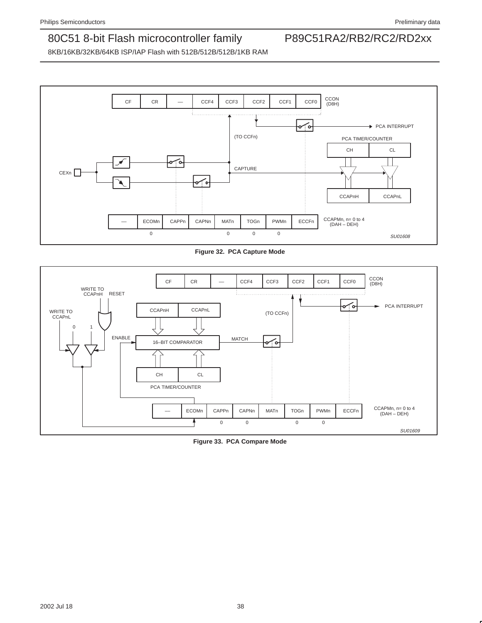

**Figure 32. PCA Capture Mode**



**Figure 33. PCA Compare Mode**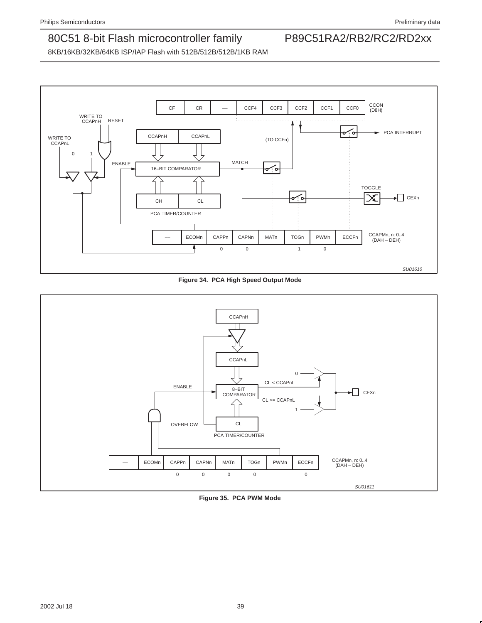

**Figure 34. PCA High Speed Output Mode**



**Figure 35. PCA PWM Mode**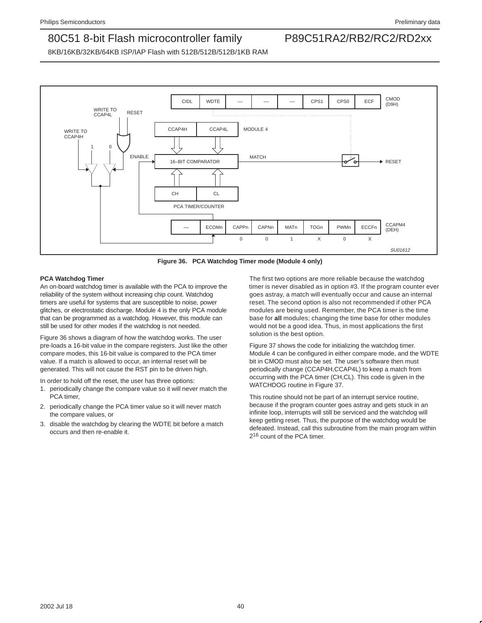8KB/16KB/32KB/64KB ISP/IAP Flash with 512B/512B/512B/1KB RAM



**Figure 36. PCA Watchdog Timer mode (Module 4 only)**

#### **PCA Watchdog Timer**

An on-board watchdog timer is available with the PCA to improve the reliability of the system without increasing chip count. Watchdog timers are useful for systems that are susceptible to noise, power glitches, or electrostatic discharge. Module 4 is the only PCA module that can be programmed as a watchdog. However, this module can still be used for other modes if the watchdog is not needed.

Figure 36 shows a diagram of how the watchdog works. The user pre-loads a 16-bit value in the compare registers. Just like the other compare modes, this 16-bit value is compared to the PCA timer value. If a match is allowed to occur, an internal reset will be generated. This will not cause the RST pin to be driven high.

In order to hold off the reset, the user has three options:

- 1. periodically change the compare value so it will never match the PCA timer,
- 2. periodically change the PCA timer value so it will never match the compare values, or
- 3. disable the watchdog by clearing the WDTE bit before a match occurs and then re-enable it.

The first two options are more reliable because the watchdog timer is never disabled as in option #3. If the program counter ever goes astray, a match will eventually occur and cause an internal reset. The second option is also not recommended if other PCA modules are being used. Remember, the PCA timer is the time base for **all** modules; changing the time base for other modules would not be a good idea. Thus, in most applications the first solution is the best option.

Figure 37 shows the code for initializing the watchdog timer. Module 4 can be configured in either compare mode, and the WDTE bit in CMOD must also be set. The user's software then must periodically change (CCAP4H,CCAP4L) to keep a match from occurring with the PCA timer (CH,CL). This code is given in the WATCHDOG routine in Figure 37.

This routine should not be part of an interrupt service routine, because if the program counter goes astray and gets stuck in an infinite loop, interrupts will still be serviced and the watchdog will keep getting reset. Thus, the purpose of the watchdog would be defeated. Instead, call this subroutine from the main program within 216 count of the PCA timer.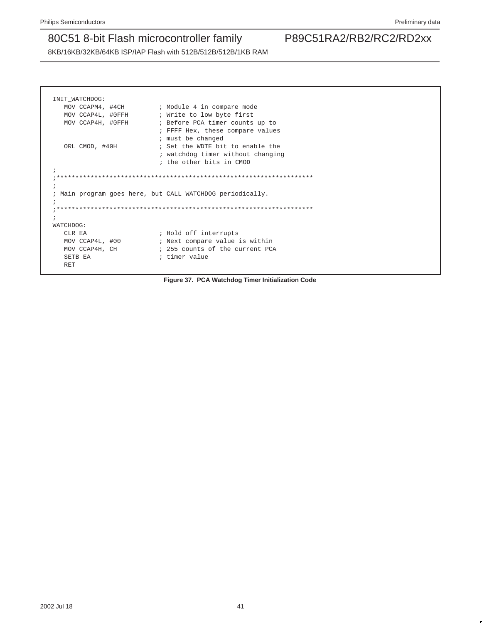8KB/16KB/32KB/64KB ISP/IAP Flash with 512B/512B/512B/1KB RAM

| INIT WATCHDOG:    |                                                                   |
|-------------------|-------------------------------------------------------------------|
| MOV CCAPM4, #4CH  | ; Module 4 in compare mode                                        |
| MOV CCAP4L, #0FFH | ; Write to low byte first                                         |
| MOV CCAP4H, #0FFH | ; Before PCA timer counts up to                                   |
|                   | ; FFFF Hex, these compare values                                  |
|                   | ; must be changed                                                 |
| ORL CMOD, #40H    | ; Set the WDTE bit to enable the                                  |
|                   | ; watchdog timer without changing                                 |
|                   | ; the other bits in CMOD                                          |
| $\ddot{i}$        |                                                                   |
|                   |                                                                   |
|                   |                                                                   |
|                   | Main program goes here, but CALL WATCHDOG periodically.           |
|                   |                                                                   |
|                   |                                                                   |
|                   |                                                                   |
|                   |                                                                   |
| WATCHDOG:         |                                                                   |
| CLR EA            |                                                                   |
| MOV CCAP4L, #00   | ; Hold off interrupts                                             |
| MOV CCAP4H, CH    | ; Next compare value is within<br>; 255 counts of the current PCA |
| SETB EA           | ; timer value                                                     |

**Figure 37. PCA Watchdog Timer Initialization Code**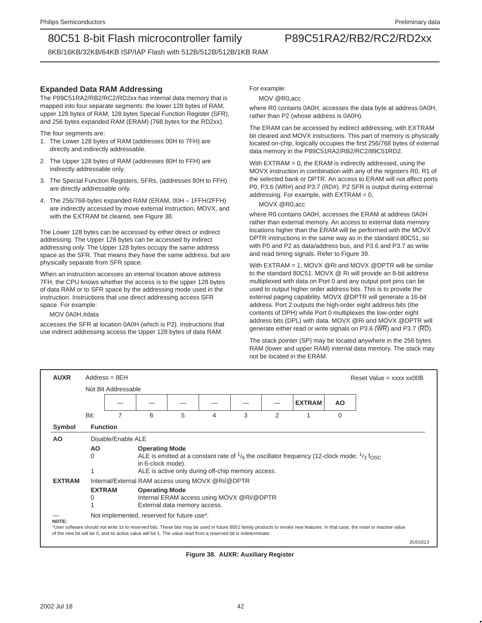8KB/16KB/32KB/64KB ISP/IAP Flash with 512B/512B/512B/1KB RAM

### **Expanded Data RAM Addressing**

The P89C51RA2/RB2/RC2/RD2xx has internal data memory that is mapped into four separate segments: the lower 128 bytes of RAM, upper 128 bytes of RAM, 128 bytes Special Function Register (SFR), and 256 bytes expanded RAM (ERAM) (768 bytes for the RD2xx).

The four segments are:

- 1. The Lower 128 bytes of RAM (addresses 00H to 7FH) are directly and indirectly addressable.
- 2. The Upper 128 bytes of RAM (addresses 80H to FFH) are indirectly addressable only.
- 3. The Special Function Registers, SFRs, (addresses 80H to FFH) are directly addressable only.
- 4. The 256/768-bytes expanded RAM (ERAM, 00H 1FFH/2FFH) are indirectly accessed by move external instruction, MOVX, and with the EXTRAM bit cleared, see Figure 38.

The Lower 128 bytes can be accessed by either direct or indirect addressing. The Upper 128 bytes can be accessed by indirect addressing only. The Upper 128 bytes occupy the same address space as the SFR. That means they have the same address, but are physically separate from SFR space.

When an instruction accesses an internal location above address 7FH, the CPU knows whether the access is to the upper 128 bytes of data RAM or to SFR space by the addressing mode used in the instruction. Instructions that use direct addressing access SFR space. For example:

MOV 0A0H,#data

accesses the SFR at location 0A0H (which is P2). Instructions that use indirect addressing access the Upper 128 bytes of data RAM.

For example:

MOV @R0,acc

where R0 contains 0A0H, accesses the data byte at address 0A0H, rather than P2 (whose address is 0A0H).

The ERAM can be accessed by indirect addressing, with EXTRAM bit cleared and MOVX instructions. This part of memory is physically located on-chip, logically occupies the first 256/768 bytes of external data memory in the P89C51RA2/RB2/RC2/89C51RD2.

With EXTRAM = 0, the ERAM is indirectly addressed, using the MOVX instruction in combination with any of the registers R0, R1 of the selected bank or DPTR. An access to ERAM will not affect ports P0, P3.6 (WR#) and P3.7 (RD#). P2 SFR is output during external addressing. For example, with EXTRAM = 0,

MOVX @R0,acc

where R0 contains 0A0H, accesses the ERAM at address 0A0H rather than external memory. An access to external data memory locations higher than the ERAM will be performed with the MOVX DPTR instructions in the same way as in the standard 80C51, so with P0 and P2 as data/address bus, and P3.6 and P3.7 as write and read timing signals. Refer to Figure 39.

With EXTRAM = 1, MOVX @Ri and MOVX @DPTR will be similar to the standard 80C51. MOVX @ Ri will provide an 8-bit address multiplexed with data on Port 0 and any output port pins can be used to output higher order address bits. This is to provide the external paging capability. MOVX @DPTR will generate a 16-bit address. Port 2 outputs the high-order eight address bits (the contents of DPH) while Port 0 multiplexes the low-order eight address bits (DPL) with data. MOVX @Ri and MOVX @DPTR will generate either read or write signals on P3.6 (WR) and P3.7 (RD).

The stack pointer (SP) may be located anywhere in the 256 bytes RAM (lower and upper RAM) internal data memory. The stack may not be located in the ERAM.

| <b>AUXR</b>   |                    | $Address = 8EH$     |                                                                                                                |   |                                                   |   |                |                                                                                                                |           | Reset Value = $xxxx$ $x$ $00B$                                                                                                                                               |         |
|---------------|--------------------|---------------------|----------------------------------------------------------------------------------------------------------------|---|---------------------------------------------------|---|----------------|----------------------------------------------------------------------------------------------------------------|-----------|------------------------------------------------------------------------------------------------------------------------------------------------------------------------------|---------|
|               |                    | Not Bit Addressable |                                                                                                                |   |                                                   |   |                |                                                                                                                |           |                                                                                                                                                                              |         |
|               |                    |                     |                                                                                                                |   |                                                   |   |                | <b>EXTRAM</b>                                                                                                  | <b>AO</b> |                                                                                                                                                                              |         |
|               | Bit:               |                     | 6                                                                                                              | 5 | 4                                                 | 3 | $\mathfrak{p}$ |                                                                                                                | $\Omega$  |                                                                                                                                                                              |         |
| Symbol        | <b>Function</b>    |                     |                                                                                                                |   |                                                   |   |                |                                                                                                                |           |                                                                                                                                                                              |         |
| AO            |                    | Disable/Enable ALE  |                                                                                                                |   |                                                   |   |                |                                                                                                                |           |                                                                                                                                                                              |         |
|               | AO.<br>0           |                     | <b>Operating Mode</b><br>in 6-clock mode).                                                                     |   |                                                   |   |                | ALE is emitted at a constant rate of $\frac{1}{6}$ the oscillator frequency (12-clock mode; $\frac{1}{3}$ fosc |           |                                                                                                                                                                              |         |
|               |                    |                     |                                                                                                                |   | ALE is active only during off-chip memory access. |   |                |                                                                                                                |           |                                                                                                                                                                              |         |
| <b>EXTRAM</b> |                    |                     | Internal/External RAM access using MOVX @Ri/@DPTR                                                              |   |                                                   |   |                |                                                                                                                |           |                                                                                                                                                                              |         |
|               | <b>EXTRAM</b><br>0 |                     | <b>Operating Mode</b><br>External data memory access.                                                          |   | Internal ERAM access using MOVX @Ri/@DPTR         |   |                |                                                                                                                |           |                                                                                                                                                                              |         |
|               |                    |                     | Not implemented, reserved for future use*.                                                                     |   |                                                   |   |                |                                                                                                                |           |                                                                                                                                                                              |         |
| NOTE:         |                    |                     | of the new bit will be 0, and its active value will be 1. The value read from a reserved bit is indeterminate. |   |                                                   |   |                |                                                                                                                |           | *User software should not write 1s to reserved bits. These bits may be used in future 8051 family products to invoke new features. In that case, the reset or inactive value |         |
|               |                    |                     |                                                                                                                |   |                                                   |   |                |                                                                                                                |           |                                                                                                                                                                              | SU01613 |

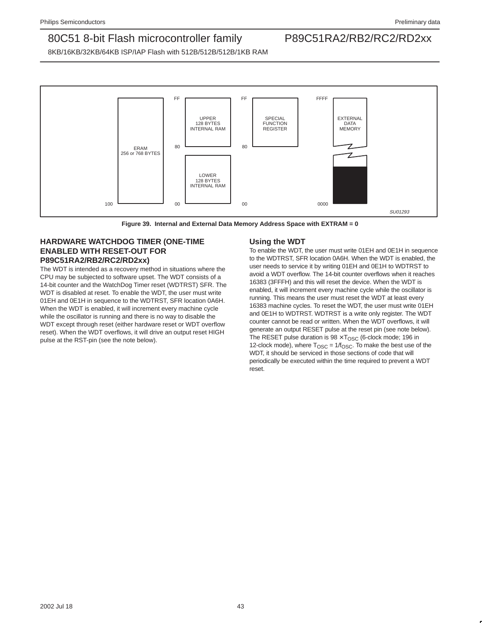8KB/16KB/32KB/64KB ISP/IAP Flash with 512B/512B/512B/1KB RAM



**Figure 39. Internal and External Data Memory Address Space with EXTRAM = 0**

### **HARDWARE WATCHDOG TIMER (ONE-TIME ENABLED WITH RESET-OUT FOR P89C51RA2/RB2/RC2/RD2xx)**

The WDT is intended as a recovery method in situations where the CPU may be subjected to software upset. The WDT consists of a 14-bit counter and the WatchDog Timer reset (WDTRST) SFR. The WDT is disabled at reset. To enable the WDT, the user must write 01EH and 0E1H in sequence to the WDTRST, SFR location 0A6H. When the WDT is enabled, it will increment every machine cycle while the oscillator is running and there is no way to disable the WDT except through reset (either hardware reset or WDT overflow reset). When the WDT overflows, it will drive an output reset HIGH pulse at the RST-pin (see the note below).

### **Using the WDT**

To enable the WDT, the user must write 01EH and 0E1H in sequence to the WDTRST, SFR location 0A6H. When the WDT is enabled, the user needs to service it by writing 01EH and 0E1H to WDTRST to avoid a WDT overflow. The 14-bit counter overflows when it reaches 16383 (3FFFH) and this will reset the device. When the WDT is enabled, it will increment every machine cycle while the oscillator is running. This means the user must reset the WDT at least every 16383 machine cycles. To reset the WDT, the user must write 01EH and 0E1H to WDTRST. WDTRST is a write only register. The WDT counter cannot be read or written. When the WDT overflows, it will generate an output RESET pulse at the reset pin (see note below). The RESET pulse duration is  $98 \times T_{\text{OSC}}$  (6-clock mode; 196 in 12-clock mode), where  $T<sub>OSC</sub> = 1/f<sub>OSC</sub>$ . To make the best use of the WDT, it should be serviced in those sections of code that will periodically be executed within the time required to prevent a WDT reset.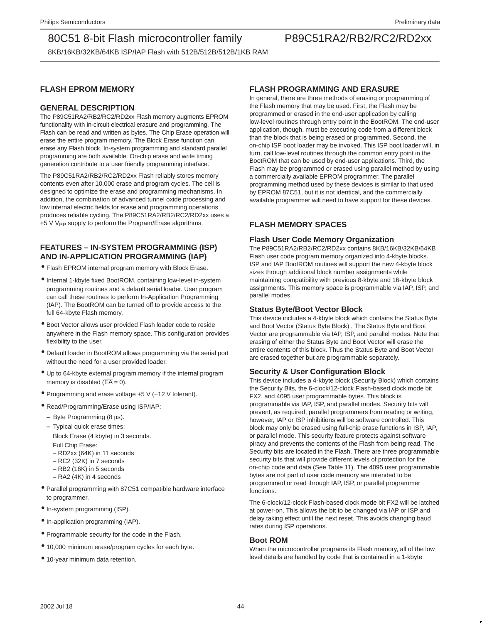8KB/16KB/32KB/64KB ISP/IAP Flash with 512B/512B/512B/1KB RAM

### **FLASH EPROM MEMORY**

### **GENERAL DESCRIPTION**

The P89C51RA2/RB2/RC2/RD2xx Flash memory augments EPROM functionality with in-circuit electrical erasure and programming. The Flash can be read and written as bytes. The Chip Erase operation will erase the entire program memory. The Block Erase function can erase any Flash block. In-system programming and standard parallel programming are both available. On-chip erase and write timing generation contribute to a user friendly programming interface.

The P89C51RA2/RB2/RC2/RD2xx Flash reliably stores memory contents even after 10,000 erase and program cycles. The cell is designed to optimize the erase and programming mechanisms. In addition, the combination of advanced tunnel oxide processing and low internal electric fields for erase and programming operations produces reliable cycling. The P89C51RA2/RB2/RC2/RD2xx uses a +5 V V<sub>PP</sub> supply to perform the Program/Erase algorithms.

### **FEATURES – IN-SYSTEM PROGRAMMING (ISP) AND IN-APPLICATION PROGRAMMING (IAP)**

- Flash EPROM internal program memory with Block Erase.
- Internal 1-kbyte fixed BootROM, containing low-level in-system programming routines and a default serial loader. User program can call these routines to perform In-Application Programming (IAP). The BootROM can be turned off to provide access to the full 64-kbyte Flash memory.
- Boot Vector allows user provided Flash loader code to reside anywhere in the Flash memory space. This configuration provides flexibility to the user.
- Default loader in BootROM allows programming via the serial port without the need for a user provided loader.
- Up to 64-kbyte external program memory if the internal program memory is disabled ( $\overline{EA} = 0$ ).
- Programming and erase voltage +5 V (+12 V tolerant).
- Read/Programming/Erase using ISP/IAP:
	- **–** Byte Programming (8 µs).
	- **–** Typical quick erase times: Block Erase (4 kbyte) in 3 seconds. Full Chip Erase:
		- RD2xx (64K) in 11 seconds
		- RC2 (32K) in 7 seconds
		- RB2 (16K) in 5 seconds
		- RA2 (4K) in 4 seconds
- Parallel programming with 87C51 compatible hardware interface to programmer.
- In-system programming (ISP).
- In-application programming (IAP).
- Programmable security for the code in the Flash.
- 10,000 minimum erase/program cycles for each byte.
- 10-year minimum data retention.

### **FLASH PROGRAMMING AND ERASURE**

In general, there are three methods of erasing or programming of the Flash memory that may be used. First, the Flash may be programmed or erased in the end-user application by calling low-level routines through entry point in the BootROM. The end-user application, though, must be executing code from a different block than the block that is being erased or programmed. Second, the on-chip ISP boot loader may be invoked. This ISP boot loader will, in turn, call low-level routines through the common entry point in the BootROM that can be used by end-user applications. Third, the Flash may be programmed or erased using parallel method by using a commercially available EPROM programmer. The parallel programming method used by these devices is similar to that used by EPROM 87C51, but it is not identical, and the commercially available programmer will need to have support for these devices.

### **FLASH MEMORY SPACES**

### **Flash User Code Memory Organization**

The P89C51RA2/RB2/RC2/RD2xx contains 8KB/16KB/32KB/64KB Flash user code program memory organized into 4-kbyte blocks. ISP and IAP BootROM routines will support the new 4-kbyte block sizes through additional block number assignments while maintaining compatibility with previous 8-kbyte and 16-kbyte block assignments. This memory space is programmable via IAP, ISP, and parallel modes.

### **Status Byte/Boot Vector Block**

This device includes a 4-kbyte block which contains the Status Byte and Boot Vector (Status Byte Block) . The Status Byte and Boot Vector are programmable via IAP, ISP, and parallel modes. Note that erasing of either the Status Byte and Boot Vector will erase the entire contents of this block. Thus the Status Byte and Boot Vector are erased together but are programmable separately.

### **Security & User Configuration Block**

This device includes a 4-kbyte block (Security Block) which contains the Security Bits, the 6-clock/12-clock Flash-based clock mode bit FX2, and 4095 user programmable bytes. This block is programmable via IAP, ISP, and parallel modes. Security bits will prevent, as required, parallel programmers from reading or writing, however, IAP or ISP inhibitions will be software controlled. This block may only be erased using full-chip erase functions in ISP, IAP, or parallel mode. This security feature protects against software piracy and prevents the contents of the Flash from being read. The Security bits are located in the Flash. There are three programmable security bits that will provide different levels of protection for the on-chip code and data (See Table 11). The 4095 user programmable bytes are not part of user code memory are intended to be programmed or read through IAP, ISP, or parallel programmer functions.

The 6-clock/12-clock Flash-based clock mode bit FX2 will be latched at power-on. This allows the bit to be changed via IAP or ISP and delay taking effect until the next reset. This avoids changing baud rates during ISP operations.

### **Boot ROM**

When the microcontroller programs its Flash memory, all of the low level details are handled by code that is contained in a 1-kbyte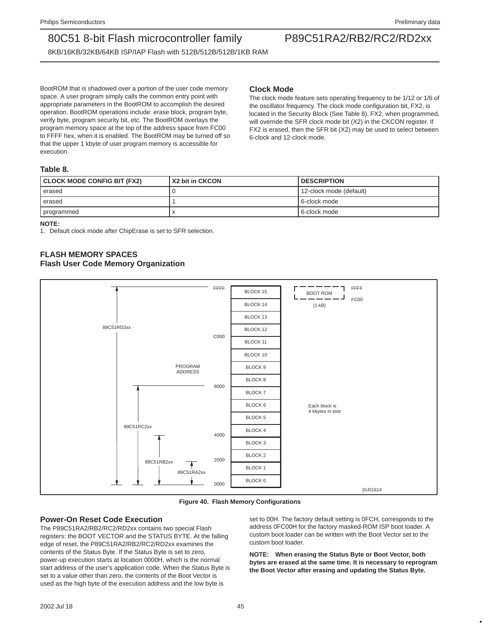8KB/16KB/32KB/64KB ISP/IAP Flash with 512B/512B/512B/1KB RAM

BootROM that is shadowed over a portion of the user code memory space. A user program simply calls the common entry point with appropriate parameters in the BootROM to accomplish the desired operation. BootROM operations include: erase block, program byte, verify byte, program security bit, etc. The BootROM overlays the program memory space at the top of the address space from FC00 to FFFF hex, when it is enabled. The BootROM may be turned off so that the upper 1 kbyte of user program memory is accessible for execution.

### **Clock Mode**

The clock mode feature sets operating frequency to be 1/12 or 1/6 of the oscillator frequency. The clock mode configuration bit, FX2, is located in the Security Block (See Table 8). FX2, when programmed, will override the SFR clock mode bit (X2) in the CKCON register. If FX2 is erased, then the SFR bit (X2) may be used to select between 6-clock and 12-clock mode.

### **Table 8.**

| CLOCK MODE CONFIG BIT (FX2) | X2 bit in CKCON | <b>DESCRIPTION</b>      |
|-----------------------------|-----------------|-------------------------|
| erased                      |                 | 12-clock mode (default) |
| erased                      |                 | l 6-clock mode          |
| programmed                  |                 | 6-clock mode            |

**NOTE:**

1. Default clock mode after ChipErase is set to SFR selection.

### **FLASH MEMORY SPACES**

### **Flash User Code Memory Organization**



**Figure 40. Flash Memory Configurations**

### **Power-On Reset Code Execution**

The P89C51RA2/RB2/RC2/RD2xx contains two special Flash registers: the BOOT VECTOR and the STATUS BYTE. At the falling edge of reset, the P89C51RA2/RB2/RC2/RD2xx examines the contents of the Status Byte. If the Status Byte is set to zero, power-up execution starts at location 0000H, which is the normal start address of the user's application code. When the Status Byte is set to a value other than zero, the contents of the Boot Vector is used as the high byte of the execution address and the low byte is

set to 00H. The factory default setting is 0FCH, corresponds to the address 0FC00H for the factory masked-ROM ISP boot loader. A custom boot loader can be written with the Boot Vector set to the custom boot loader.

**NOTE: When erasing the Status Byte or Boot Vector, both bytes are erased at the same time. It is necessary to reprogram the Boot Vector after erasing and updating the Status Byte.**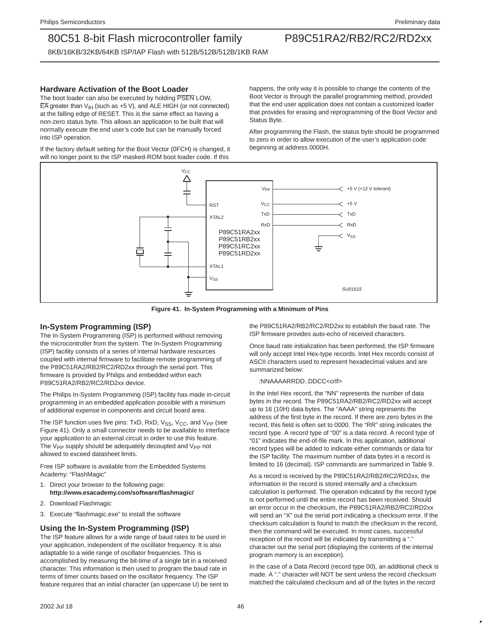8KB/16KB/32KB/64KB ISP/IAP Flash with 512B/512B/512B/1KB RAM

### **Hardware Activation of the Boot Loader**

The boot loader can also be executed by holding PSEN LOW.  $\overline{EA}$  greater than  $V_{IH}$  (such as +5 V), and ALE HIGH (or not connected) at the falling edge of RESET. This is the same effect as having a non-zero status byte. This allows an application to be built that will normally execute the end user's code but can be manually forced into ISP operation.

If the factory default setting for the Boot Vector (0FCH) is changed, it will no longer point to the ISP masked-ROM boot loader code. If this

happens, the only way it is possible to change the contents of the Boot Vector is through the parallel programming method, provided that the end user application does not contain a customized loader that provides for erasing and reprogramming of the Boot Vector and Status Byte.

After programming the Flash, the status byte should be programmed to zero in order to allow execution of the user's application code beginning at address 0000H.



**Figure 41. In-System Programming with a Minimum of Pins**

### **In-System Programming (ISP)**

The In-System Programming (ISP) is performed without removing the microcontroller from the system. The In-System Programming (ISP) facility consists of a series of internal hardware resources coupled with internal firmware to facilitate remote programming of the P89C51RA2/RB2/RC2/RD2xx through the serial port. This firmware is provided by Philips and embedded within each P89C51RA2/RB2/RC2/RD2xx device.

The Philips In-System Programming (ISP) facility has made in-circuit programming in an embedded application possible with a minimum of additional expense in components and circuit board area.

The ISP function uses five pins:  $TxD$ ,  $RxD$ ,  $V_{SS}$ ,  $V_{CC}$ , and  $V_{PP}$  (see Figure 41). Only a small connector needs to be available to interface your application to an external circuit in order to use this feature. The V<sub>PP</sub> supply should be adequately decoupled and V<sub>PP</sub> not allowed to exceed datasheet limits.

Free ISP software is available from the Embedded Systems Academy: "FlashMagic"

- 1. Direct your browser to the following page: **http://www.esacademy.com/software/flashmagic/**
- 2. Download Flashmagic
- 3. Execute "flashmagic.exe" to install the software

### **Using the In-System Programming (ISP)**

The ISP feature allows for a wide range of baud rates to be used in your application, independent of the oscillator frequency. It is also adaptable to a wide range of oscillator frequencies. This is accomplished by measuring the bit-time of a single bit in a received character. This information is then used to program the baud rate in terms of timer counts based on the oscillator frequency. The ISP feature requires that an initial character (an uppercase U) be sent to the P89C51RA2/RB2/RC2/RD2xx to establish the baud rate. The ISP firmware provides auto-echo of received characters.

Once baud rate initialization has been performed, the ISP firmware will only accept Intel Hex-type records. Intel Hex records consist of ASCII characters used to represent hexadecimal values and are summarized below:

#### :NNAAAARRDD..DDCC<crlf>

In the Intel Hex record, the "NN" represents the number of data bytes in the record. The P89C51RA2/RB2/RC2/RD2xx will accept up to 16 (10H) data bytes. The "AAAA" string represents the address of the first byte in the record. If there are zero bytes in the record, this field is often set to 0000. The "RR" string indicates the record type. A record type of "00" is a data record. A record type of "01" indicates the end-of-file mark. In this application, additional record types will be added to indicate either commands or data for the ISP facility. The maximum number of data bytes in a record is limited to 16 (decimal). ISP commands are summarized in Table 9.

As a record is received by the P89C51RA2/RB2/RC2/RD2xx, the information in the record is stored internally and a checksum calculation is performed. The operation indicated by the record type is not performed until the entire record has been received. Should an error occur in the checksum, the P89C51RA2/RB2/RC2/RD2xx will send an "X" out the serial port indicating a checksum error. If the checksum calculation is found to match the checksum in the record, then the command will be executed. In most cases, successful reception of the record will be indicated by transmitting a ". character out the serial port (displaying the contents of the internal program memory is an exception).

In the case of a Data Record (record type 00), an additional check is made. A "." character will NOT be sent unless the record checksum matched the calculated checksum and all of the bytes in the record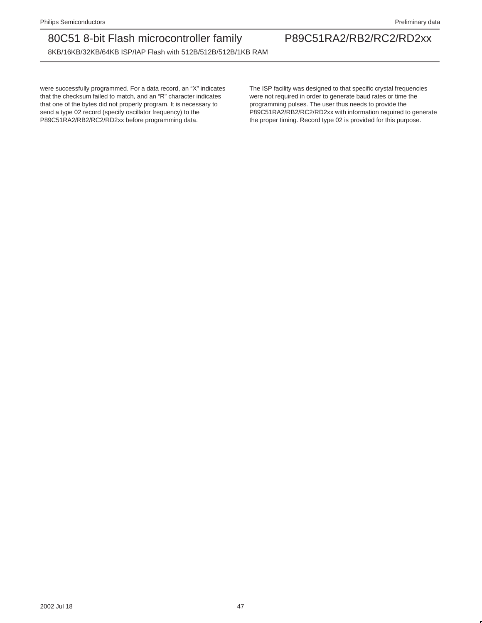8KB/16KB/32KB/64KB ISP/IAP Flash with 512B/512B/512B/1KB RAM

were successfully programmed. For a data record, an "X" indicates that the checksum failed to match, and an "R" character indicates that one of the bytes did not properly program. It is necessary to send a type 02 record (specify oscillator frequency) to the P89C51RA2/RB2/RC2/RD2xx before programming data.

The ISP facility was designed to that specific crystal frequencies were not required in order to generate baud rates or time the programming pulses. The user thus needs to provide the P89C51RA2/RB2/RC2/RD2xx with information required to generate the proper timing. Record type 02 is provided for this purpose.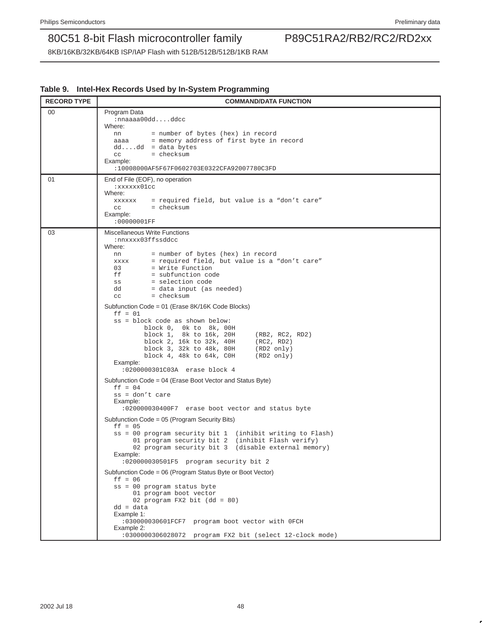|  | Table 9. Intel-Hex Records Used by In-System Programming |  |  |  |
|--|----------------------------------------------------------|--|--|--|
|--|----------------------------------------------------------|--|--|--|

| <b>RECORD TYPE</b> | <b>COMMAND/DATA FUNCTION</b>                                                                                                                                                                                                                                                                                                                                                                                                                                                                                                                                                                                                                                                                                                                                                                                                                                                                                                                                                                                                                                                                                                                                                                                                                                                                                                                                                                                                                                   |
|--------------------|----------------------------------------------------------------------------------------------------------------------------------------------------------------------------------------------------------------------------------------------------------------------------------------------------------------------------------------------------------------------------------------------------------------------------------------------------------------------------------------------------------------------------------------------------------------------------------------------------------------------------------------------------------------------------------------------------------------------------------------------------------------------------------------------------------------------------------------------------------------------------------------------------------------------------------------------------------------------------------------------------------------------------------------------------------------------------------------------------------------------------------------------------------------------------------------------------------------------------------------------------------------------------------------------------------------------------------------------------------------------------------------------------------------------------------------------------------------|
| 00                 | Program Data<br>$: \texttt{nnaaa00dd}.$ ddcc<br>Where:<br>= number of bytes (hex) in record<br>nn<br>aaaa = memory address of first byte in record<br>$dddd = data bytes$<br>CC<br>= checksum<br>Example:<br>:10008000AF5F67F0602703E0322CFA92007780C3FD                                                                                                                                                                                                                                                                                                                                                                                                                                                                                                                                                                                                                                                                                                                                                                                                                                                                                                                                                                                                                                                                                                                                                                                                       |
| 01                 | End of File (EOF), no operation<br>:xxxxxx01cc<br>Where:<br>xxxxxx = required field, but value is a "don't care"<br>$=$ checksum<br>CC<br>Example:<br>:00000001FF                                                                                                                                                                                                                                                                                                                                                                                                                                                                                                                                                                                                                                                                                                                                                                                                                                                                                                                                                                                                                                                                                                                                                                                                                                                                                              |
| 03                 | Miscellaneous Write Functions<br>:nnxxxx03ffssddcc<br>Where:<br>= number of bytes (hex) in record<br>nn<br>= required field, but value is a "don't care"<br>XXXX<br>= Write Function<br>0.3<br>ff<br>= subfunction code<br>= selection code<br>SS<br>dd<br>= data input (as needed)<br>= checksum<br>CC<br>Subfunction Code = 01 (Erase 8K/16K Code Blocks)<br>$ff = 01$<br>ss = block code as shown below:<br>block 0, 0k to 8k, 00H<br>block 1, 8k to 16k, 20H<br>(RB2, RC2, RD2)<br>block 2, 16k to 32k, 40H<br>(RC2, RD2)<br>block 3, 32k to 48k, 80H<br>$(RD2 \nonly)$<br>block 4, 48k to 64k, COH<br>(RD2 only)<br>Example:<br>:0200000301C03A erase block 4<br>Subfunction Code = 04 (Erase Boot Vector and Status Byte)<br>$ff = 04$<br>$ss = don't care$<br>Example:<br>:020000030400F7 erase boot vector and status byte<br>Subfunction Code = 05 (Program Security Bits)<br>$ff = 05$<br>ss = 00 program security bit 1 (inhibit writing to Flash)<br>01 program security bit 2 (inhibit Flash verify)<br>02 program security bit 3 (disable external memory)<br>Example:<br>:020000030501F5 program security bit 2<br>Subfunction Code = 06 (Program Status Byte or Boot Vector)<br>$ff = 06$<br>ss = 00 program status byte<br>01 program boot vector<br>02 program FX2 bit $(dd = 80)$<br>$dd = data$<br>Example 1:<br>:030000030601FCF7 program boot vector with OFCH<br>Example 2:<br>:0300000306028072 program FX2 bit (select 12-clock mode) |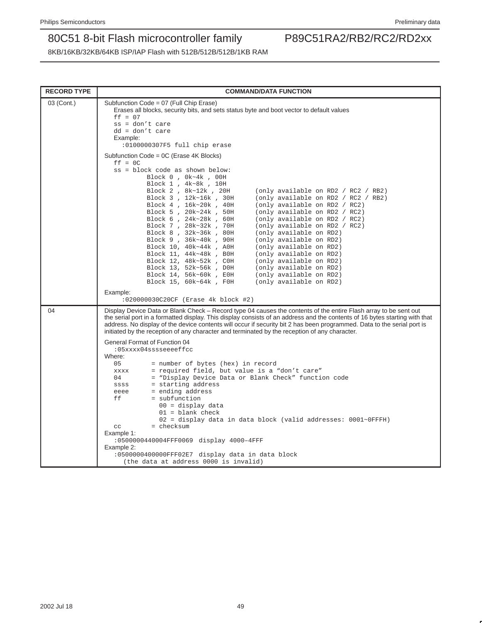| <b>RECORD TYPE</b> | <b>COMMAND/DATA FUNCTION</b>                                                                                                                                                                                                                                                                                                                                                                                                                                                                                                                                                                                                                                                                                                                                                                                                                                                                                                                                   |
|--------------------|----------------------------------------------------------------------------------------------------------------------------------------------------------------------------------------------------------------------------------------------------------------------------------------------------------------------------------------------------------------------------------------------------------------------------------------------------------------------------------------------------------------------------------------------------------------------------------------------------------------------------------------------------------------------------------------------------------------------------------------------------------------------------------------------------------------------------------------------------------------------------------------------------------------------------------------------------------------|
| 03 (Cont.)         | Subfunction Code = 07 (Full Chip Erase)<br>Erases all blocks, security bits, and sets status byte and boot vector to default values<br>$ff = 07$<br>$ss = don't care$<br>$dd = don't care$<br>Example:<br>:0100000307F5 full chip erase                                                                                                                                                                                                                                                                                                                                                                                                                                                                                                                                                                                                                                                                                                                        |
|                    | Subfunction Code = 0C (Erase 4K Blocks)<br>$ff = OC$<br>ss = block code as shown below:<br>Block 0, 0k~4k, 00H<br>Block 1, 4k~8k, 10H<br>Block 2, 8k~12k, 20H<br>(only available on RD2 / RC2 / RB2)<br>Block 3, 12k~16k, 30H<br>(only available on RD2 / RC2 / RB2)<br>Block 4, 16k~20k, 40H<br>(only available on RD2 / RC2)<br>Block 5, 20k~24k, 50H<br>(only available on RD2 / RC2)<br>Block 6, 24k~28k, 60H<br>(only available on RD2 / RC2)<br>Block 7, 28k~32k, 70H<br>(only available on RD2 / RC2)<br>Block 8, 32k~36k, 80H<br>(only available on RD2)<br>Block 9, 36k~40k, 90H<br>(only available on RD2)<br>Block 10, 40k~44k, A0H<br>(only available on RD2)<br>Block 11, 44k~48k, BOH<br>(only available on RD2)<br>Block 12, 48k~52k, COH<br>(only available on RD2)<br>Block 13, 52k~56k, DOH<br>(only available on RD2)<br>(only available on RD2)<br>Block 14, 56k~60k, E0H<br>Block 15, 60k~64k, F0H<br>(only available on RD2)<br>Example: |
| 04                 | :020000030C20CF (Erase 4k block #2)<br>Display Device Data or Blank Check – Record type 04 causes the contents of the entire Flash array to be sent out<br>the serial port in a formatted display. This display consists of an address and the contents of 16 bytes starting with that<br>address. No display of the device contents will occur if security bit 2 has been programmed. Data to the serial port is                                                                                                                                                                                                                                                                                                                                                                                                                                                                                                                                              |
|                    | initiated by the reception of any character and terminated by the reception of any character.<br>General Format of Function 04<br>:05xxxx04sssseeeeffcc<br>Where:<br>05<br>= number of bytes (hex) in record<br>= required field, but value is a "don't care"<br><b>XXXX</b><br>= "Display Device Data or Blank Check" function code<br>04<br>= starting address<br>SSSS<br>= ending address<br>eeee<br>= subfunction<br>ff<br>$00 =$ display data<br>$01 =$ blank check<br>$02 =$ display data in data block (valid addresses: $0001~^{\circ}$ OFFFH)<br>= checksum<br>cc<br>Example 1:<br>:0500000440004FFF0069 display 4000-4FFF<br>Example 2:<br>:0500000400000FFF02E7 display data in data block<br>(the data at address 0000 is invalid)                                                                                                                                                                                                                 |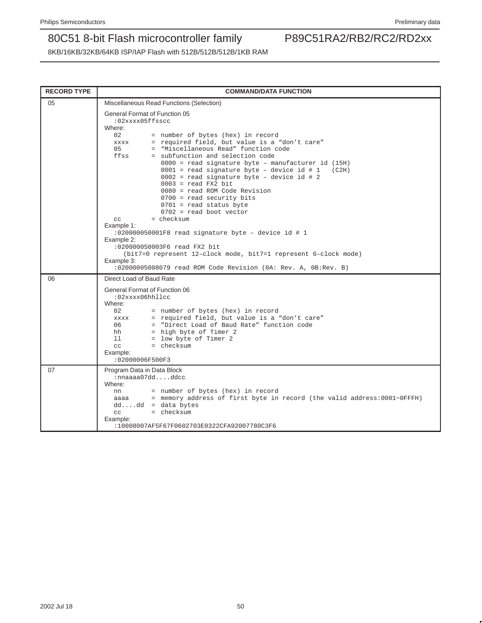| <b>RECORD TYPE</b> | <b>COMMAND/DATA FUNCTION</b>                                                                                                                                                                                      |
|--------------------|-------------------------------------------------------------------------------------------------------------------------------------------------------------------------------------------------------------------|
| 05                 | Miscellaneous Read Functions (Selection)                                                                                                                                                                          |
|                    | <b>General Format of Function 05</b><br>:02xxxx05ffsscc<br>Where:<br>02<br>= number of bytes (hex) in record                                                                                                      |
|                    | = required field, but value is a "don't care"<br><b>XXXX</b><br>= "Miscellaneous Read" function code<br>0.5<br>ffss<br>= subfunction and selection code<br>$0000$ = read signature byte - manufacturer id $(15H)$ |
|                    | $0001$ = read signature byte - device id # 1<br>(C2H)<br>$0002$ = read signature byte - device id # 2<br>$0003$ = read FX2 bit<br>$0080 =$ read ROM Code Revision                                                 |
|                    | $0700$ = read security bits<br>$0701$ = read status byte                                                                                                                                                          |
|                    | $0702$ = read boot vector<br>$=$ checksum<br>C.C.                                                                                                                                                                 |
|                    | Example 1:                                                                                                                                                                                                        |
|                    | :020000050001F8 read signature byte - device id # 1<br>Example 2:                                                                                                                                                 |
|                    | :020000050003F6 read FX2 bit                                                                                                                                                                                      |
|                    | (bit7=0 represent 12-clock mode, bit7=1 represent 6-clock mode)<br>Example 3:                                                                                                                                     |
|                    | :02000005008079 read ROM Code Revision (0A: Rev. A, 0B:Rev. B)                                                                                                                                                    |
| 06                 | Direct Load of Baud Rate                                                                                                                                                                                          |
|                    | General Format of Function 06<br>:02xxxx06hhllcc                                                                                                                                                                  |
|                    | Where:                                                                                                                                                                                                            |
|                    | 02<br>= number of bytes (hex) in record<br>= required field, but value is a "don't care"<br>XXXX                                                                                                                  |
|                    | = "Direct Load of Baud Rate" function code<br>06                                                                                                                                                                  |
|                    | = high byte of Timer 2<br>hh<br>11<br>= low byte of Timer 2                                                                                                                                                       |
|                    | $=$ checksum<br>CC                                                                                                                                                                                                |
|                    | Example:<br>:02000006F500F3                                                                                                                                                                                       |
| 07                 | Program Data in Data Block                                                                                                                                                                                        |
|                    | $: \text{nnaaa07dddd}$<br>Where:                                                                                                                                                                                  |
|                    | = number of bytes (hex) in record<br>nn                                                                                                                                                                           |
|                    | = memory address of first byte in record (the valid address: 0001~0FFFH)<br>aaaa<br>$dddd = data bytes$                                                                                                           |
|                    | = checksum<br>CC                                                                                                                                                                                                  |
|                    | Example:<br>:10008007AF5F67F0602703E0322CFA92007780C3F6                                                                                                                                                           |
|                    |                                                                                                                                                                                                                   |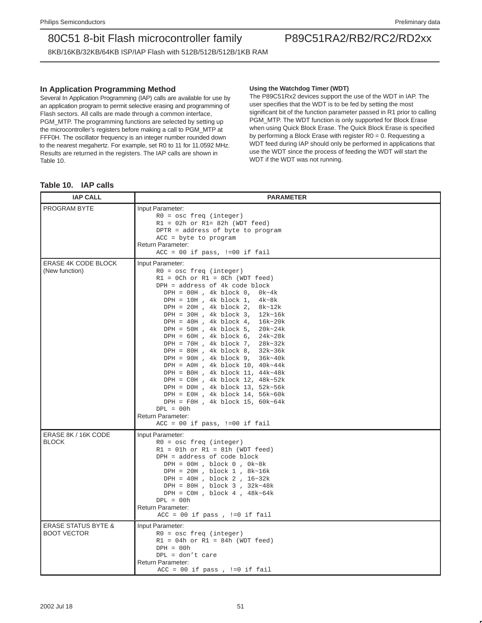8KB/16KB/32KB/64KB ISP/IAP Flash with 512B/512B/512B/1KB RAM

### **In Application Programming Method**

Several In Application Programming (IAP) calls are available for use by an application program to permit selective erasing and programming of Flash sectors. All calls are made through a common interface, PGM\_MTP. The programming functions are selected by setting up the microcontroller's registers before making a call to PGM\_MTP at FFF0H. The oscillator frequency is an integer number rounded down to the nearest megahertz. For example, set R0 to 11 for 11.0592 MHz. Results are returned in the registers. The IAP calls are shown in Table 10.

#### **Using the Watchdog Timer (WDT)**

The P89C51Rx2 devices support the use of the WDT in IAP. The user specifies that the WDT is to be fed by setting the most significant bit of the function parameter passed in R1 prior to calling PGM\_MTP. The WDT function is only supported for Block Erase when using Quick Block Erase. The Quick Block Erase is specified by performing a Block Erase with register R0 = 0. Requesting a WDT feed during IAP should only be performed in applications that use the WDT since the process of feeding the WDT will start the WDT if the WDT was not running.

| <b>IAP CALL</b>                                      | <b>PARAMETER</b>                                                                                                                                                                                                                                                                                                                                                                                                                                                                                                                                                                                                                                                                                                                                                                                                             |
|------------------------------------------------------|------------------------------------------------------------------------------------------------------------------------------------------------------------------------------------------------------------------------------------------------------------------------------------------------------------------------------------------------------------------------------------------------------------------------------------------------------------------------------------------------------------------------------------------------------------------------------------------------------------------------------------------------------------------------------------------------------------------------------------------------------------------------------------------------------------------------------|
| PROGRAM BYTE                                         | Input Parameter:<br>$R0 = osc$ freq (integer)<br>$R1 = 02h$ or $R1 = 82h$ (WDT feed)<br>DPTR = address of byte to program<br>$ACC = byte to program$<br><b>Return Parameter:</b><br>$ACC = 00$ if pass, $!=00$ if fail                                                                                                                                                                                                                                                                                                                                                                                                                                                                                                                                                                                                       |
| <b>ERASE 4K CODE BLOCK</b><br>(New function)         | Input Parameter:<br>$R0 = osc$ freq (integer)<br>$R1 = OCh$ or $R1 = 8Ch$ (WDT feed)<br>$DPH = address of 4k code block$<br>$DPH = 00H$ , 4k block 0, 0k~4k<br>DPH = $10H$ , 4k block 1, 4k~8k<br>$DPH = 20H$ , 4k block 2, 8k~12k<br>$DPH = 30H$ , 4k block 3, 12k~16k<br>$DPH = 40H$ , 4k block 4, 16k~20k<br>$DPH = 50H$ , 4k block 5, 20k~24k<br>$DPH = 60H$ , 4k block 6, 24k~28k<br>$DPH = 70H$ , 4k block 7, 28k~32k<br>$DPH = 80H$ , 4k block 8, 32k~36k<br>$DPH = 90H$ , 4k block 9, 36k~40k<br>$DPH = A0H$ , 4k block 10, 40k~44k<br>$DPH = BOH$ , 4k block 11, 44k~48k<br>$DPH = C0H$ , 4k block 12, 48k~52k<br>$DPH = D0H$ , 4k block 13, 52k~56k<br>$DPH = E0H$ , 4k block 14, 56k~60k<br>$\texttt{DPH = F0H , 4k block 15, 60k~64k}$<br>$DPL = 00h$<br>Return Parameter:<br>$ACC = 00$ if pass, $!=00$ if fail |
| ERASE 8K / 16K CODE<br><b>BLOCK</b>                  | Input Parameter:<br>$R0 = osc$ freq (integer)<br>$R1 = 01h$ or $R1 = 81h$ (WDT feed)<br>$DPH = address of code block$<br>$DPH = 00H$ , block 0, $0k \sim 8k$<br>$DPH = 20H$ , block 1, 8k~16k<br>$DPH = 40H$ , block 2, 16~32k<br>$DPH = 80H$ , block 3, 32k~48k<br>DPH = $COH$ , block 4, 48k~64k<br>$DPL = 00h$<br><b>Return Parameter:</b><br>$ACC = 00$ if pass, $!=0$ if fail                                                                                                                                                                                                                                                                                                                                                                                                                                           |
| <b>ERASE STATUS BYTE &amp;</b><br><b>BOOT VECTOR</b> | Input Parameter:<br>$R0 = osc$ freq (integer)<br>$R1 = 04h$ or $R1 = 84h$ (WDT feed)<br>$DPH = 00h$<br>$DPL = don't care$<br><b>Return Parameter:</b><br>$ACC = 00$ if pass, $!=0$ if fail                                                                                                                                                                                                                                                                                                                                                                                                                                                                                                                                                                                                                                   |

### **Table 10. IAP calls**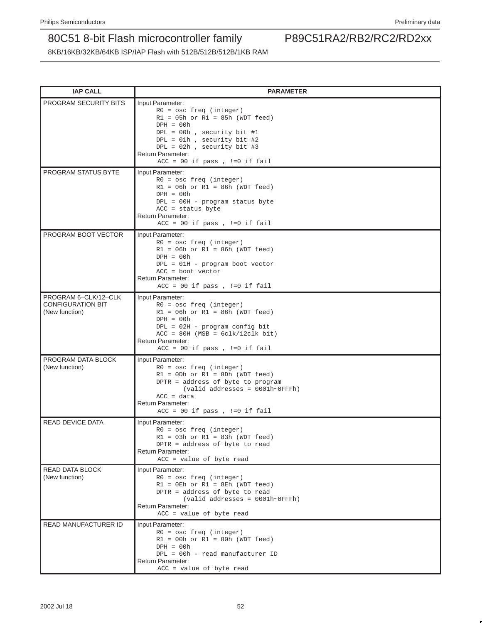| <b>IAP CALL</b>                                                    | <b>PARAMETER</b>                                                                                                                                                                                                                                                        |
|--------------------------------------------------------------------|-------------------------------------------------------------------------------------------------------------------------------------------------------------------------------------------------------------------------------------------------------------------------|
| PROGRAM SECURITY BITS                                              | Input Parameter:<br>$R0 = osc$ freq (integer)<br>$R1 = 05h$ or $R1 = 85h$ (WDT feed)<br>$DPH = 00h$<br>$DPL = 00h$ , security bit #1<br>$DPL = 01h$ , security bit #2<br>$DPL = 02h$ , security bit #3<br><b>Return Parameter:</b><br>$ACC = 00$ if pass, $!=0$ if fail |
| PROGRAM STATUS BYTE                                                | Input Parameter:<br>$R0 = osc$ freq (integer)<br>$R1 = 06h$ or $R1 = 86h$ (WDT feed)<br>$DPH = 00h$<br>DPL = 00H - program status byte<br>$ACC = status byte$<br><b>Return Parameter:</b><br>ACC = $00$ if pass, $!=0$ if fail                                          |
| PROGRAM BOOT VECTOR                                                | Input Parameter:<br>$R0 = osc$ freq (integer)<br>$R1 = 06h$ or $R1 = 86h$ (WDT feed)<br>$DPH = 00h$<br>DPL = 01H - program boot vector<br>$ACC = boot vector$<br><b>Return Parameter:</b><br>$ACC = 00$ if pass, $!=0$ if fail                                          |
| PROGRAM 6-CLK/12-CLK<br><b>CONFIGURATION BIT</b><br>(New function) | Input Parameter:<br>$R0 = osc$ freq (integer)<br>$R1 = 06h$ or $R1 = 86h$ (WDT feed)<br>$DPH = 00h$<br>$DPL = 02H - program config bit$<br>$ACC = 80H (MSB = 6clk/12clk bit)$<br><b>Return Parameter:</b><br>ACC = $00$ if pass, $!=0$ if fail                          |
| PROGRAM DATA BLOCK<br>(New function)                               | Input Parameter:<br>$R0 = osc$ freq (integer)<br>$R1 = 0Dh$ or $R1 = 8Dh$ (WDT feed)<br>DPTR = address of byte to program<br>$\text{(valid addresses = } 0001h \sim 0 \text{FFFh})$<br>$ACC = data$<br><b>Return Parameter:</b><br>$ACC = 00$ if pass, $!=0$ if fail    |
| <b>READ DEVICE DATA</b>                                            | Input Parameter:<br>$R0 = osc$ freq (integer)<br>$R1 = 03h$ or $R1 = 83h$ (WDT feed)<br>DPTR = address of byte to read<br><b>Return Parameter:</b><br>ACC = value of byte read                                                                                          |
| <b>READ DATA BLOCK</b><br>(New function)                           | Input Parameter:<br>$R0 = osc$ freq (integer)<br>$R1 = 0Eh$ or $R1 = 8Eh$ (WDT feed)<br>DPTR = address of byte to read<br>$\text{(valid addresses = } 0001h \sim 0 \text{FFFh})$<br><b>Return Parameter:</b><br>ACC = value of byte read                                |
| READ MANUFACTURER ID                                               | Input Parameter:<br>$R0 = osc$ freq (integer)<br>$R1 = 00h$ or $R1 = 80h$ (WDT feed)<br>$DPH = 00h$<br>DPL = 00h - read manufacturer ID<br>Return Parameter:<br>ACC = value of byte read                                                                                |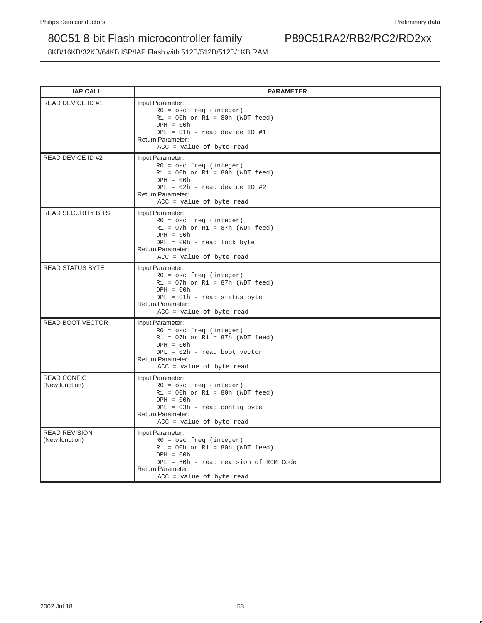| <b>IAP CALL</b>                        | <b>PARAMETER</b>                                                                                                                                                                                |
|----------------------------------------|-------------------------------------------------------------------------------------------------------------------------------------------------------------------------------------------------|
| READ DEVICE ID #1                      | Input Parameter:<br>$R0 = osc$ freq (integer)<br>$R1 = 00h$ or $R1 = 80h$ (WDT feed)<br>$DPH = 00h$<br>$DPL = 01h - read device ID #1$<br><b>Return Parameter:</b><br>ACC = value of byte read  |
| READ DEVICE ID #2                      | Input Parameter:<br>$R0 = osc$ freq (integer)<br>$R1 = 00h$ or $R1 = 80h$ (WDT feed)<br>$DPH = 00h$<br>$DPL = 02h - read device ID #2$<br>Return Parameter:<br>ACC = value of byte read         |
| <b>READ SECURITY BITS</b>              | Input Parameter:<br>$R0 = osc$ freq (integer)<br>$R1 = 07h$ or $R1 = 87h$ (WDT feed)<br>$DPH = 00h$<br>$DPL = 00h - read lock byte$<br>Return Parameter:<br>ACC = value of byte read            |
| <b>READ STATUS BYTE</b>                | Input Parameter:<br>$R0 = osc$ freq (integer)<br>$R1 = 07h$ or $R1 = 87h$ (WDT feed)<br>$DPH = 00h$<br>$DPL = 01h - read status byte$<br>Return Parameter:<br>ACC = value of byte read          |
| <b>READ BOOT VECTOR</b>                | Input Parameter:<br>$R0 = osc$ freq (integer)<br>$R1 = 07h$ or $R1 = 87h$ (WDT feed)<br>$DPH = 00h$<br>$DPL = 02h - read boot vector$<br>Return Parameter:<br>$ACC = value of byte read$        |
| <b>READ CONFIG</b><br>(New function)   | Input Parameter:<br>$R0 = osc$ freq (integer)<br>$R1 = 00h$ or $R1 = 80h$ (WDT feed)<br>$DPH = 00h$<br>$DPL = 03h - read config byte$<br>Return Parameter:<br>$ACC = value of byte read$        |
| <b>READ REVISION</b><br>(New function) | Input Parameter:<br>$R0 = osc$ freq (integer)<br>$R1 = 00h$ or $R1 = 80h$ (WDT feed)<br>$DPH = 00h$<br>DPL = 80h - read revision of ROM Code<br>Return Parameter:<br>$ACC = value of byte read$ |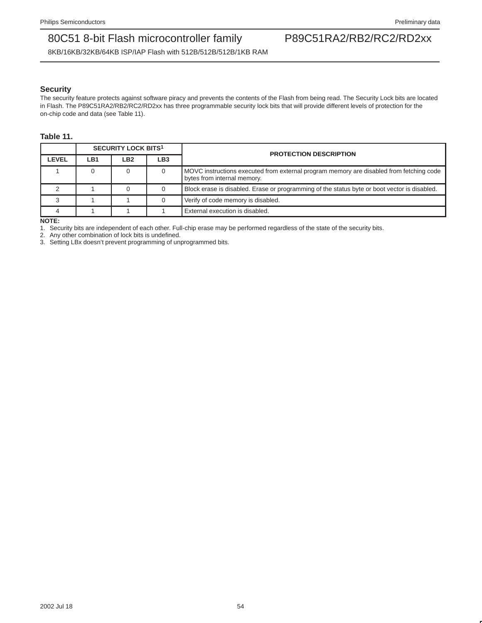8KB/16KB/32KB/64KB ISP/IAP Flash with 512B/512B/512B/1KB RAM

### **Security**

The security feature protects against software piracy and prevents the contents of the Flash from being read. The Security Lock bits are located in Flash. The P89C51RA2/RB2/RC2/RD2xx has three programmable security lock bits that will provide different levels of protection for the on-chip code and data (see Table 11).

### **Table 11.**

|       | <b>SECURITY LOCK BITS1</b> |     |     | <b>PROTECTION DESCRIPTION</b>                                                                                          |  |
|-------|----------------------------|-----|-----|------------------------------------------------------------------------------------------------------------------------|--|
| LEVEL | LB1                        | LB2 | LB3 |                                                                                                                        |  |
|       |                            |     |     | MOVC instructions executed from external program memory are disabled from fetching code<br>bytes from internal memory. |  |
|       |                            |     |     | Block erase is disabled. Erase or programming of the status byte or boot vector is disabled.                           |  |
|       |                            |     |     | Verify of code memory is disabled.                                                                                     |  |
|       |                            |     |     | External execution is disabled.                                                                                        |  |

#### **NOTE:**

1. Security bits are independent of each other. Full-chip erase may be performed regardless of the state of the security bits.

2. Any other combination of lock bits is undefined.

3. Setting LBx doesn't prevent programming of unprogrammed bits.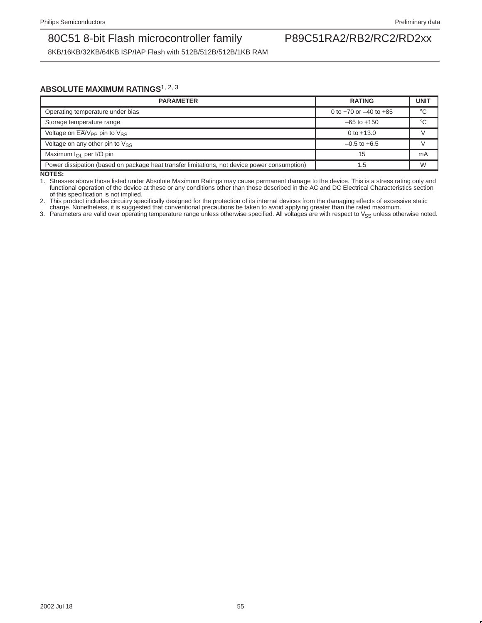8KB/16KB/32KB/64KB ISP/IAP Flash with 512B/512B/512B/1KB RAM

### **ABSOLUTE MAXIMUM RATINGS**1, 2, <sup>3</sup>

| <b>PARAMETER</b>                                                                             | <b>RATING</b>                | <b>UNIT</b> |
|----------------------------------------------------------------------------------------------|------------------------------|-------------|
| Operating temperature under bias                                                             | 0 to $+70$ or $-40$ to $+85$ | $^{\circ}C$ |
| Storage temperature range                                                                    | $-65$ to $+150$              | $^{\circ}C$ |
| Voltage on $\overline{EA}$ / $V_{PP}$ pin to $V_{SS}$                                        | 0 to $+13.0$                 |             |
| Voltage on any other pin to $V_{SS}$                                                         | $-0.5$ to $+6.5$             |             |
| Maximum $I_{\Omega}$ per I/O pin                                                             | 15                           | mA          |
| Power dissipation (based on package heat transfer limitations, not device power consumption) | 1.5                          | W           |

**NOTES:**

1. Stresses above those listed under Absolute Maximum Ratings may cause permanent damage to the device. This is a stress rating only and functional operation of the device at these or any conditions other than those described in the AC and DC Electrical Characteristics section of this specification is not implied.

2. This product includes circuitry specifically designed for the protection of its internal devices from the damaging effects of excessive static charge. Nonetheless, it is suggested that conventional precautions be taken to avoid applying greater than the rated maximum.

3. Parameters are valid over operating temperature range unless otherwise specified. All voltages are with respect to V<sub>SS</sub> unless otherwise noted.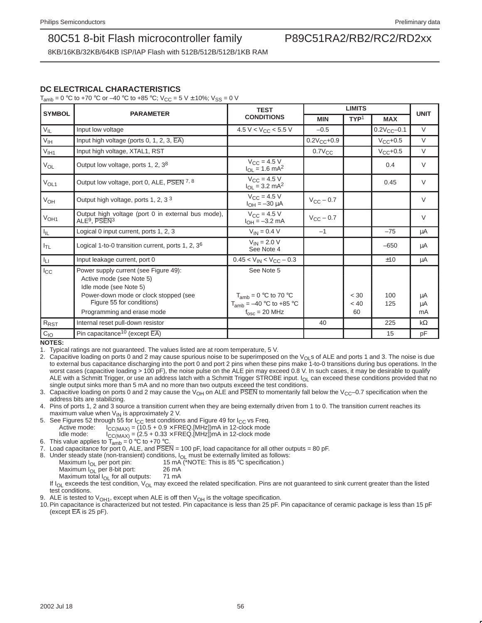8KB/16KB/32KB/64KB ISP/IAP Flash with 512B/512B/512B/1KB RAM

### **DC ELECTRICAL CHARACTERISTICS**

 $T_{amb} = 0$  °C to +70 °C or –40 °C to +85 °C; V<sub>CC</sub> = 5 V  $\pm$  10%; V<sub>SS</sub> = 0 V

|                  |                                                                                             | <b>TEST</b>                                               |                    |                  |                   |             |
|------------------|---------------------------------------------------------------------------------------------|-----------------------------------------------------------|--------------------|------------------|-------------------|-------------|
| <b>SYMBOL</b>    | <b>PARAMETER</b>                                                                            | <b>CONDITIONS</b>                                         | <b>MIN</b>         | TYP <sup>1</sup> | <b>MAX</b>        | <b>UNIT</b> |
| $V_{IL}$         | Input low voltage                                                                           | 4.5 V < $V_{CC}$ < 5.5 V                                  | $-0.5$             |                  | $0.2V_{CC} - 0.1$ | $\vee$      |
| $V_{\text{IH}}$  | Input high voltage (ports 0, 1, 2, 3, $\overline{EA}$ )                                     |                                                           | $0.2V_{CC} + 0.9$  |                  | $V_{CC} + 0.5$    | $\vee$      |
| V <sub>IH1</sub> | Input high voltage, XTAL1, RST                                                              |                                                           | $0.7V_{CC}$        |                  | $V_{CC}+0.5$      | $\vee$      |
| $V_{OL}$         | Output low voltage, ports 1, 2, $3^8$                                                       | $V_{CC} = 4.5 V$<br>$I_{OL} = 1.6$ mA <sup>2</sup>        |                    |                  | 0.4               | $\vee$      |
| V <sub>OL1</sub> | Output low voltage, port 0, ALE, PSEN 7, 8                                                  | $V_{CC}$ = 4.5 V<br>$I_{OL}$ = 3.2 mA <sup>2</sup>        |                    |                  | 0.45              | $\vee$      |
| V <sub>OH</sub>  | Output high voltage, ports 1, 2, 3 <sup>3</sup>                                             | $V_{CC} = 4.5 V$<br>$I_{OH} = -30 \mu A$                  | $V_{\rm CC}$ – 0.7 |                  |                   | $\vee$      |
| V <sub>OH1</sub> | Output high voltage (port 0 in external bus mode),<br>ALE <sup>9</sup> , PSEN <sup>3</sup>  | $V_{CC}$ = 4.5 V<br>$I_{OH} = -3.2$ mA                    | $V_{\rm CC}$ – 0.7 |                  |                   | $\vee$      |
| I <sub>IL</sub>  | Logical 0 input current, ports 1, 2, 3                                                      | $V_{IN} = 0.4 V$                                          | $-1$               |                  | $-75$             | μA          |
| $I_{TL}$         | Logical 1-to-0 transition current, ports 1, 2, 3 <sup>6</sup>                               | $V_{IN} = 2.0 V$<br>See Note 4                            |                    |                  | $-650$            | μA          |
| Iц               | Input leakage current, port 0                                                               | $0.45 < V_{IN} < V_{CC} - 0.3$                            |                    |                  | ±10               | μA          |
| $_{\rm lcc}$     | Power supply current (see Figure 49):<br>Active mode (see Note 5)<br>Idle mode (see Note 5) | See Note 5                                                |                    |                  |                   |             |
|                  | Power-down mode or clock stopped (see<br>Figure 55 for conditions)                          | $T_{amb} = 0$ °C to 70 °C<br>$T_{amb} = -40$ °C to +85 °C |                    | < 30<br>< 40     | 100<br>125        | μA<br>μA    |
|                  | Programming and erase mode                                                                  | $f_{\text{osc}} = 20$ MHz                                 |                    | 60               |                   | mA          |
| R <sub>RST</sub> | Internal reset pull-down resistor                                                           |                                                           | 40                 |                  | 225               | $k\Omega$   |
| $C_{IO}$         | Pin capacitance <sup>10</sup> (except $\overline{EA}$ )                                     |                                                           |                    |                  | 15                | pF          |

**NOTES:**

1. Typical ratings are not guaranteed. The values listed are at room temperature, 5 V.

2. Capacitive loading on ports 0 and 2 may cause spurious noise to be superimposed on the V<sub>OL</sub>s of ALE and ports 1 and 3. The noise is due to external bus capacitance discharging into the port 0 and port 2 pins when these pins make 1-to-0 transitions during bus operations. In the worst cases (capacitive loading > 100 pF), the noise pulse on the ALE pin may exceed 0.8 V. In such cases, it may be desirable to qualify ALE with a Schmitt Trigger, or use an address latch with a Schmitt Trigger STROBE input. I<sub>OL</sub> can exceed these conditions provided that no single output sinks more than 5 mA and no more than two outputs exceed the test conditions.

3. Capacitive loading on ports 0 and 2 may cause the V<sub>OH</sub> on ALE and PSEN to momentarily fall below the V<sub>CC</sub>–0.7 specification when the address bits are stabilizing.

4. Pins of ports 1, 2 and 3 source a transition current when they are being externally driven from 1 to 0. The transition current reaches its maximum value when  $V_{IN}$  is approximately 2 V.

- 5. See Figures 52 through 55 for  $I_{CC}$  test conditions and Figure 49 for  $I_{CC}$  vs Freq.<br>Active mode:  $I_{CC}$ ( $M_{A2}$ ) = (10.5 + 0.9  $\times$  FREQ.[MHz])mA in 12-clock mode Active mode:  $I_{CC(MAX)} = (10.5 + 0.9 \times \text{FREG.(MHZ))}$ mA in 12-clock mode<br>Idle mode:  $I_{CC(MAX)} = (2.5 + 0.33 \times \text{FREG.(MHZ))}$ mA in 12-clock mode  $I_{\text{CC}(MAX)} = (2.5 + 0.33 \times \text{FREG}.[\text{MHz}])$ mA in 12-clock mode
- 6. This value applies to  $T_{amb} = 0 \degree C$  to +70 °C.

7. Load capacitance for port 0, ALE, and  $\overline{PSEN} = 100 \text{ pF}$ , load capacitance for all other outputs = 80 pF.

8. Under steady state (non-transient) conditions,  $I_{OL}$  must be externally limited as follows:<br>Maximum  $I_{OL}$  per port pin: 15 mA (\*NOTE: This is 85 °C specification.)

- 15 mA (\*NOTE: This is 85  $^{\circ}$ C specification.)<br>26 mA
	- Maximum  $I_{OL}$  per 8-bit port: 26 mA<br>Maximum total  $I_{OL}$  for all outputs: 71 mA
	- Maximum total  $I_{OL}$  for all outputs:

If I<sub>OL</sub> exceeds the test condition, V<sub>OL</sub> may exceed the related specification. Pins are not guaranteed to sink current greater than the listed test conditions.

ALE is tested to  $V_{OH1}$ , except when ALE is off then  $V_{OH}$  is the voltage specification.

10.Pin capacitance is characterized but not tested. Pin capacitance is less than 25 pF. Pin capacitance of ceramic package is less than 15 pF (except  $\overline{EA}$  is 25 pF).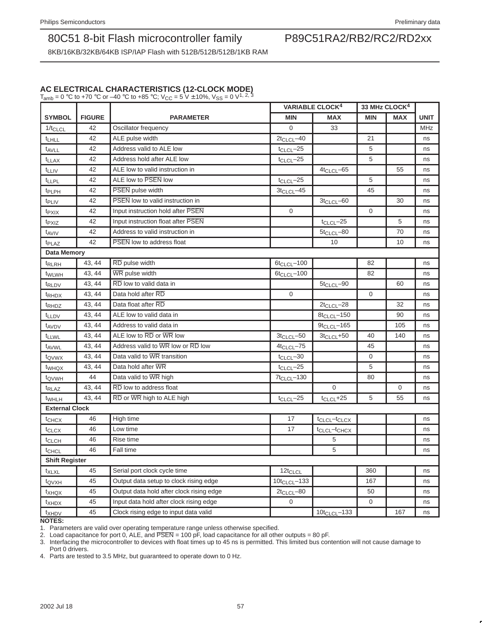8KB/16KB/32KB/64KB ISP/IAP Flash with 512B/512B/512B/1KB RAM

### **AC ELECTRICAL CHARACTERISTICS (12-CLOCK MODE)** T<sub>amb</sub> = 0 °C to +70 °C or –40 °C to +85 °C; V<sub>CC</sub> = 5 V  $\pm$  10%, V<sub>SS</sub> = 0 V<sup>1, 2, 3</sup>

**VARIABLE CLOCK4 33 MHz CLOCK4 SYMBOL FIGURE PARAMETER MIN MAX MIN MAX UNIT** 1/t<sub>CLCL</sub> 42 Oscillator frequency 10 33 MHz t<sub>LHLL</sub>  $\begin{vmatrix} 42 \\ 42 \end{vmatrix}$  ALE pulse width  $\begin{vmatrix} 2t & 2t \\ 2t & 2t \end{vmatrix}$  and  $\begin{vmatrix} 2t & 2t \\ 2t & 2t \end{vmatrix}$  and t<sub>AVLL</sub> 42 Address valid to ALE low t<sub>CLCL</sub>–25 **c** to the set of the set of the set of the set of the set of the set of the set of the set of the set of the set of the set of the set of the set of the set of the set of the t<sub>LLAX</sub> 42 Address hold after ALE low tCLCL–25 ns  $t_{\text{LIV}}$  42 ALE low to valid instruction in 4t<sub>CLCL</sub>–65 4t<sub>CLCL</sub>–65 55 ns  $t_{LLPL}$  42 ALE low to PSEN low to  $\sqrt{2}$  how to  $\sqrt{2}$  here is no set of  $t_{CLCL}$  -25 ns to  $\sqrt{2}$  for  $\sqrt{2}$  in  $\sqrt{2}$  in  $\sqrt{2}$  in  $\sqrt{2}$  in  $\sqrt{2}$  in  $\sqrt{2}$  in  $\sqrt{2}$  in  $\sqrt{2}$  in  $\sqrt{2}$  in  $\sqrt{2}$  in  $\sqrt{2}$  $t_{\text{PLPH}}$  42 PSEN pulse width  $3t_{\text{CLCL}}$ –45 45 ns  $t_{\text{PLIV}}$  42 PSEN low to valid instruction in  $t_{\text{PLIV}}$  3t<sub>CLCL</sub>–60 30 ns t<sub>PXIX</sub> 42 Input instruction hold after PSEN 0 0 0 0 ns t<sub>PXIZ</sub> | 42 | Input instruction float after PSEN t<sub>CLCL</sub>–25 | 5 | ns t<sub>AVIV</sub> 42 Address to valid instruction in 5t<sub>CLCL</sub>–80 1 70 ns  $t_{\text{PI AZ}}$  42 PSEN low to address float 10 10 10 ns **Data Memory** t<sub>RLRH</sub>  $\begin{array}{|c|c|c|c|c|}\n\hline\n43, 44 & \overline{\text{RD}}$  pulse width  $\begin{array}{|c|c|c|c|c|}\n\hline\n\end{array}$  6t<sub>CLCL</sub>–100  $\begin{array}{|c|c|c|c|}\n\hline\n\end{array}$  82  $\begin{array}{|c|c|c|c|}\n\hline\n\end{array}$  ns t<sub>WLWH</sub> | 43, 44 | $\overline{\text{WR}}$  pulse width  $\overline{\text{KL}}$  and  $\overline{\text{KL}}$  and  $\overline{\text{KL}}$  and  $\overline{\text{KL}}$  and  $\overline{\text{KL}}$  and  $\overline{\text{KL}}$  and  $\overline{\text{KL}}$  and  $\overline{\text{KL}}$  and  $\overline{\text{KL}}$  and  $\overline{\text{KL}}$  and  $\overline{\text{KL}}$  and  $\overline{\text{KL}}$  and  $t_{\text{RLDV}}$  43, 44 RD low to valid data in  $t_{\text{RLDV}}$  5t<sub>CLCL</sub>–90 60 ns t<sub>RHDX</sub>  $\begin{bmatrix} 43, 44 \end{bmatrix}$  Data hold after RD  $\begin{bmatrix} 0 \end{bmatrix}$  0  $\begin{bmatrix} 0 \end{bmatrix}$  ns t<sub>RHDZ</sub> | 43, 44 | Data float after RD 2tCLCL–28 | 32 | ns  $t_{\text{LLDV}}$  43, 44 ALE low to valid data in 8t<sub>CLCL</sub>–150 90 ns  $t_{\rm AVDV}$  43, 44 Address to valid data in  $t_{\rm NVDV}$  9t<sub>CLCL</sub>–165 105 ns  $t_{\text{LLWL}}$  | 43, 44 | ALE low to RD or WR low  $\overline{R}$  3t<sub>CLCL</sub>–50 | 3t<sub>CLCL</sub>–50 | 40 | 140 | ns  $t_{\text{AVWL}}$  43, 44 Address valid to WR low or RD low  $4t_{\text{CLCL}}$ –75  $45$  $t_{\text{QVWX}}$  43, 44 Data valid to  $\overline{\text{WR}}$  transition tclccl<sup>-30</sup>  $\begin{bmatrix} 0 & 0 \\ 0 & 0 \end{bmatrix}$  ns t<sub>WHQX</sub> | 43, 44 | Data hold after WR tCLCL–25 | 5 | 5 | ns  $t_{\text{QVWH}}$  44 Data valid to WR high  $t_{\text{QVWH}}$  80 ns  $t_{\text{RLAZ}}$  43, 44 RD low to address float  $\begin{bmatrix} 1 & 0 & 0 \\ 0 & 0 & 0 \\ 0 & 0 & 0 \end{bmatrix}$  ins  $t_{WHLH}$  43, 44 RD or WR high to ALE high to the set of the set of the set of the set of the set of the set of the set of the set of the set of the set of the set of the set of the set of the set of the set of the set of **External Clock** tCHCX 46 High time 17 tCLCL–tCLCX ns t<sub>CLCX</sub> 46 Low time 17 t<sub>CLCL</sub>–t<sub>CHCX</sub> ns  $t_{\text{CLCH}}$  | 46 | Rise time  $\qquad$   $\qquad$   $\qquad$   $\qquad$  5 | | | ns t<sub>CHCL</sub> 46 Fall time **5 and the set of the set of the set of the set of the set of the set of the set of the set of the set of the set of the set of the set of the set of the set of the set of the set of the set of the set Shift Register** t<sub>XLXL</sub> 45 Serial port clock cycle time 12t<sub>CLCL</sub> 360 series in the 12t<sub>CLCL</sub> series in the 12t<sub>CLCL</sub> t<sub>QVXH</sub> 45 Output data setup to clock rising edge 10t<sub>CLCL</sub>–133 167 167 ns t<sub>XHQX</sub> 45 Output data hold after clock rising edge 2t<sub>CLCL</sub>-80 50 50 ns t<sub>XHDX</sub> 45 Input data hold after clock rising edge 0 0 0 0 0 ns  $t_{XHDV}$  45 Clock rising edge to input data valid 10t<sub>CLCL</sub>–133 167 ns

**NOTES:**

1. Parameters are valid over operating temperature range unless otherwise specified.

2. Load capacitance for port 0, ALE, and  $\overline{PSEN} = 100 \,\overline{p}$ , load capacitance for all other outputs = 80 pF.

3. Interfacing the microcontroller to devices with float times up to 45 ns is permitted. This limited bus contention will not cause damage to Port 0 drivers.

4. Parts are tested to 3.5 MHz, but guaranteed to operate down to 0 Hz.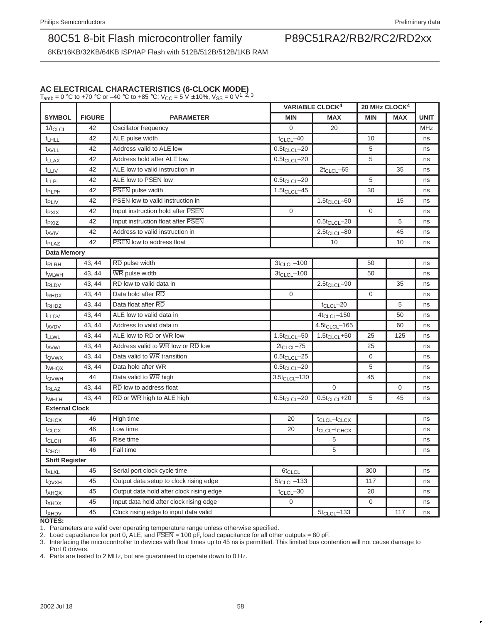8KB/16KB/32KB/64KB ISP/IAP Flash with 512B/512B/512B/1KB RAM

### **AC ELECTRICAL CHARACTERISTICS (6-CLOCK MODE)**

T<sub>amb</sub> = 0 °C to +70 °C or –40 °C to +85 °C; V<sub>CC</sub> = 5 V  $\pm$  10%, V<sub>SS</sub> = 0 V<sup>1, 2, 3</sup>

|                       |               |                                          | <b>VARIABLE CLOCK<sup>4</sup></b> |                                      | 20 MHz CLOCK <sup>4</sup> |            |             |  |
|-----------------------|---------------|------------------------------------------|-----------------------------------|--------------------------------------|---------------------------|------------|-------------|--|
| <b>SYMBOL</b>         | <b>FIGURE</b> | <b>PARAMETER</b>                         | <b>MIN</b>                        | <b>MAX</b>                           | <b>MIN</b>                | <b>MAX</b> | <b>UNIT</b> |  |
| $1/t_{CLCL}$          | 42            | Oscillator frequency                     | $\Omega$                          | 20                                   |                           |            | MHz         |  |
| <sup>t</sup> LHLL     | 42            | ALE pulse width                          | $t_{CLCL}$ -40                    |                                      | 10                        |            | ns          |  |
| t <sub>AVLL</sub>     | 42            | Address valid to ALE low                 | $0.5t_{CLCL} - 20$                |                                      | 5                         |            | ns          |  |
| t <sub>LLAX</sub>     | 42            | Address hold after ALE low               | $0.5t_{CLCL} - 20$                |                                      | 5                         |            | ns          |  |
| t <sub>LLIV</sub>     | 42            | ALE low to valid instruction in          |                                   | $2t_{CLCL} - 65$                     |                           | 35         | ns          |  |
| t <sub>LLPL</sub>     | 42            | ALE low to PSEN low                      | $0.5t_{CLCL} - 20$                |                                      | 5                         |            | ns          |  |
| t <sub>PLPH</sub>     | 42            | PSEN pulse width                         | $1.5t_{CLCL} - 45$                |                                      | 30                        |            | ns          |  |
| t <sub>PLIV</sub>     | 42            | <b>PSEN</b> low to valid instruction in  |                                   | $1.5t_{CLCL} - 60$                   |                           | 15         | ns          |  |
| t <sub>PXIX</sub>     | 42            | Input instruction hold after PSEN        | $\mathbf{0}$                      |                                      | $\mathbf{0}$              |            | ns          |  |
| t <sub>PXIZ</sub>     | 42            | Input instruction float after PSEN       |                                   | $0.5t_{CLCL} - 20$                   |                           | 5          | ns          |  |
| $t_{AVIV}$            | 42            | Address to valid instruction in          |                                   | $2.5t_{CLCL} - 80$                   |                           | 45         | ns          |  |
| <sup>t</sup> PLAZ     | 42            | <b>PSEN</b> low to address float         |                                   | 10                                   |                           | 10         | ns          |  |
| <b>Data Memory</b>    |               |                                          |                                   |                                      |                           |            |             |  |
| t <sub>RLRH</sub>     | 43, 44        | RD pulse width                           | $3t_{CLCL} - 100$                 |                                      | 50                        |            | ns          |  |
| t <sub>WLWH</sub>     | 43, 44        | WR pulse width                           | $3t_{CLCL} - 100$                 |                                      | 50                        |            | ns          |  |
| <sup>t</sup> RLDV     | 43, 44        | RD low to valid data in                  |                                   | $2.5t_{CLCL} - 90$                   |                           | 35         | ns          |  |
| <sup>t</sup> RHDX     | 43, 44        | Data hold after RD                       | $\overline{0}$                    |                                      | $\mathbf 0$               |            | ns          |  |
| t <sub>RHDZ</sub>     | 43.44         | Data float after RD                      |                                   | $t_{CLCL}$ -20                       |                           | 5          | ns          |  |
| <b>t</b> LLDV         | 43, 44        | ALE low to valid data in                 |                                   | $4t_{CLCL} - 150$                    |                           | 50         | ns          |  |
| t <sub>AVDV</sub>     | 43, 44        | Address to valid data in                 |                                   | $4.5t_{CLCL} - 165$                  |                           | 60         | ns          |  |
| t <sub>LLWL</sub>     | 43, 44        | ALE low to RD or WR low                  | $1.5t_{CLCL} - 50$                | $1.5t_{CLCL} + 50$                   | 25                        | 125        | ns          |  |
| t <sub>AVWL</sub>     | 43, 44        | Address valid to WR low or RD low        | $2t_{CLCL} - 75$                  |                                      | 25                        |            | ns          |  |
| t <sub>QVWX</sub>     | 43, 44        | Data valid to WR transition              | $0.5t_{CLCL} - 25$                |                                      | 0                         |            | ns          |  |
| t <sub>WHQX</sub>     | 43, 44        | Data hold after WR                       | $0.5t_{CLCL} - 20$                |                                      | 5                         |            | ns          |  |
| t <sub>QVWH</sub>     | 44            | Data valid to WR high                    | $3.5t_{CLCL} - 130$               |                                      | 45                        |            | ns          |  |
| t <sub>RLAZ</sub>     | 43, 44        | RD low to address float                  |                                   | $\Omega$                             |                           | 0          | ns          |  |
| <sup>t</sup> WHLH     | 43, 44        | RD or WR high to ALE high                | $0.5t_{CLCL} - 20$                | $0.5t_{CLCL} + 20$                   | 5                         | 45         | ns          |  |
| <b>External Clock</b> |               |                                          |                                   |                                      |                           |            |             |  |
| t <sub>CHCX</sub>     | 46            | High time                                | 20                                | t <sub>CLCL</sub> -t <sub>CLCX</sub> |                           |            | ns          |  |
| t <sub>CLCX</sub>     | 46            | Low time                                 | 20                                | t <sub>CLCL</sub> -t <sub>CHCX</sub> |                           |            | ns          |  |
| <sup>t</sup> CLCH     | 46            | Rise time                                |                                   | 5                                    |                           |            | ns          |  |
| <sup>t</sup> CHCL     | 46            | Fall time                                |                                   | 5                                    |                           |            | ns          |  |
| <b>Shift Register</b> |               |                                          |                                   |                                      |                           |            |             |  |
| t <sub>XLXL</sub>     | 45            | Serial port clock cycle time             | 6t <sub>CLCL</sub>                |                                      | 300                       |            | ns          |  |
| t <sub>QVXH</sub>     | 45            | Output data setup to clock rising edge   | $5t_{CLCL} - 133$                 |                                      | 117                       |            | ns          |  |
| t <sub>XHQX</sub>     | 45            | Output data hold after clock rising edge | $t_{CLCL}$ -30                    |                                      | 20                        |            | ns          |  |
| t <sub>XHDX</sub>     | 45            | Input data hold after clock rising edge  | $\overline{0}$                    |                                      | $\mathbf 0$               |            | ns          |  |
| t <sub>XHDV</sub>     | 45            | Clock rising edge to input data valid    |                                   | $5t_{CLCL} - 133$                    |                           | 117        | ns          |  |
| <b>NOTES:</b>         |               |                                          |                                   |                                      |                           |            |             |  |

1. Parameters are valid over operating temperature range unless otherwise specified.

2. Load capacitance for port 0, ALE, and  $\overline{PSEN} = 100$  pF, load capacitance for all other outputs = 80 pF.

3. Interfacing the microcontroller to devices with float times up to 45 ns is permitted. This limited bus contention will not cause damage to Port 0 drivers.

4. Parts are tested to 2 MHz, but are guaranteed to operate down to 0 Hz.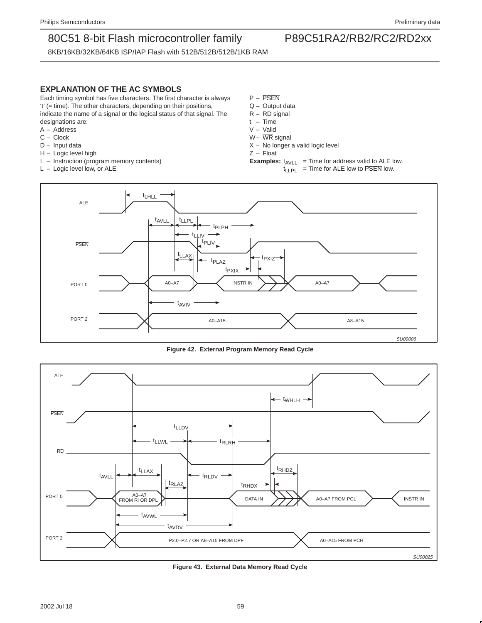8KB/16KB/32KB/64KB ISP/IAP Flash with 512B/512B/512B/1KB RAM

### **EXPLANATION OF THE AC SYMBOLS**

Each timing symbol has five characters. The first character is always 't' (= time). The other characters, depending on their positions, indicate the name of a signal or the logical status of that signal. The designations are:

- A Address
- C Clock
- D Input data
- H Logic level high
- I Instruction (program memory contents)
- L Logic level low, or ALE
- P PSEN
- Q Output data
- $R \overline{RD}$  signal
- t Time
- V Valid
- W– WR signal
- $X No$  longer a valid logic level
- Z Float
- **Examples:**  $t_{AVLL}$  = Time for address valid to ALE low.  $t_{LLPL}$  = Time for ALE low to  $\overline{PSEN}$  low.



**Figure 42. External Program Memory Read Cycle**



**Figure 43. External Data Memory Read Cycle**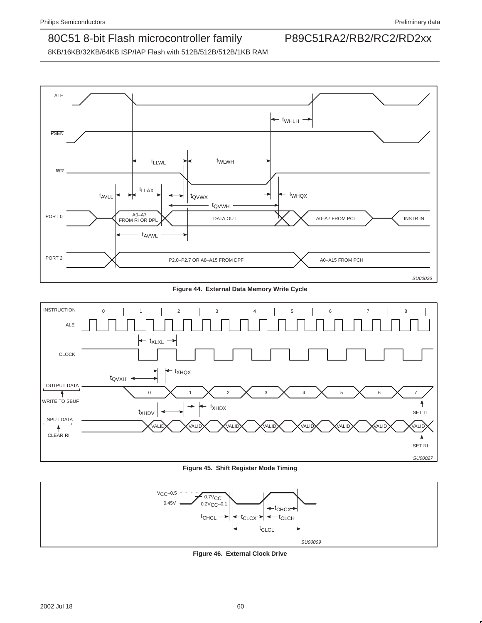

**Figure 44. External Data Memory Write Cycle**



**Figure 45. Shift Register Mode Timing**



**Figure 46. External Clock Drive**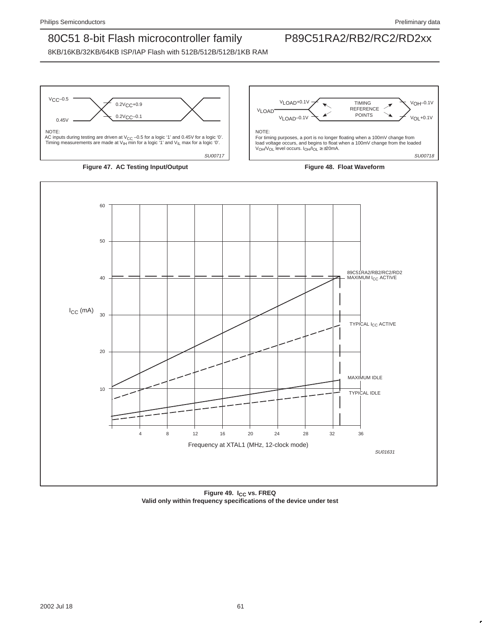









Figure 49. I<sub>CC</sub> vs. FREQ **Valid only within frequency specifications of the device under test**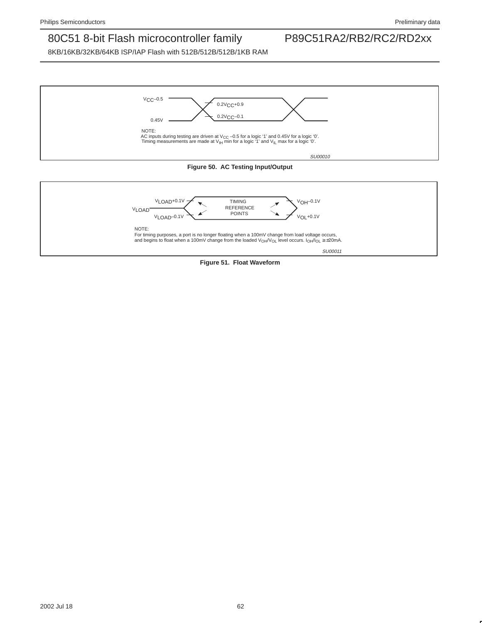



**Figure 51. Float Waveform**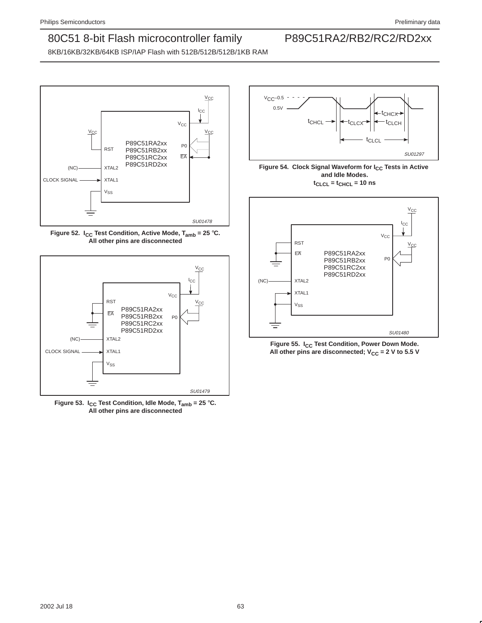SU01297

## 80C51 8-bit Flash microcontroller family P89C51RA2/RB2/RC2/RD2xx

8KB/16KB/32KB/64KB ISP/IAP Flash with 512B/512B/512B/1KB RAM







**Figure 53. I<sub>CC</sub> Test Condition, Idle Mode, T<sub>amb</sub> = 25 °C. All other pins are disconnected**

### $VCC-0.5$ 0.5V t<sub>CHCL</sub> $t_{\text{CLC}X}$   $\rightarrow$   $t_{\text{CLCH}}$ t<sub>CHCX</sub>

tCLCL





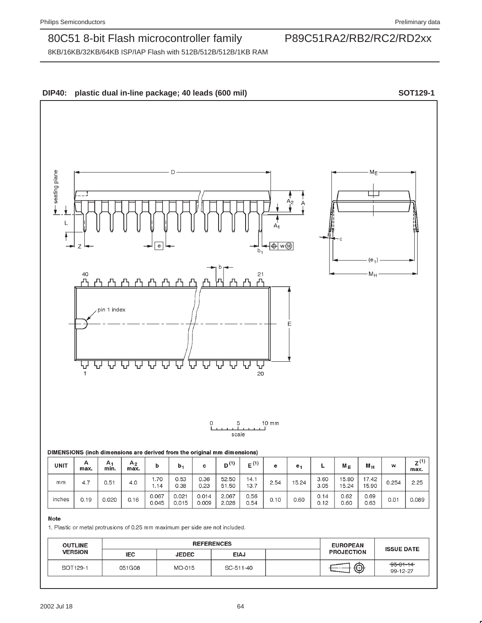8KB/16KB/32KB/64KB ISP/IAP Flash with 512B/512B/512B/1KB RAM



inches

 $0.19$ 

 $0.020$ 

1. Plastic or metal protrusions of 0.25 mm maximum per side are not included.

 $0.16$ 

0.067

 $0.045$ 

 $0.021$ 

 $0.015$ 

0.014

 $0.009$ 

2.067

2.028

0.56

 $0.54$ 

 $0.10$ 

 $0.60$ 

 $0.14$ 

 $0.12$ 

 $0.62$ 

 $0.60$ 

 $0.69$ 

0.63

 $0.01$ 

0.089

| <b>OUTLINE</b><br><b>VERSION</b> |        | <b>REFERENCES</b> | <b>EUROPEAN</b> | <b>ISSUE DATE</b> |                   |                             |
|----------------------------------|--------|-------------------|-----------------|-------------------|-------------------|-----------------------------|
|                                  | IEC.   | <b>JEDEC</b>      | <b>EIAJ</b>     |                   | <b>PROJECTION</b> |                             |
| SOT129-1                         | 051G08 | MO-015            | SC-511-40       |                   | ⊕                 | $-95 - 01 - 14$<br>99-12-27 |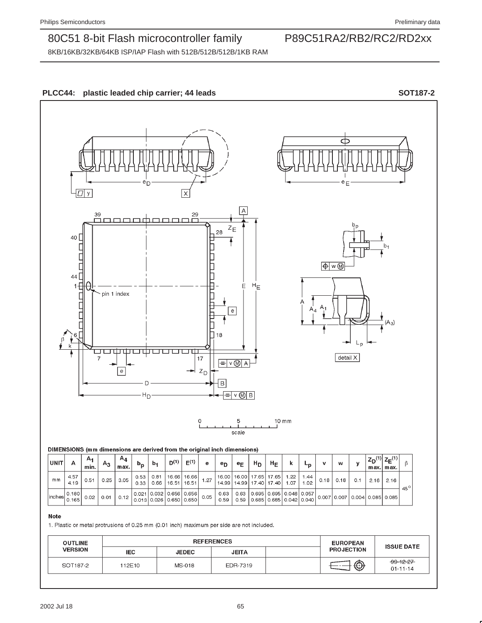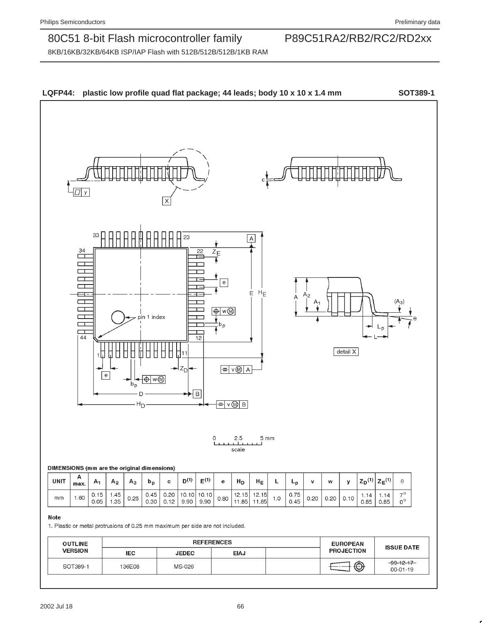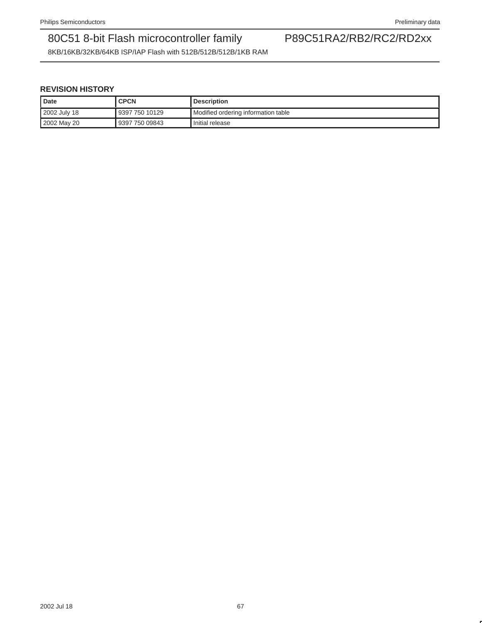8KB/16KB/32KB/64KB ISP/IAP Flash with 512B/512B/512B/1KB RAM

### **REVISION HISTORY**

| Date |              | <b>CPCN</b>    | <b>Description</b>                    |
|------|--------------|----------------|---------------------------------------|
|      | 2002 July 18 | 9397 750 10129 | I Modified ordering information table |
|      | 2002 May 20  | 9397 750 09843 | Initial release                       |